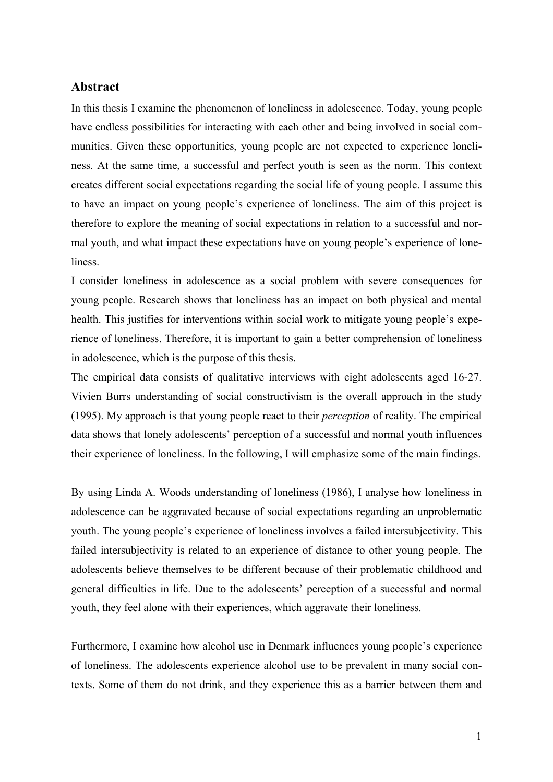## **Abstract**

In this thesis I examine the phenomenon of loneliness in adolescence. Today, young people have endless possibilities for interacting with each other and being involved in social communities. Given these opportunities, young people are not expected to experience loneliness. At the same time, a successful and perfect youth is seen as the norm. This context creates different social expectations regarding the social life of young people. I assume this to have an impact on young people's experience of loneliness. The aim of this project is therefore to explore the meaning of social expectations in relation to a successful and normal youth, and what impact these expectations have on young people's experience of loneliness.

I consider loneliness in adolescence as a social problem with severe consequences for young people. Research shows that loneliness has an impact on both physical and mental health. This justifies for interventions within social work to mitigate young people's experience of loneliness. Therefore, it is important to gain a better comprehension of loneliness in adolescence, which is the purpose of this thesis.

The empirical data consists of qualitative interviews with eight adolescents aged 16-27. Vivien Burrs understanding of social constructivism is the overall approach in the study (1995). My approach is that young people react to their *perception* of reality. The empirical data shows that lonely adolescents' perception of a successful and normal youth influences their experience of loneliness. In the following, I will emphasize some of the main findings.

By using Linda A. Woods understanding of loneliness (1986), I analyse how loneliness in adolescence can be aggravated because of social expectations regarding an unproblematic youth. The young people's experience of loneliness involves a failed intersubjectivity. This failed intersubjectivity is related to an experience of distance to other young people. The adolescents believe themselves to be different because of their problematic childhood and general difficulties in life. Due to the adolescents' perception of a successful and normal youth, they feel alone with their experiences, which aggravate their loneliness.

Furthermore, I examine how alcohol use in Denmark influences young people's experience of loneliness. The adolescents experience alcohol use to be prevalent in many social contexts. Some of them do not drink, and they experience this as a barrier between them and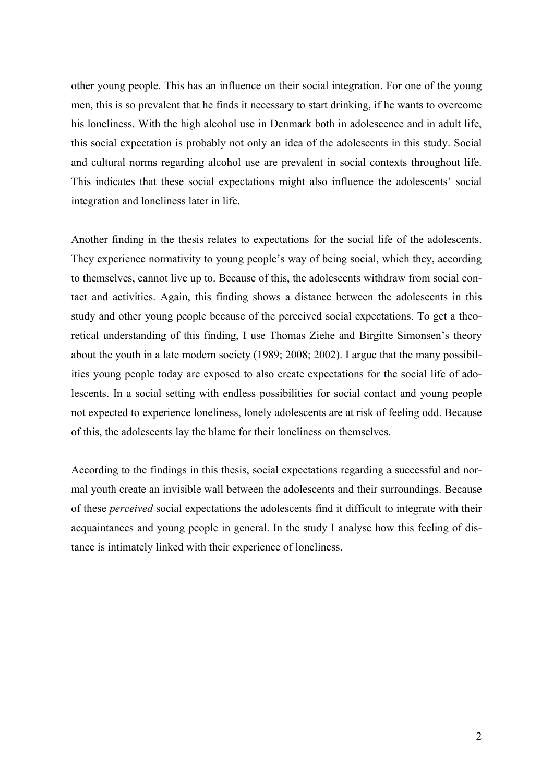other young people. This has an influence on their social integration. For one of the young men, this is so prevalent that he finds it necessary to start drinking, if he wants to overcome his loneliness. With the high alcohol use in Denmark both in adolescence and in adult life, this social expectation is probably not only an idea of the adolescents in this study. Social and cultural norms regarding alcohol use are prevalent in social contexts throughout life. This indicates that these social expectations might also influence the adolescents' social integration and loneliness later in life.

Another finding in the thesis relates to expectations for the social life of the adolescents. They experience normativity to young people's way of being social, which they, according to themselves, cannot live up to. Because of this, the adolescents withdraw from social contact and activities. Again, this finding shows a distance between the adolescents in this study and other young people because of the perceived social expectations. To get a theoretical understanding of this finding, I use Thomas Ziehe and Birgitte Simonsen's theory about the youth in a late modern society (1989; 2008; 2002). I argue that the many possibilities young people today are exposed to also create expectations for the social life of adolescents. In a social setting with endless possibilities for social contact and young people not expected to experience loneliness, lonely adolescents are at risk of feeling odd. Because of this, the adolescents lay the blame for their loneliness on themselves.

According to the findings in this thesis, social expectations regarding a successful and normal youth create an invisible wall between the adolescents and their surroundings. Because of these *perceived* social expectations the adolescents find it difficult to integrate with their acquaintances and young people in general. In the study I analyse how this feeling of distance is intimately linked with their experience of loneliness.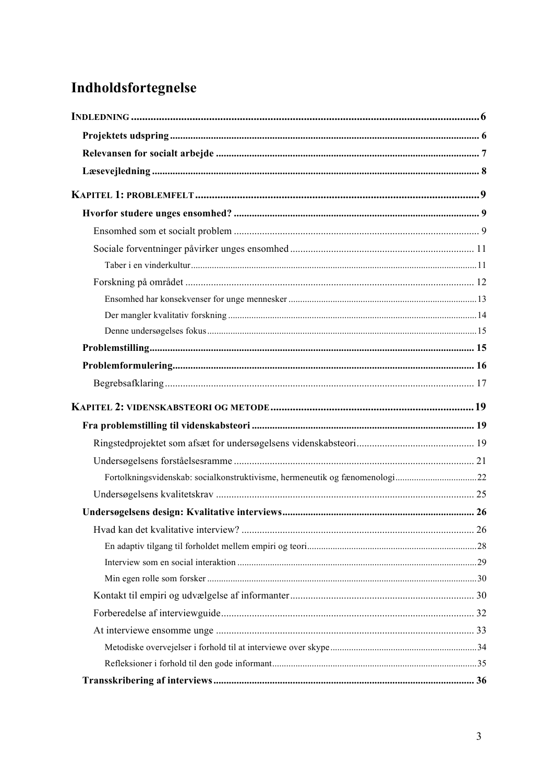# Indholdsfortegnelse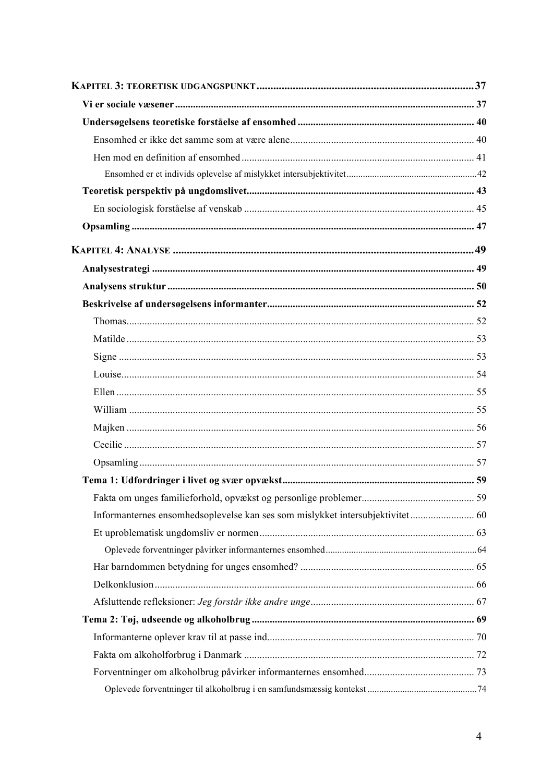| Informanternes ensomhedsoplevelse kan ses som mislykket intersubjektivitet 60 |  |  |  |
|-------------------------------------------------------------------------------|--|--|--|
|                                                                               |  |  |  |
|                                                                               |  |  |  |
|                                                                               |  |  |  |
|                                                                               |  |  |  |
|                                                                               |  |  |  |
|                                                                               |  |  |  |
|                                                                               |  |  |  |
|                                                                               |  |  |  |
|                                                                               |  |  |  |
|                                                                               |  |  |  |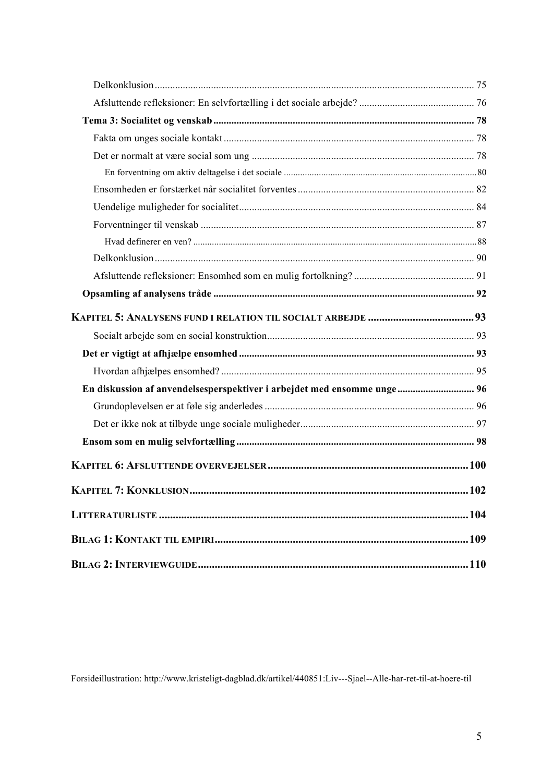| En diskussion af anvendelsesperspektiver i arbejdet med ensomme unge 96 |  |
|-------------------------------------------------------------------------|--|
|                                                                         |  |
|                                                                         |  |
|                                                                         |  |
|                                                                         |  |
|                                                                         |  |
|                                                                         |  |
|                                                                         |  |
|                                                                         |  |

Forsideillustration: http://www.kristeligt-dagblad.dk/artikel/440851:Liv---Sjael--Alle-har-ret-til-at-hoere-til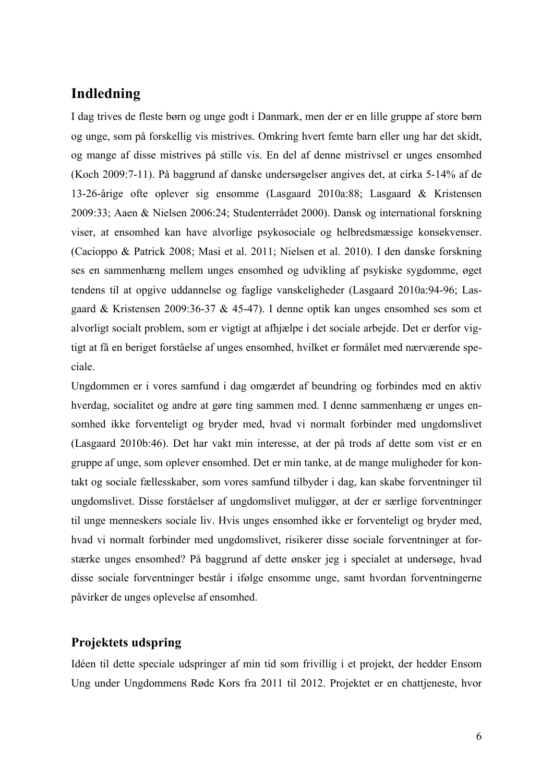## **Indledning**

I dag trives de fleste børn og unge godt i Danmark, men der er en lille gruppe af store børn og unge, som på forskellig vis mistrives. Omkring hvert femte barn eller ung har det skidt, og mange af disse mistrives på stille vis. En del af denne mistrivsel er unges ensomhed (Koch 2009:7-11). På baggrund af danske undersøgelser angives det, at cirka 5-14% af de 13-26-årige ofte oplever sig ensomme (Lasgaard 2010a:88; Lasgaard & Kristensen 2009:33; Aaen & Nielsen 2006:24; Studenterrådet 2000). Dansk og international forskning viser, at ensomhed kan have alvorlige psykosociale og helbredsmæssige konsekvenser. (Cacioppo & Patrick 2008; Masi et al. 2011; Nielsen et al. 2010). I den danske forskning ses en sammenhæng mellem unges ensomhed og udvikling af psykiske sygdomme, øget tendens til at opgive uddannelse og faglige vanskeligheder (Lasgaard 2010a:94-96; Lasgaard & Kristensen 2009:36-37 & 45-47). I denne optik kan unges ensomhed ses som et alvorligt socialt problem, som er vigtigt at afhjælpe i det sociale arbejde. Det er derfor vigtigt at få en beriget forståelse af unges ensomhed, hvilket er formålet med nærværende speciale.

Ungdommen er i vores samfund i dag omgærdet af beundring og forbindes med en aktiv hverdag, socialitet og andre at gøre ting sammen med. I denne sammenhæng er unges ensomhed ikke forventeligt og bryder med, hvad vi normalt forbinder med ungdomslivet (Lasgaard 2010b:46). Det har vakt min interesse, at der på trods af dette som vist er en gruppe af unge, som oplever ensomhed. Det er min tanke, at de mange muligheder for kontakt og sociale fællesskaber, som vores samfund tilbyder i dag, kan skabe forventninger til ungdomslivet. Disse forståelser af ungdomslivet muliggør, at der er særlige forventninger til unge menneskers sociale liv. Hvis unges ensomhed ikke er forventeligt og bryder med, hvad vi normalt forbinder med ungdomslivet, risikerer disse sociale forventninger at forstærke unges ensomhed? På baggrund af dette ønsker jeg i specialet at undersøge, hvad disse sociale forventninger består i ifølge ensomme unge, samt hvordan forventningerne påvirker de unges oplevelse af ensomhed.

## **Projektets udspring**

Idéen til dette speciale udspringer af min tid som frivillig i et projekt, der hedder Ensom Ung under Ungdommens Røde Kors fra 2011 til 2012. Projektet er en chattjeneste, hvor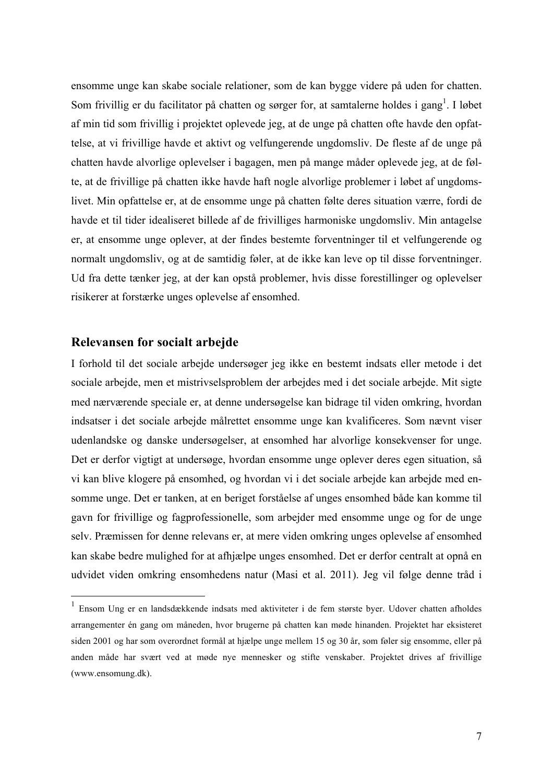ensomme unge kan skabe sociale relationer, som de kan bygge videre på uden for chatten. Som frivillig er du facilitator på chatten og sørger for, at samtalerne holdes i gang<sup>1</sup>. I løbet af min tid som frivillig i projektet oplevede jeg, at de unge på chatten ofte havde den opfattelse, at vi frivillige havde et aktivt og velfungerende ungdomsliv. De fleste af de unge på chatten havde alvorlige oplevelser i bagagen, men på mange måder oplevede jeg, at de følte, at de frivillige på chatten ikke havde haft nogle alvorlige problemer i løbet af ungdomslivet. Min opfattelse er, at de ensomme unge på chatten følte deres situation værre, fordi de havde et til tider idealiseret billede af de frivilliges harmoniske ungdomsliv. Min antagelse er, at ensomme unge oplever, at der findes bestemte forventninger til et velfungerende og normalt ungdomsliv, og at de samtidig føler, at de ikke kan leve op til disse forventninger. Ud fra dette tænker jeg, at der kan opstå problemer, hvis disse forestillinger og oplevelser risikerer at forstærke unges oplevelse af ensomhed.

## **Relevansen for socialt arbejde**

I forhold til det sociale arbejde undersøger jeg ikke en bestemt indsats eller metode i det sociale arbejde, men et mistrivselsproblem der arbejdes med i det sociale arbejde. Mit sigte med nærværende speciale er, at denne undersøgelse kan bidrage til viden omkring, hvordan indsatser i det sociale arbejde målrettet ensomme unge kan kvalificeres. Som nævnt viser udenlandske og danske undersøgelser, at ensomhed har alvorlige konsekvenser for unge. Det er derfor vigtigt at undersøge, hvordan ensomme unge oplever deres egen situation, så vi kan blive klogere på ensomhed, og hvordan vi i det sociale arbejde kan arbejde med ensomme unge. Det er tanken, at en beriget forståelse af unges ensomhed både kan komme til gavn for frivillige og fagprofessionelle, som arbejder med ensomme unge og for de unge selv. Præmissen for denne relevans er, at mere viden omkring unges oplevelse af ensomhed kan skabe bedre mulighed for at afhjælpe unges ensomhed. Det er derfor centralt at opnå en udvidet viden omkring ensomhedens natur (Masi et al. 2011). Jeg vil følge denne tråd i

 <sup>1</sup> Ensom Ung er en landsdækkende indsats med aktiviteter i de fem største byer. Udover chatten afholdes arrangementer én gang om måneden, hvor brugerne på chatten kan møde hinanden. Projektet har eksisteret siden 2001 og har som overordnet formål at hjælpe unge mellem 15 og 30 år, som føler sig ensomme, eller på anden måde har svært ved at møde nye mennesker og stifte venskaber. Projektet drives af frivillige (www.ensomung.dk).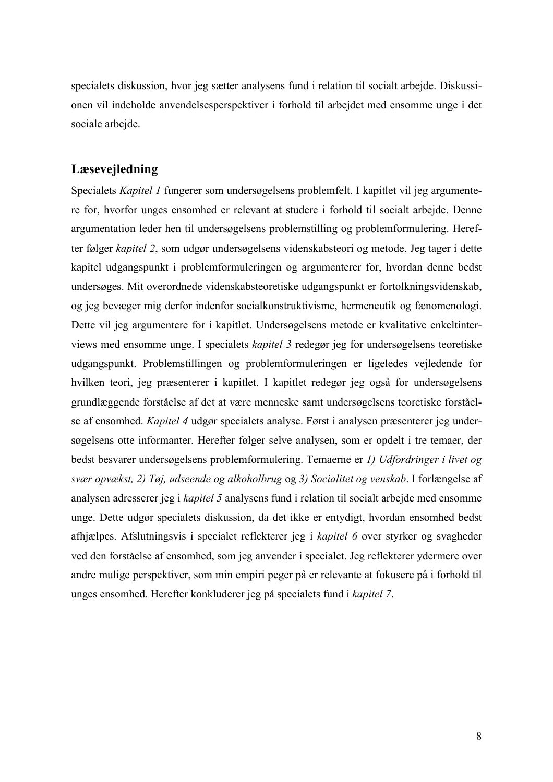specialets diskussion, hvor jeg sætter analysens fund i relation til socialt arbejde. Diskussionen vil indeholde anvendelsesperspektiver i forhold til arbejdet med ensomme unge i det sociale arbejde.

## **Læsevejledning**

Specialets *Kapitel 1* fungerer som undersøgelsens problemfelt. I kapitlet vil jeg argumentere for, hvorfor unges ensomhed er relevant at studere i forhold til socialt arbejde. Denne argumentation leder hen til undersøgelsens problemstilling og problemformulering. Herefter følger *kapitel 2*, som udgør undersøgelsens videnskabsteori og metode. Jeg tager i dette kapitel udgangspunkt i problemformuleringen og argumenterer for, hvordan denne bedst undersøges. Mit overordnede videnskabsteoretiske udgangspunkt er fortolkningsvidenskab, og jeg bevæger mig derfor indenfor socialkonstruktivisme, hermeneutik og fænomenologi. Dette vil jeg argumentere for i kapitlet. Undersøgelsens metode er kvalitative enkeltinterviews med ensomme unge. I specialets *kapitel 3* redegør jeg for undersøgelsens teoretiske udgangspunkt. Problemstillingen og problemformuleringen er ligeledes vejledende for hvilken teori, jeg præsenterer i kapitlet. I kapitlet redegør jeg også for undersøgelsens grundlæggende forståelse af det at være menneske samt undersøgelsens teoretiske forståelse af ensomhed. *Kapitel 4* udgør specialets analyse. Først i analysen præsenterer jeg undersøgelsens otte informanter. Herefter følger selve analysen, som er opdelt i tre temaer, der bedst besvarer undersøgelsens problemformulering. Temaerne er *1) Udfordringer i livet og svær opvækst, 2) Tøj, udseende og alkoholbrug* og *3) Socialitet og venskab*. I forlængelse af analysen adresserer jeg i *kapitel 5* analysens fund i relation til socialt arbejde med ensomme unge. Dette udgør specialets diskussion, da det ikke er entydigt, hvordan ensomhed bedst afhjælpes. Afslutningsvis i specialet reflekterer jeg i *kapitel 6* over styrker og svagheder ved den forståelse af ensomhed, som jeg anvender i specialet. Jeg reflekterer ydermere over andre mulige perspektiver, som min empiri peger på er relevante at fokusere på i forhold til unges ensomhed. Herefter konkluderer jeg på specialets fund i *kapitel 7*.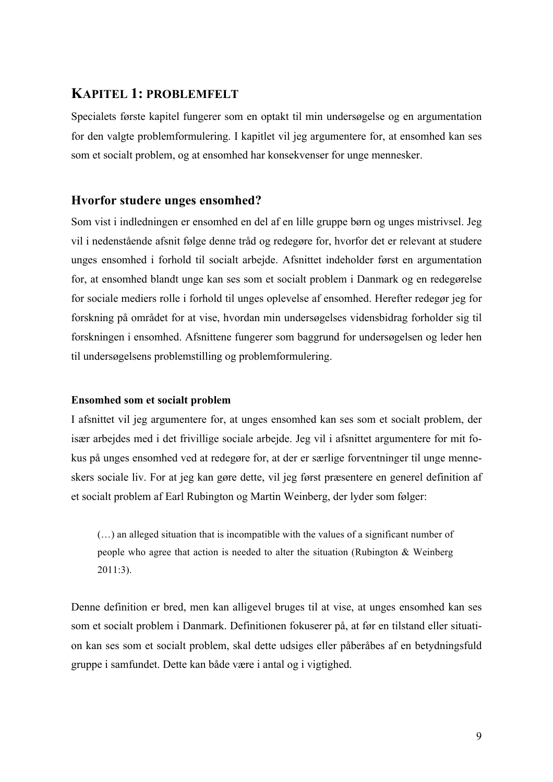## **KAPITEL 1: PROBLEMFELT**

Specialets første kapitel fungerer som en optakt til min undersøgelse og en argumentation for den valgte problemformulering. I kapitlet vil jeg argumentere for, at ensomhed kan ses som et socialt problem, og at ensomhed har konsekvenser for unge mennesker.

## **Hvorfor studere unges ensomhed?**

Som vist i indledningen er ensomhed en del af en lille gruppe børn og unges mistrivsel. Jeg vil i nedenstående afsnit følge denne tråd og redegøre for, hvorfor det er relevant at studere unges ensomhed i forhold til socialt arbejde. Afsnittet indeholder først en argumentation for, at ensomhed blandt unge kan ses som et socialt problem i Danmark og en redegørelse for sociale mediers rolle i forhold til unges oplevelse af ensomhed. Herefter redegør jeg for forskning på området for at vise, hvordan min undersøgelses vidensbidrag forholder sig til forskningen i ensomhed. Afsnittene fungerer som baggrund for undersøgelsen og leder hen til undersøgelsens problemstilling og problemformulering.

## **Ensomhed som et socialt problem**

I afsnittet vil jeg argumentere for, at unges ensomhed kan ses som et socialt problem, der især arbejdes med i det frivillige sociale arbejde. Jeg vil i afsnittet argumentere for mit fokus på unges ensomhed ved at redegøre for, at der er særlige forventninger til unge menneskers sociale liv. For at jeg kan gøre dette, vil jeg først præsentere en generel definition af et socialt problem af Earl Rubington og Martin Weinberg, der lyder som følger:

(…) an alleged situation that is incompatible with the values of a significant number of people who agree that action is needed to alter the situation (Rubington & Weinberg 2011:3).

Denne definition er bred, men kan alligevel bruges til at vise, at unges ensomhed kan ses som et socialt problem i Danmark. Definitionen fokuserer på, at før en tilstand eller situation kan ses som et socialt problem, skal dette udsiges eller påberåbes af en betydningsfuld gruppe i samfundet. Dette kan både være i antal og i vigtighed.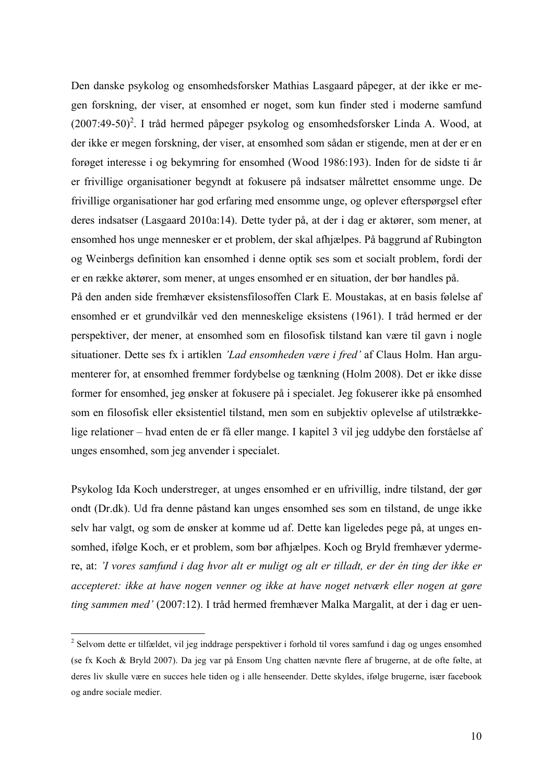Den danske psykolog og ensomhedsforsker Mathias Lasgaard påpeger, at der ikke er megen forskning, der viser, at ensomhed er noget, som kun finder sted i moderne samfund  $(2007:49-50)^2$ . I tråd hermed påpeger psykolog og ensomhedsforsker Linda A. Wood, at der ikke er megen forskning, der viser, at ensomhed som sådan er stigende, men at der er en forøget interesse i og bekymring for ensomhed (Wood 1986:193). Inden for de sidste ti år er frivillige organisationer begyndt at fokusere på indsatser målrettet ensomme unge. De frivillige organisationer har god erfaring med ensomme unge, og oplever efterspørgsel efter deres indsatser (Lasgaard 2010a:14). Dette tyder på, at der i dag er aktører, som mener, at ensomhed hos unge mennesker er et problem, der skal afhjælpes. På baggrund af Rubington og Weinbergs definition kan ensomhed i denne optik ses som et socialt problem, fordi der er en række aktører, som mener, at unges ensomhed er en situation, der bør handles på. På den anden side fremhæver eksistensfilosoffen Clark E. Moustakas, at en basis følelse af ensomhed er et grundvilkår ved den menneskelige eksistens (1961). I tråd hermed er der perspektiver, der mener, at ensomhed som en filosofisk tilstand kan være til gavn i nogle situationer. Dette ses fx i artiklen *'Lad ensomheden være i fred'* af Claus Holm. Han argu-

menterer for, at ensomhed fremmer fordybelse og tænkning (Holm 2008). Det er ikke disse former for ensomhed, jeg ønsker at fokusere på i specialet. Jeg fokuserer ikke på ensomhed som en filosofisk eller eksistentiel tilstand, men som en subjektiv oplevelse af utilstrækkelige relationer – hvad enten de er få eller mange. I kapitel 3 vil jeg uddybe den forståelse af unges ensomhed, som jeg anvender i specialet.

Psykolog Ida Koch understreger, at unges ensomhed er en ufrivillig, indre tilstand, der gør ondt (Dr.dk). Ud fra denne påstand kan unges ensomhed ses som en tilstand, de unge ikke selv har valgt, og som de ønsker at komme ud af. Dette kan ligeledes pege på, at unges ensomhed, ifølge Koch, er et problem, som bør afhjælpes. Koch og Bryld fremhæver ydermere, at: *'I vores samfund i dag hvor alt er muligt og alt er tilladt, er der én ting der ikke er accepteret: ikke at have nogen venner og ikke at have noget netværk eller nogen at gøre ting sammen med'* (2007:12). I tråd hermed fremhæver Malka Margalit, at der i dag er uen-

 <sup>2</sup> Selvom dette er tilfældet, vil jeg inddrage perspektiver i forhold til vores samfund i dag og unges ensomhed (se fx Koch & Bryld 2007). Da jeg var på Ensom Ung chatten nævnte flere af brugerne, at de ofte følte, at deres liv skulle være en succes hele tiden og i alle henseender. Dette skyldes, ifølge brugerne, især facebook og andre sociale medier.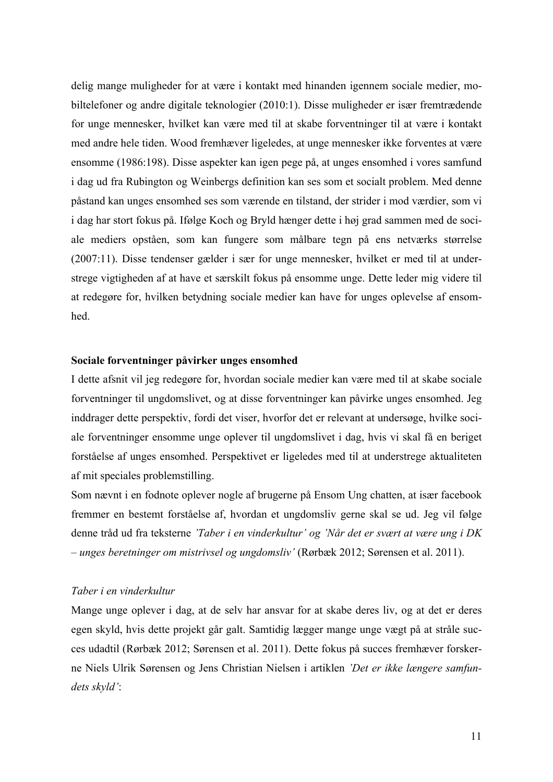delig mange muligheder for at være i kontakt med hinanden igennem sociale medier, mobiltelefoner og andre digitale teknologier (2010:1). Disse muligheder er især fremtrædende for unge mennesker, hvilket kan være med til at skabe forventninger til at være i kontakt med andre hele tiden. Wood fremhæver ligeledes, at unge mennesker ikke forventes at være ensomme (1986:198). Disse aspekter kan igen pege på, at unges ensomhed i vores samfund i dag ud fra Rubington og Weinbergs definition kan ses som et socialt problem. Med denne påstand kan unges ensomhed ses som værende en tilstand, der strider i mod værdier, som vi i dag har stort fokus på. Ifølge Koch og Bryld hænger dette i høj grad sammen med de sociale mediers opståen, som kan fungere som målbare tegn på ens netværks størrelse (2007:11). Disse tendenser gælder i sær for unge mennesker, hvilket er med til at understrege vigtigheden af at have et særskilt fokus på ensomme unge. Dette leder mig videre til at redegøre for, hvilken betydning sociale medier kan have for unges oplevelse af ensomhed.

### **Sociale forventninger påvirker unges ensomhed**

I dette afsnit vil jeg redegøre for, hvordan sociale medier kan være med til at skabe sociale forventninger til ungdomslivet, og at disse forventninger kan påvirke unges ensomhed. Jeg inddrager dette perspektiv, fordi det viser, hvorfor det er relevant at undersøge, hvilke sociale forventninger ensomme unge oplever til ungdomslivet i dag, hvis vi skal få en beriget forståelse af unges ensomhed. Perspektivet er ligeledes med til at understrege aktualiteten af mit speciales problemstilling.

Som nævnt i en fodnote oplever nogle af brugerne på Ensom Ung chatten, at især facebook fremmer en bestemt forståelse af, hvordan et ungdomsliv gerne skal se ud. Jeg vil følge denne tråd ud fra teksterne *'Taber i en vinderkultur' og 'Når det er svært at være ung i DK – unges beretninger om mistrivsel og ungdomsliv'* (Rørbæk 2012; Sørensen et al. 2011).

#### *Taber i en vinderkultur*

Mange unge oplever i dag, at de selv har ansvar for at skabe deres liv, og at det er deres egen skyld, hvis dette projekt går galt. Samtidig lægger mange unge vægt på at stråle succes udadtil (Rørbæk 2012; Sørensen et al. 2011). Dette fokus på succes fremhæver forskerne Niels Ulrik Sørensen og Jens Christian Nielsen i artiklen *'Det er ikke længere samfundets skyld'*: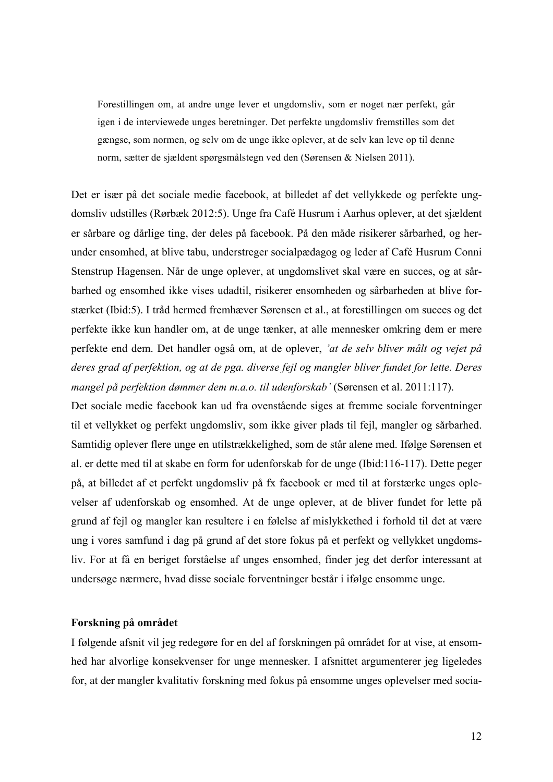Forestillingen om, at andre unge lever et ungdomsliv, som er noget nær perfekt, går igen i de interviewede unges beretninger. Det perfekte ungdomsliv fremstilles som det gængse, som normen, og selv om de unge ikke oplever, at de selv kan leve op til denne norm, sætter de sjældent spørgsmålstegn ved den (Sørensen & Nielsen 2011).

Det er især på det sociale medie facebook, at billedet af det vellykkede og perfekte ungdomsliv udstilles (Rørbæk 2012:5). Unge fra Café Husrum i Aarhus oplever, at det sjældent er sårbare og dårlige ting, der deles på facebook. På den måde risikerer sårbarhed, og herunder ensomhed, at blive tabu, understreger socialpædagog og leder af Café Husrum Conni Stenstrup Hagensen. Når de unge oplever, at ungdomslivet skal være en succes, og at sårbarhed og ensomhed ikke vises udadtil, risikerer ensomheden og sårbarheden at blive forstærket (Ibid:5). I tråd hermed fremhæver Sørensen et al., at forestillingen om succes og det perfekte ikke kun handler om, at de unge tænker, at alle mennesker omkring dem er mere perfekte end dem. Det handler også om, at de oplever, *'at de selv bliver målt og vejet på deres grad af perfektion, og at de pga. diverse fejl og mangler bliver fundet for lette. Deres mangel på perfektion dømmer dem m.a.o. til udenforskab'* (Sørensen et al. 2011:117).

Det sociale medie facebook kan ud fra ovenstående siges at fremme sociale forventninger til et vellykket og perfekt ungdomsliv, som ikke giver plads til fejl, mangler og sårbarhed. Samtidig oplever flere unge en utilstrækkelighed, som de står alene med. Ifølge Sørensen et al. er dette med til at skabe en form for udenforskab for de unge (Ibid:116-117). Dette peger på, at billedet af et perfekt ungdomsliv på fx facebook er med til at forstærke unges oplevelser af udenforskab og ensomhed. At de unge oplever, at de bliver fundet for lette på grund af fejl og mangler kan resultere i en følelse af mislykkethed i forhold til det at være ung i vores samfund i dag på grund af det store fokus på et perfekt og vellykket ungdomsliv. For at få en beriget forståelse af unges ensomhed, finder jeg det derfor interessant at undersøge nærmere, hvad disse sociale forventninger består i ifølge ensomme unge.

#### **Forskning på området**

I følgende afsnit vil jeg redegøre for en del af forskningen på området for at vise, at ensomhed har alvorlige konsekvenser for unge mennesker. I afsnittet argumenterer jeg ligeledes for, at der mangler kvalitativ forskning med fokus på ensomme unges oplevelser med socia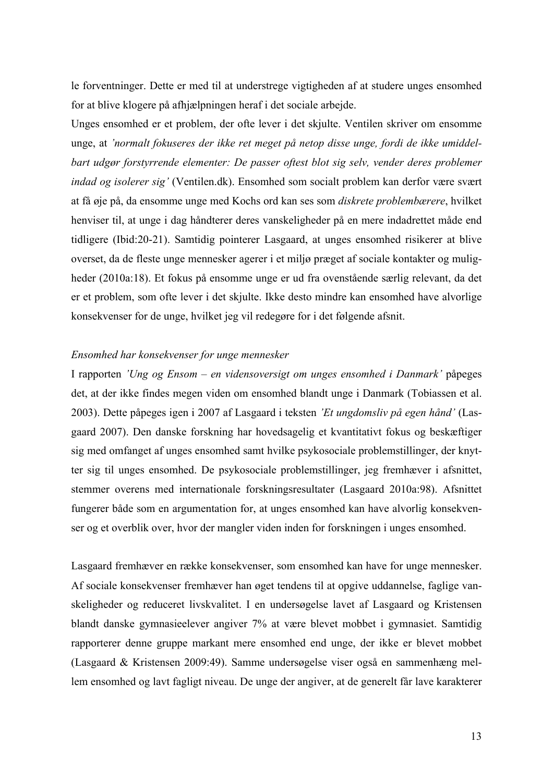le forventninger. Dette er med til at understrege vigtigheden af at studere unges ensomhed for at blive klogere på afhjælpningen heraf i det sociale arbejde.

Unges ensomhed er et problem, der ofte lever i det skjulte. Ventilen skriver om ensomme unge, at *'normalt fokuseres der ikke ret meget på netop disse unge, fordi de ikke umiddelbart udgør forstyrrende elementer: De passer oftest blot sig selv, vender deres problemer indad og isolerer sig'* (Ventilen.dk). Ensomhed som socialt problem kan derfor være svært at få øje på, da ensomme unge med Kochs ord kan ses som *diskrete problembærere*, hvilket henviser til, at unge i dag håndterer deres vanskeligheder på en mere indadrettet måde end tidligere (Ibid:20-21). Samtidig pointerer Lasgaard, at unges ensomhed risikerer at blive overset, da de fleste unge mennesker agerer i et miljø præget af sociale kontakter og muligheder (2010a:18). Et fokus på ensomme unge er ud fra ovenstående særlig relevant, da det er et problem, som ofte lever i det skjulte. Ikke desto mindre kan ensomhed have alvorlige konsekvenser for de unge, hvilket jeg vil redegøre for i det følgende afsnit.

#### *Ensomhed har konsekvenser for unge mennesker*

I rapporten *'Ung og Ensom – en vidensoversigt om unges ensomhed i Danmark'* påpeges det, at der ikke findes megen viden om ensomhed blandt unge i Danmark (Tobiassen et al. 2003). Dette påpeges igen i 2007 af Lasgaard i teksten *'Et ungdomsliv på egen hånd'* (Lasgaard 2007). Den danske forskning har hovedsagelig et kvantitativt fokus og beskæftiger sig med omfanget af unges ensomhed samt hvilke psykosociale problemstillinger, der knytter sig til unges ensomhed. De psykosociale problemstillinger, jeg fremhæver i afsnittet, stemmer overens med internationale forskningsresultater (Lasgaard 2010a:98). Afsnittet fungerer både som en argumentation for, at unges ensomhed kan have alvorlig konsekvenser og et overblik over, hvor der mangler viden inden for forskningen i unges ensomhed.

Lasgaard fremhæver en række konsekvenser, som ensomhed kan have for unge mennesker. Af sociale konsekvenser fremhæver han øget tendens til at opgive uddannelse, faglige vanskeligheder og reduceret livskvalitet. I en undersøgelse lavet af Lasgaard og Kristensen blandt danske gymnasieelever angiver 7% at være blevet mobbet i gymnasiet. Samtidig rapporterer denne gruppe markant mere ensomhed end unge, der ikke er blevet mobbet (Lasgaard & Kristensen 2009:49). Samme undersøgelse viser også en sammenhæng mellem ensomhed og lavt fagligt niveau. De unge der angiver, at de generelt får lave karakterer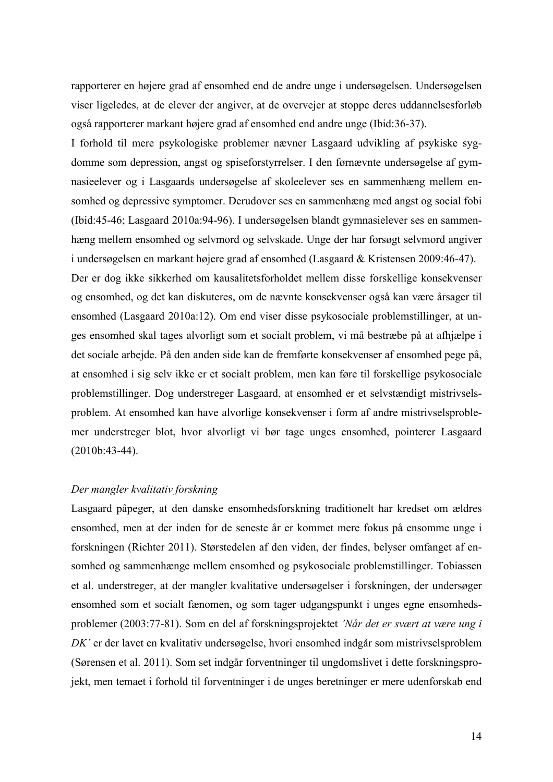rapporterer en højere grad af ensomhed end de andre unge i undersøgelsen. Undersøgelsen viser ligeledes, at de elever der angiver, at de overvejer at stoppe deres uddannelsesforløb også rapporterer markant højere grad af ensomhed end andre unge (Ibid:36-37).

I forhold til mere psykologiske problemer nævner Lasgaard udvikling af psykiske sygdomme som depression, angst og spiseforstyrrelser. I den førnævnte undersøgelse af gymnasieelever og i Lasgaards undersøgelse af skoleelever ses en sammenhæng mellem ensomhed og depressive symptomer. Derudover ses en sammenhæng med angst og social fobi (Ibid:45-46; Lasgaard 2010a:94-96). I undersøgelsen blandt gymnasielever ses en sammenhæng mellem ensomhed og selvmord og selvskade. Unge der har forsøgt selvmord angiver i undersøgelsen en markant højere grad af ensomhed (Lasgaard & Kristensen 2009:46-47). Der er dog ikke sikkerhed om kausalitetsforholdet mellem disse forskellige konsekvenser og ensomhed, og det kan diskuteres, om de nævnte konsekvenser også kan være årsager til ensomhed (Lasgaard 2010a:12). Om end viser disse psykosociale problemstillinger, at unges ensomhed skal tages alvorligt som et socialt problem, vi må bestræbe på at afhjælpe i det sociale arbejde. På den anden side kan de fremførte konsekvenser af ensomhed pege på, at ensomhed i sig selv ikke er et socialt problem, men kan føre til forskellige psykosociale problemstillinger. Dog understreger Lasgaard, at ensomhed er et selvstændigt mistrivselsproblem. At ensomhed kan have alvorlige konsekvenser i form af andre mistrivselsproblemer understreger blot, hvor alvorligt vi bør tage unges ensomhed, pointerer Lasgaard (2010b:43-44).

#### *Der mangler kvalitativ forskning*

Lasgaard påpeger, at den danske ensomhedsforskning traditionelt har kredset om ældres ensomhed, men at der inden for de seneste år er kommet mere fokus på ensomme unge i forskningen (Richter 2011). Størstedelen af den viden, der findes, belyser omfanget af ensomhed og sammenhænge mellem ensomhed og psykosociale problemstillinger. Tobiassen et al. understreger, at der mangler kvalitative undersøgelser i forskningen, der undersøger ensomhed som et socialt fænomen, og som tager udgangspunkt i unges egne ensomhedsproblemer (2003:77-81). Som en del af forskningsprojektet *'Når det er svært at være ung i DK'* er der lavet en kvalitativ undersøgelse, hvori ensomhed indgår som mistrivselsproblem (Sørensen et al. 2011). Som set indgår forventninger til ungdomslivet i dette forskningsprojekt, men temaet i forhold til forventninger i de unges beretninger er mere udenforskab end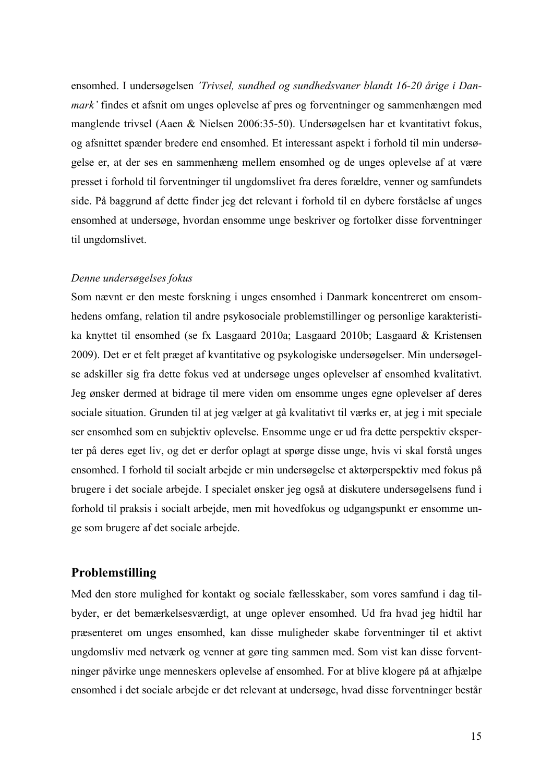ensomhed. I undersøgelsen *'Trivsel, sundhed og sundhedsvaner blandt 16-20 årige i Danmark'* findes et afsnit om unges oplevelse af pres og forventninger og sammenhængen med manglende trivsel (Aaen & Nielsen 2006:35-50). Undersøgelsen har et kvantitativt fokus, og afsnittet spænder bredere end ensomhed. Et interessant aspekt i forhold til min undersøgelse er, at der ses en sammenhæng mellem ensomhed og de unges oplevelse af at være presset i forhold til forventninger til ungdomslivet fra deres forældre, venner og samfundets side. På baggrund af dette finder jeg det relevant i forhold til en dybere forståelse af unges ensomhed at undersøge, hvordan ensomme unge beskriver og fortolker disse forventninger til ungdomslivet.

#### *Denne undersøgelses fokus*

Som nævnt er den meste forskning i unges ensomhed i Danmark koncentreret om ensomhedens omfang, relation til andre psykosociale problemstillinger og personlige karakteristika knyttet til ensomhed (se fx Lasgaard 2010a; Lasgaard 2010b; Lasgaard & Kristensen 2009). Det er et felt præget af kvantitative og psykologiske undersøgelser. Min undersøgelse adskiller sig fra dette fokus ved at undersøge unges oplevelser af ensomhed kvalitativt. Jeg ønsker dermed at bidrage til mere viden om ensomme unges egne oplevelser af deres sociale situation. Grunden til at jeg vælger at gå kvalitativt til værks er, at jeg i mit speciale ser ensomhed som en subjektiv oplevelse. Ensomme unge er ud fra dette perspektiv eksperter på deres eget liv, og det er derfor oplagt at spørge disse unge, hvis vi skal forstå unges ensomhed. I forhold til socialt arbejde er min undersøgelse et aktørperspektiv med fokus på brugere i det sociale arbejde. I specialet ønsker jeg også at diskutere undersøgelsens fund i forhold til praksis i socialt arbejde, men mit hovedfokus og udgangspunkt er ensomme unge som brugere af det sociale arbejde.

## **Problemstilling**

Med den store mulighed for kontakt og sociale fællesskaber, som vores samfund i dag tilbyder, er det bemærkelsesværdigt, at unge oplever ensomhed. Ud fra hvad jeg hidtil har præsenteret om unges ensomhed, kan disse muligheder skabe forventninger til et aktivt ungdomsliv med netværk og venner at gøre ting sammen med. Som vist kan disse forventninger påvirke unge menneskers oplevelse af ensomhed. For at blive klogere på at afhjælpe ensomhed i det sociale arbejde er det relevant at undersøge, hvad disse forventninger består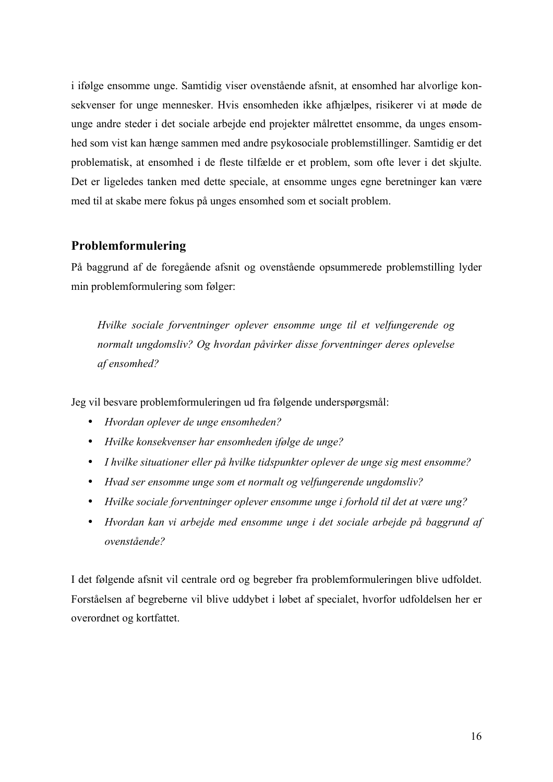i ifølge ensomme unge. Samtidig viser ovenstående afsnit, at ensomhed har alvorlige konsekvenser for unge mennesker. Hvis ensomheden ikke afhjælpes, risikerer vi at møde de unge andre steder i det sociale arbejde end projekter målrettet ensomme, da unges ensomhed som vist kan hænge sammen med andre psykosociale problemstillinger. Samtidig er det problematisk, at ensomhed i de fleste tilfælde er et problem, som ofte lever i det skjulte. Det er ligeledes tanken med dette speciale, at ensomme unges egne beretninger kan være med til at skabe mere fokus på unges ensomhed som et socialt problem.

## **Problemformulering**

På baggrund af de foregående afsnit og ovenstående opsummerede problemstilling lyder min problemformulering som følger:

*Hvilke sociale forventninger oplever ensomme unge til et velfungerende og normalt ungdomsliv? Og hvordan påvirker disse forventninger deres oplevelse af ensomhed?*

Jeg vil besvare problemformuleringen ud fra følgende underspørgsmål:

- *Hvordan oplever de unge ensomheden?*
- *Hvilke konsekvenser har ensomheden ifølge de unge?*
- *I hvilke situationer eller på hvilke tidspunkter oplever de unge sig mest ensomme?*
- *Hvad ser ensomme unge som et normalt og velfungerende ungdomsliv?*
- *Hvilke sociale forventninger oplever ensomme unge i forhold til det at være ung?*
- *Hvordan kan vi arbejde med ensomme unge i det sociale arbejde på baggrund af ovenstående?*

I det følgende afsnit vil centrale ord og begreber fra problemformuleringen blive udfoldet. Forståelsen af begreberne vil blive uddybet i løbet af specialet, hvorfor udfoldelsen her er overordnet og kortfattet.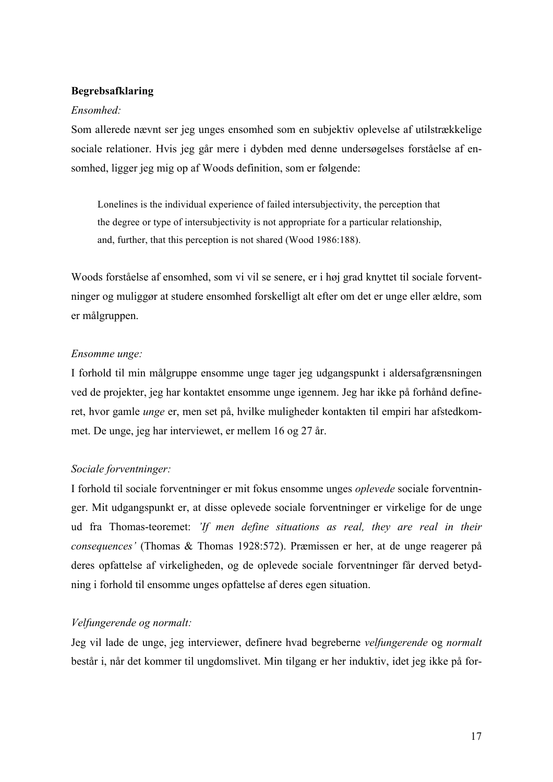## **Begrebsafklaring**

### *Ensomhed:*

Som allerede nævnt ser jeg unges ensomhed som en subjektiv oplevelse af utilstrækkelige sociale relationer. Hvis jeg går mere i dybden med denne undersøgelses forståelse af ensomhed, ligger jeg mig op af Woods definition, som er følgende:

Lonelines is the individual experience of failed intersubjectivity, the perception that the degree or type of intersubjectivity is not appropriate for a particular relationship, and, further, that this perception is not shared (Wood 1986:188).

Woods forståelse af ensomhed, som vi vil se senere, er i høj grad knyttet til sociale forventninger og muliggør at studere ensomhed forskelligt alt efter om det er unge eller ældre, som er målgruppen.

## *Ensomme unge:*

I forhold til min målgruppe ensomme unge tager jeg udgangspunkt i aldersafgrænsningen ved de projekter, jeg har kontaktet ensomme unge igennem. Jeg har ikke på forhånd defineret, hvor gamle *unge* er, men set på, hvilke muligheder kontakten til empiri har afstedkommet. De unge, jeg har interviewet, er mellem 16 og 27 år.

## *Sociale forventninger:*

I forhold til sociale forventninger er mit fokus ensomme unges *oplevede* sociale forventninger. Mit udgangspunkt er, at disse oplevede sociale forventninger er virkelige for de unge ud fra Thomas-teoremet: *'If men define situations as real, they are real in their consequences'* (Thomas & Thomas 1928:572). Præmissen er her, at de unge reagerer på deres opfattelse af virkeligheden, og de oplevede sociale forventninger får derved betydning i forhold til ensomme unges opfattelse af deres egen situation.

## *Velfungerende og normalt:*

Jeg vil lade de unge, jeg interviewer, definere hvad begreberne *velfungerende* og *normalt* består i, når det kommer til ungdomslivet. Min tilgang er her induktiv, idet jeg ikke på for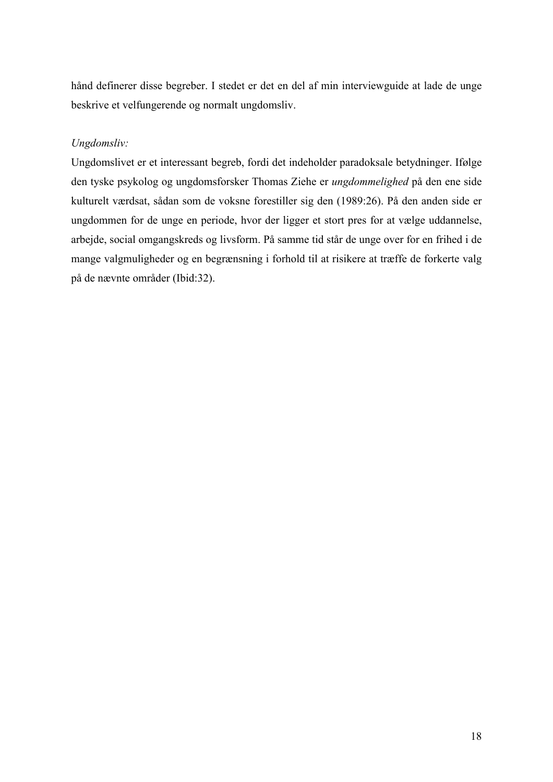hånd definerer disse begreber. I stedet er det en del af min interviewguide at lade de unge beskrive et velfungerende og normalt ungdomsliv.

## *Ungdomsliv:*

Ungdomslivet er et interessant begreb, fordi det indeholder paradoksale betydninger. Ifølge den tyske psykolog og ungdomsforsker Thomas Ziehe er *ungdommelighed* på den ene side kulturelt værdsat, sådan som de voksne forestiller sig den (1989:26). På den anden side er ungdommen for de unge en periode, hvor der ligger et stort pres for at vælge uddannelse, arbejde, social omgangskreds og livsform. På samme tid står de unge over for en frihed i de mange valgmuligheder og en begrænsning i forhold til at risikere at træffe de forkerte valg på de nævnte områder (Ibid:32).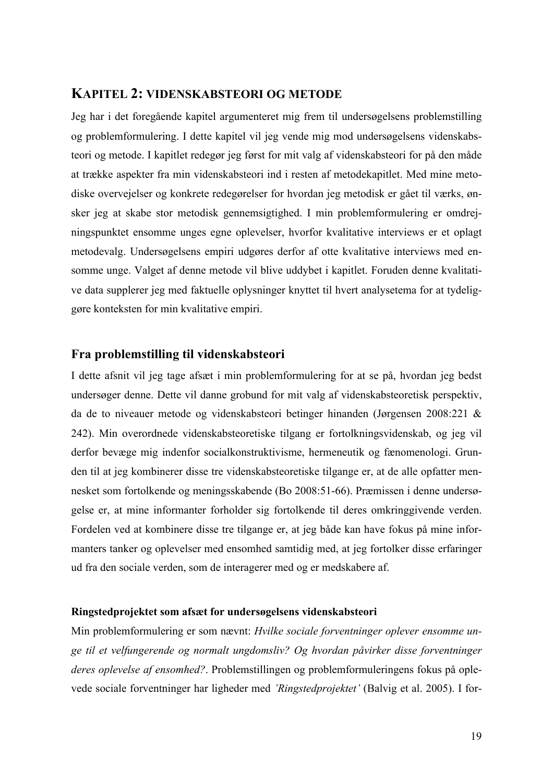## **KAPITEL 2: VIDENSKABSTEORI OG METODE**

Jeg har i det foregående kapitel argumenteret mig frem til undersøgelsens problemstilling og problemformulering. I dette kapitel vil jeg vende mig mod undersøgelsens videnskabsteori og metode. I kapitlet redegør jeg først for mit valg af videnskabsteori for på den måde at trække aspekter fra min videnskabsteori ind i resten af metodekapitlet. Med mine metodiske overvejelser og konkrete redegørelser for hvordan jeg metodisk er gået til værks, ønsker jeg at skabe stor metodisk gennemsigtighed. I min problemformulering er omdrejningspunktet ensomme unges egne oplevelser, hvorfor kvalitative interviews er et oplagt metodevalg. Undersøgelsens empiri udgøres derfor af otte kvalitative interviews med ensomme unge. Valget af denne metode vil blive uddybet i kapitlet. Foruden denne kvalitative data supplerer jeg med faktuelle oplysninger knyttet til hvert analysetema for at tydeliggøre konteksten for min kvalitative empiri.

### **Fra problemstilling til videnskabsteori**

I dette afsnit vil jeg tage afsæt i min problemformulering for at se på, hvordan jeg bedst undersøger denne. Dette vil danne grobund for mit valg af videnskabsteoretisk perspektiv, da de to niveauer metode og videnskabsteori betinger hinanden (Jørgensen 2008:221 & 242). Min overordnede videnskabsteoretiske tilgang er fortolkningsvidenskab, og jeg vil derfor bevæge mig indenfor socialkonstruktivisme, hermeneutik og fænomenologi. Grunden til at jeg kombinerer disse tre videnskabsteoretiske tilgange er, at de alle opfatter mennesket som fortolkende og meningsskabende (Bo 2008:51-66). Præmissen i denne undersøgelse er, at mine informanter forholder sig fortolkende til deres omkringgivende verden. Fordelen ved at kombinere disse tre tilgange er, at jeg både kan have fokus på mine informanters tanker og oplevelser med ensomhed samtidig med, at jeg fortolker disse erfaringer ud fra den sociale verden, som de interagerer med og er medskabere af.

#### **Ringstedprojektet som afsæt for undersøgelsens videnskabsteori**

Min problemformulering er som nævnt: *Hvilke sociale forventninger oplever ensomme unge til et velfungerende og normalt ungdomsliv? Og hvordan påvirker disse forventninger deres oplevelse af ensomhed?*. Problemstillingen og problemformuleringens fokus på oplevede sociale forventninger har ligheder med *'Ringstedprojektet'* (Balvig et al. 2005). I for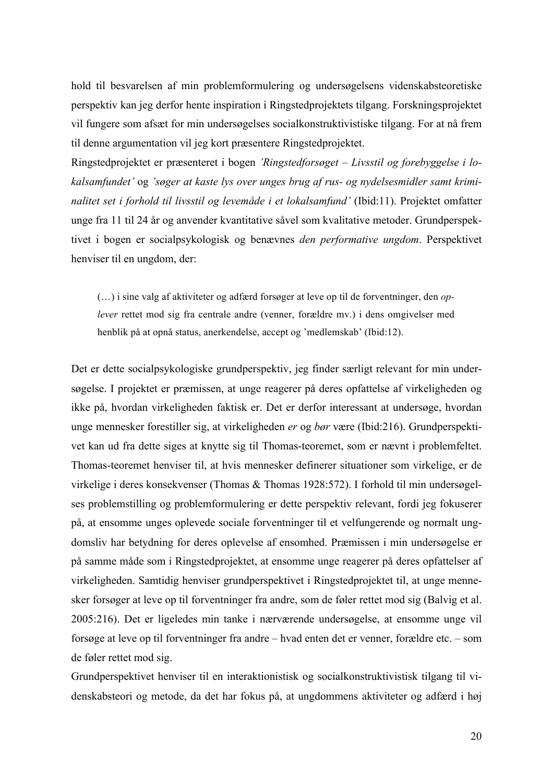hold til besvarelsen af min problemformulering og undersøgelsens videnskabsteoretiske perspektiv kan jeg derfor hente inspiration i Ringstedprojektets tilgang. Forskningsprojektet vil fungere som afsæt for min undersøgelses socialkonstruktivistiske tilgang. For at nå frem til denne argumentation vil jeg kort præsentere Ringstedprojektet.

Ringstedprojektet er præsenteret i bogen *'Ringstedforsøget – Livsstil og forebyggelse i lokalsamfundet'* og *'søger at kaste lys over unges brug af rus- og nydelsesmidler samt kriminalitet set i forhold til livsstil og levemåde i et lokalsamfund'* (Ibid:11). Projektet omfatter unge fra 11 til 24 år og anvender kvantitative såvel som kvalitative metoder. Grundperspektivet i bogen er socialpsykologisk og benævnes *den performative ungdom*. Perspektivet henviser til en ungdom, der:

(…) i sine valg af aktiviteter og adfærd forsøger at leve op til de forventninger, den *oplever* rettet mod sig fra centrale andre (venner, forældre mv.) i dens omgivelser med henblik på at opnå status, anerkendelse, accept og 'medlemskab' (Ibid:12).

Det er dette socialpsykologiske grundperspektiv, jeg finder særligt relevant for min undersøgelse. I projektet er præmissen, at unge reagerer på deres opfattelse af virkeligheden og ikke på, hvordan virkeligheden faktisk er. Det er derfor interessant at undersøge, hvordan unge mennesker forestiller sig, at virkeligheden *er* og *bør* være (Ibid:216). Grundperspektivet kan ud fra dette siges at knytte sig til Thomas-teoremet, som er nævnt i problemfeltet. Thomas-teoremet henviser til, at hvis mennesker definerer situationer som virkelige, er de virkelige i deres konsekvenser (Thomas & Thomas 1928:572). I forhold til min undersøgelses problemstilling og problemformulering er dette perspektiv relevant, fordi jeg fokuserer på, at ensomme unges oplevede sociale forventninger til et velfungerende og normalt ungdomsliv har betydning for deres oplevelse af ensomhed. Præmissen i min undersøgelse er på samme måde som i Ringstedprojektet, at ensomme unge reagerer på deres opfattelser af virkeligheden. Samtidig henviser grundperspektivet i Ringstedprojektet til, at unge mennesker forsøger at leve op til forventninger fra andre, som de føler rettet mod sig (Balvig et al. 2005:216). Det er ligeledes min tanke i nærværende undersøgelse, at ensomme unge vil forsøge at leve op til forventninger fra andre – hvad enten det er venner, forældre etc. – som de føler rettet mod sig.

Grundperspektivet henviser til en interaktionistisk og socialkonstruktivistisk tilgang til videnskabsteori og metode, da det har fokus på, at ungdommens aktiviteter og adfærd i høj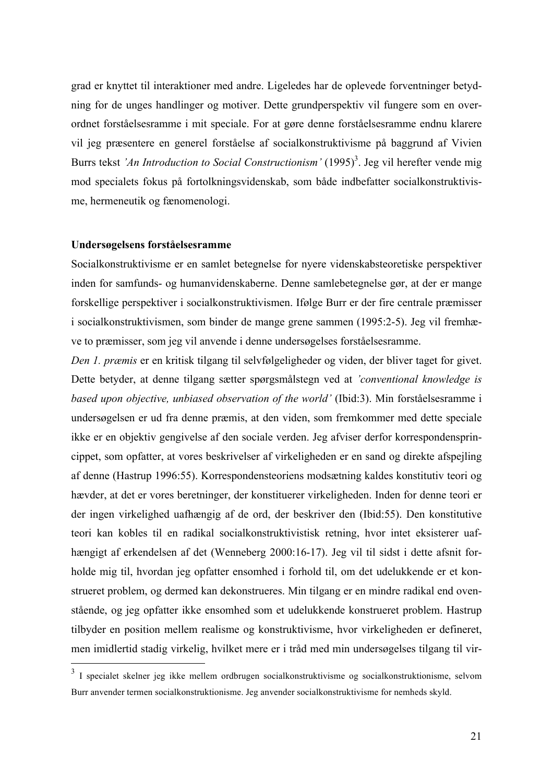grad er knyttet til interaktioner med andre. Ligeledes har de oplevede forventninger betydning for de unges handlinger og motiver. Dette grundperspektiv vil fungere som en overordnet forståelsesramme i mit speciale. For at gøre denne forståelsesramme endnu klarere vil jeg præsentere en generel forståelse af socialkonstruktivisme på baggrund af Vivien Burrs tekst *'An Introduction to Social Constructionism'* (1995)<sup>3</sup>. Jeg vil herefter vende mig mod specialets fokus på fortolkningsvidenskab, som både indbefatter socialkonstruktivisme, hermeneutik og fænomenologi.

#### **Undersøgelsens forståelsesramme**

Socialkonstruktivisme er en samlet betegnelse for nyere videnskabsteoretiske perspektiver inden for samfunds- og humanvidenskaberne. Denne samlebetegnelse gør, at der er mange forskellige perspektiver i socialkonstruktivismen. Ifølge Burr er der fire centrale præmisser i socialkonstruktivismen, som binder de mange grene sammen (1995:2-5). Jeg vil fremhæve to præmisser, som jeg vil anvende i denne undersøgelses forståelsesramme.

*Den 1. præmis* er en kritisk tilgang til selvfølgeligheder og viden, der bliver taget for givet. Dette betyder, at denne tilgang sætter spørgsmålstegn ved at *'conventional knowledge is based upon objective, unbiased observation of the world'* (Ibid:3). Min forståelsesramme i undersøgelsen er ud fra denne præmis, at den viden, som fremkommer med dette speciale ikke er en objektiv gengivelse af den sociale verden. Jeg afviser derfor korrespondensprincippet, som opfatter, at vores beskrivelser af virkeligheden er en sand og direkte afspejling af denne (Hastrup 1996:55). Korrespondensteoriens modsætning kaldes konstitutiv teori og hævder, at det er vores beretninger, der konstituerer virkeligheden. Inden for denne teori er der ingen virkelighed uafhængig af de ord, der beskriver den (Ibid:55). Den konstitutive teori kan kobles til en radikal socialkonstruktivistisk retning, hvor intet eksisterer uafhængigt af erkendelsen af det (Wenneberg 2000:16-17). Jeg vil til sidst i dette afsnit forholde mig til, hvordan jeg opfatter ensomhed i forhold til, om det udelukkende er et konstrueret problem, og dermed kan dekonstrueres. Min tilgang er en mindre radikal end ovenstående, og jeg opfatter ikke ensomhed som et udelukkende konstrueret problem. Hastrup tilbyder en position mellem realisme og konstruktivisme, hvor virkeligheden er defineret, men imidlertid stadig virkelig, hvilket mere er i tråd med min undersøgelses tilgang til vir-

 <sup>3</sup> I specialet skelner jeg ikke mellem ordbrugen socialkonstruktivisme og socialkonstruktionisme, selvom Burr anvender termen socialkonstruktionisme. Jeg anvender socialkonstruktivisme for nemheds skyld.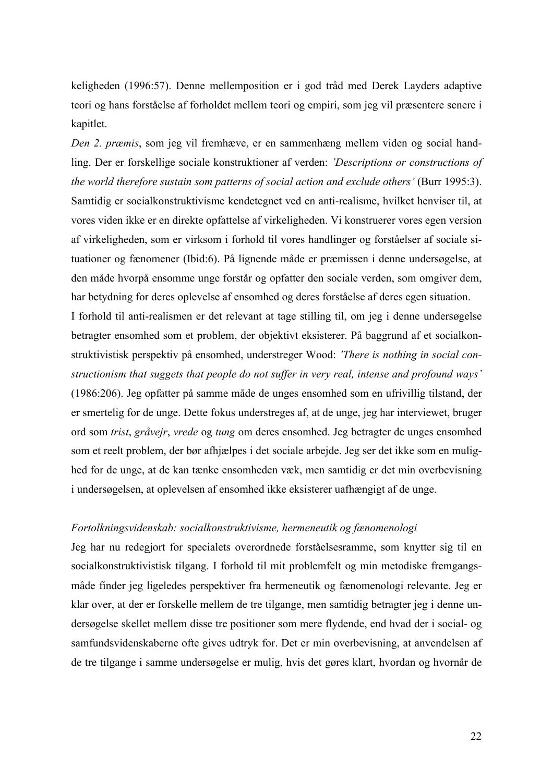keligheden (1996:57). Denne mellemposition er i god tråd med Derek Layders adaptive teori og hans forståelse af forholdet mellem teori og empiri, som jeg vil præsentere senere i kapitlet.

*Den 2. præmis*, som jeg vil fremhæve, er en sammenhæng mellem viden og social handling. Der er forskellige sociale konstruktioner af verden: *'Descriptions or constructions of the world therefore sustain som patterns of social action and exclude others'* (Burr 1995:3). Samtidig er socialkonstruktivisme kendetegnet ved en anti-realisme, hvilket henviser til, at vores viden ikke er en direkte opfattelse af virkeligheden. Vi konstruerer vores egen version af virkeligheden, som er virksom i forhold til vores handlinger og forståelser af sociale situationer og fænomener (Ibid:6). På lignende måde er præmissen i denne undersøgelse, at den måde hvorpå ensomme unge forstår og opfatter den sociale verden, som omgiver dem, har betydning for deres oplevelse af ensomhed og deres forståelse af deres egen situation. I forhold til anti-realismen er det relevant at tage stilling til, om jeg i denne undersøgelse betragter ensomhed som et problem, der objektivt eksisterer. På baggrund af et socialkonstruktivistisk perspektiv på ensomhed, understreger Wood: *'There is nothing in social constructionism that suggets that people do not suffer in very real, intense and profound ways'*  (1986:206). Jeg opfatter på samme måde de unges ensomhed som en ufrivillig tilstand, der er smertelig for de unge. Dette fokus understreges af, at de unge, jeg har interviewet, bruger ord som *trist*, *gråvejr*, *vrede* og *tung* om deres ensomhed. Jeg betragter de unges ensomhed som et reelt problem, der bør afhjælpes i det sociale arbejde. Jeg ser det ikke som en mulighed for de unge, at de kan tænke ensomheden væk, men samtidig er det min overbevisning i undersøgelsen, at oplevelsen af ensomhed ikke eksisterer uafhængigt af de unge.

#### *Fortolkningsvidenskab: socialkonstruktivisme, hermeneutik og fænomenologi*

Jeg har nu redegjort for specialets overordnede forståelsesramme, som knytter sig til en socialkonstruktivistisk tilgang. I forhold til mit problemfelt og min metodiske fremgangsmåde finder jeg ligeledes perspektiver fra hermeneutik og fænomenologi relevante. Jeg er klar over, at der er forskelle mellem de tre tilgange, men samtidig betragter jeg i denne undersøgelse skellet mellem disse tre positioner som mere flydende, end hvad der i social- og samfundsvidenskaberne ofte gives udtryk for. Det er min overbevisning, at anvendelsen af de tre tilgange i samme undersøgelse er mulig, hvis det gøres klart, hvordan og hvornår de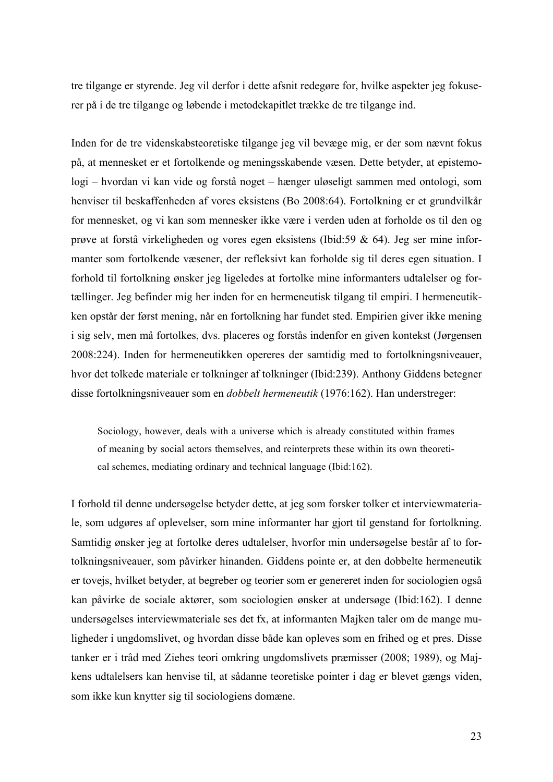tre tilgange er styrende. Jeg vil derfor i dette afsnit redegøre for, hvilke aspekter jeg fokuserer på i de tre tilgange og løbende i metodekapitlet trække de tre tilgange ind.

Inden for de tre videnskabsteoretiske tilgange jeg vil bevæge mig, er der som nævnt fokus på, at mennesket er et fortolkende og meningsskabende væsen. Dette betyder, at epistemologi – hvordan vi kan vide og forstå noget – hænger uløseligt sammen med ontologi, som henviser til beskaffenheden af vores eksistens (Bo 2008:64). Fortolkning er et grundvilkår for mennesket, og vi kan som mennesker ikke være i verden uden at forholde os til den og prøve at forstå virkeligheden og vores egen eksistens (Ibid:59 & 64). Jeg ser mine informanter som fortolkende væsener, der refleksivt kan forholde sig til deres egen situation. I forhold til fortolkning ønsker jeg ligeledes at fortolke mine informanters udtalelser og fortællinger. Jeg befinder mig her inden for en hermeneutisk tilgang til empiri. I hermeneutikken opstår der først mening, når en fortolkning har fundet sted. Empirien giver ikke mening i sig selv, men må fortolkes, dvs. placeres og forstås indenfor en given kontekst (Jørgensen 2008:224). Inden for hermeneutikken opereres der samtidig med to fortolkningsniveauer, hvor det tolkede materiale er tolkninger af tolkninger (Ibid:239). Anthony Giddens betegner disse fortolkningsniveauer som en *dobbelt hermeneutik* (1976:162). Han understreger:

Sociology, however, deals with a universe which is already constituted within frames of meaning by social actors themselves, and reinterprets these within its own theoretical schemes, mediating ordinary and technical language (Ibid:162).

I forhold til denne undersøgelse betyder dette, at jeg som forsker tolker et interviewmateriale, som udgøres af oplevelser, som mine informanter har gjort til genstand for fortolkning. Samtidig ønsker jeg at fortolke deres udtalelser, hvorfor min undersøgelse består af to fortolkningsniveauer, som påvirker hinanden. Giddens pointe er, at den dobbelte hermeneutik er tovejs, hvilket betyder, at begreber og teorier som er genereret inden for sociologien også kan påvirke de sociale aktører, som sociologien ønsker at undersøge (Ibid:162). I denne undersøgelses interviewmateriale ses det fx, at informanten Majken taler om de mange muligheder i ungdomslivet, og hvordan disse både kan opleves som en frihed og et pres. Disse tanker er i tråd med Ziehes teori omkring ungdomslivets præmisser (2008; 1989), og Majkens udtalelsers kan henvise til, at sådanne teoretiske pointer i dag er blevet gængs viden, som ikke kun knytter sig til sociologiens domæne.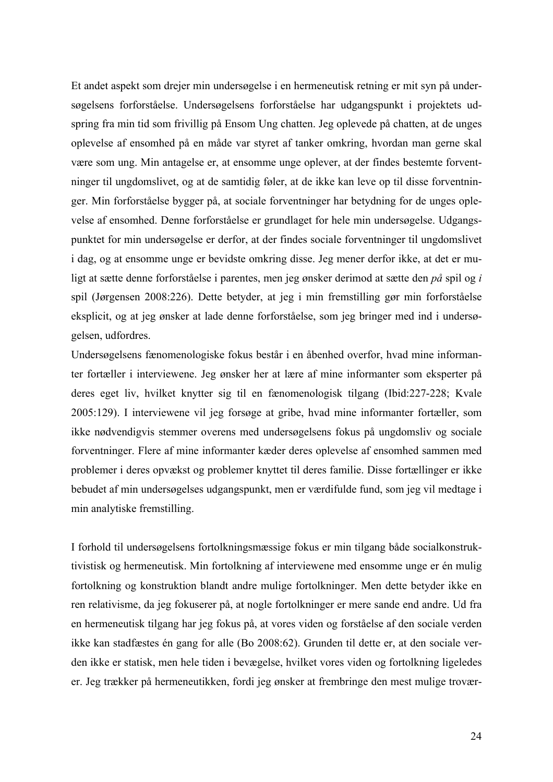Et andet aspekt som drejer min undersøgelse i en hermeneutisk retning er mit syn på undersøgelsens forforståelse. Undersøgelsens forforståelse har udgangspunkt i projektets udspring fra min tid som frivillig på Ensom Ung chatten. Jeg oplevede på chatten, at de unges oplevelse af ensomhed på en måde var styret af tanker omkring, hvordan man gerne skal være som ung. Min antagelse er, at ensomme unge oplever, at der findes bestemte forventninger til ungdomslivet, og at de samtidig føler, at de ikke kan leve op til disse forventninger. Min forforståelse bygger på, at sociale forventninger har betydning for de unges oplevelse af ensomhed. Denne forforståelse er grundlaget for hele min undersøgelse. Udgangspunktet for min undersøgelse er derfor, at der findes sociale forventninger til ungdomslivet i dag, og at ensomme unge er bevidste omkring disse. Jeg mener derfor ikke, at det er muligt at sætte denne forforståelse i parentes, men jeg ønsker derimod at sætte den *på* spil og *i*  spil (Jørgensen 2008:226). Dette betyder, at jeg i min fremstilling gør min forforståelse eksplicit, og at jeg ønsker at lade denne forforståelse, som jeg bringer med ind i undersøgelsen, udfordres.

Undersøgelsens fænomenologiske fokus består i en åbenhed overfor, hvad mine informanter fortæller i interviewene. Jeg ønsker her at lære af mine informanter som eksperter på deres eget liv, hvilket knytter sig til en fænomenologisk tilgang (Ibid:227-228; Kvale 2005:129). I interviewene vil jeg forsøge at gribe, hvad mine informanter fortæller, som ikke nødvendigvis stemmer overens med undersøgelsens fokus på ungdomsliv og sociale forventninger. Flere af mine informanter kæder deres oplevelse af ensomhed sammen med problemer i deres opvækst og problemer knyttet til deres familie. Disse fortællinger er ikke bebudet af min undersøgelses udgangspunkt, men er værdifulde fund, som jeg vil medtage i min analytiske fremstilling.

I forhold til undersøgelsens fortolkningsmæssige fokus er min tilgang både socialkonstruktivistisk og hermeneutisk. Min fortolkning af interviewene med ensomme unge er én mulig fortolkning og konstruktion blandt andre mulige fortolkninger. Men dette betyder ikke en ren relativisme, da jeg fokuserer på, at nogle fortolkninger er mere sande end andre. Ud fra en hermeneutisk tilgang har jeg fokus på, at vores viden og forståelse af den sociale verden ikke kan stadfæstes én gang for alle (Bo 2008:62). Grunden til dette er, at den sociale verden ikke er statisk, men hele tiden i bevægelse, hvilket vores viden og fortolkning ligeledes er. Jeg trækker på hermeneutikken, fordi jeg ønsker at frembringe den mest mulige trovær-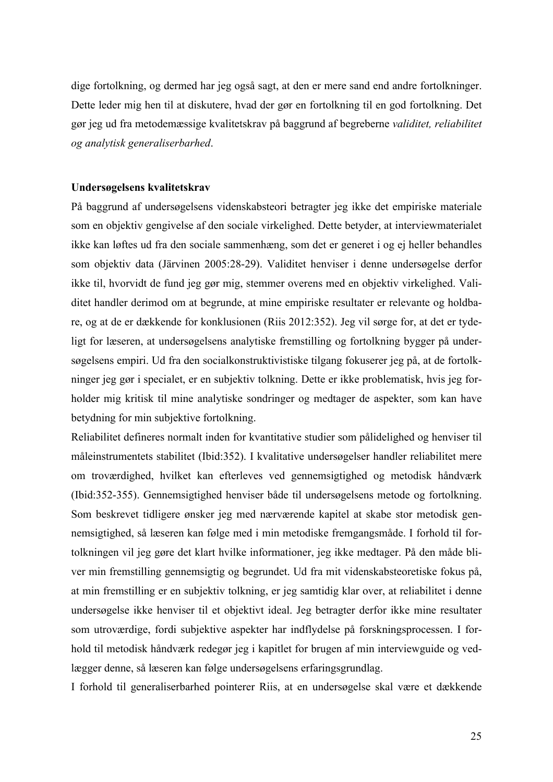dige fortolkning, og dermed har jeg også sagt, at den er mere sand end andre fortolkninger. Dette leder mig hen til at diskutere, hvad der gør en fortolkning til en god fortolkning. Det gør jeg ud fra metodemæssige kvalitetskrav på baggrund af begreberne *validitet, reliabilitet og analytisk generaliserbarhed*.

#### **Undersøgelsens kvalitetskrav**

På baggrund af undersøgelsens videnskabsteori betragter jeg ikke det empiriske materiale som en objektiv gengivelse af den sociale virkelighed. Dette betyder, at interviewmaterialet ikke kan løftes ud fra den sociale sammenhæng, som det er generet i og ej heller behandles som objektiv data (Järvinen 2005:28-29). Validitet henviser i denne undersøgelse derfor ikke til, hvorvidt de fund jeg gør mig, stemmer overens med en objektiv virkelighed. Validitet handler derimod om at begrunde, at mine empiriske resultater er relevante og holdbare, og at de er dækkende for konklusionen (Riis 2012:352). Jeg vil sørge for, at det er tydeligt for læseren, at undersøgelsens analytiske fremstilling og fortolkning bygger på undersøgelsens empiri. Ud fra den socialkonstruktivistiske tilgang fokuserer jeg på, at de fortolkninger jeg gør i specialet, er en subjektiv tolkning. Dette er ikke problematisk, hvis jeg forholder mig kritisk til mine analytiske sondringer og medtager de aspekter, som kan have betydning for min subjektive fortolkning.

Reliabilitet defineres normalt inden for kvantitative studier som pålidelighed og henviser til måleinstrumentets stabilitet (Ibid:352). I kvalitative undersøgelser handler reliabilitet mere om troværdighed, hvilket kan efterleves ved gennemsigtighed og metodisk håndværk (Ibid:352-355). Gennemsigtighed henviser både til undersøgelsens metode og fortolkning. Som beskrevet tidligere ønsker jeg med nærværende kapitel at skabe stor metodisk gennemsigtighed, så læseren kan følge med i min metodiske fremgangsmåde. I forhold til fortolkningen vil jeg gøre det klart hvilke informationer, jeg ikke medtager. På den måde bliver min fremstilling gennemsigtig og begrundet. Ud fra mit videnskabsteoretiske fokus på, at min fremstilling er en subjektiv tolkning, er jeg samtidig klar over, at reliabilitet i denne undersøgelse ikke henviser til et objektivt ideal. Jeg betragter derfor ikke mine resultater som utroværdige, fordi subjektive aspekter har indflydelse på forskningsprocessen. I forhold til metodisk håndværk redegør jeg i kapitlet for brugen af min interviewguide og vedlægger denne, så læseren kan følge undersøgelsens erfaringsgrundlag.

I forhold til generaliserbarhed pointerer Riis, at en undersøgelse skal være et dækkende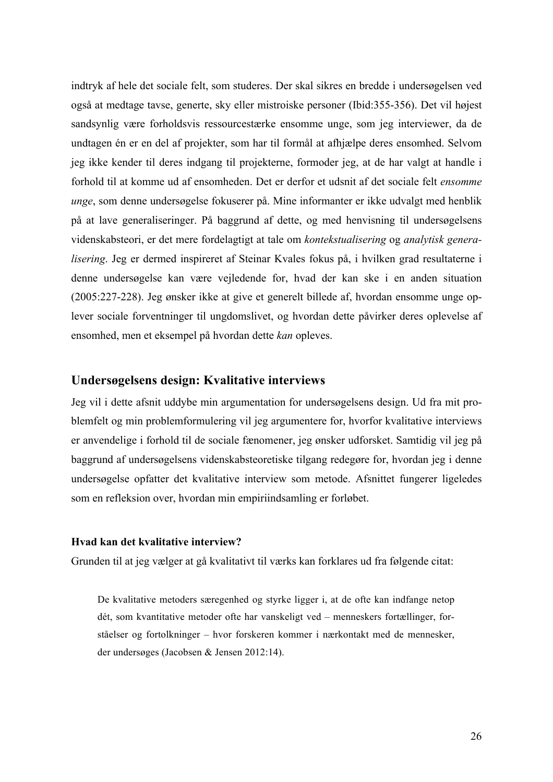indtryk af hele det sociale felt, som studeres. Der skal sikres en bredde i undersøgelsen ved også at medtage tavse, generte, sky eller mistroiske personer (Ibid:355-356). Det vil højest sandsynlig være forholdsvis ressourcestærke ensomme unge, som jeg interviewer, da de undtagen én er en del af projekter, som har til formål at afhjælpe deres ensomhed. Selvom jeg ikke kender til deres indgang til projekterne, formoder jeg, at de har valgt at handle i forhold til at komme ud af ensomheden. Det er derfor et udsnit af det sociale felt *ensomme unge*, som denne undersøgelse fokuserer på. Mine informanter er ikke udvalgt med henblik på at lave generaliseringer. På baggrund af dette, og med henvisning til undersøgelsens videnskabsteori, er det mere fordelagtigt at tale om *kontekstualisering* og *analytisk generalisering*. Jeg er dermed inspireret af Steinar Kvales fokus på, i hvilken grad resultaterne i denne undersøgelse kan være vejledende for, hvad der kan ske i en anden situation (2005:227-228). Jeg ønsker ikke at give et generelt billede af, hvordan ensomme unge oplever sociale forventninger til ungdomslivet, og hvordan dette påvirker deres oplevelse af ensomhed, men et eksempel på hvordan dette *kan* opleves.

## **Undersøgelsens design: Kvalitative interviews**

Jeg vil i dette afsnit uddybe min argumentation for undersøgelsens design. Ud fra mit problemfelt og min problemformulering vil jeg argumentere for, hvorfor kvalitative interviews er anvendelige i forhold til de sociale fænomener, jeg ønsker udforsket. Samtidig vil jeg på baggrund af undersøgelsens videnskabsteoretiske tilgang redegøre for, hvordan jeg i denne undersøgelse opfatter det kvalitative interview som metode. Afsnittet fungerer ligeledes som en refleksion over, hvordan min empiriindsamling er forløbet.

#### **Hvad kan det kvalitative interview?**

Grunden til at jeg vælger at gå kvalitativt til værks kan forklares ud fra følgende citat:

De kvalitative metoders særegenhed og styrke ligger i, at de ofte kan indfange netop dét, som kvantitative metoder ofte har vanskeligt ved – menneskers fortællinger, forståelser og fortolkninger – hvor forskeren kommer i nærkontakt med de mennesker, der undersøges (Jacobsen & Jensen 2012:14).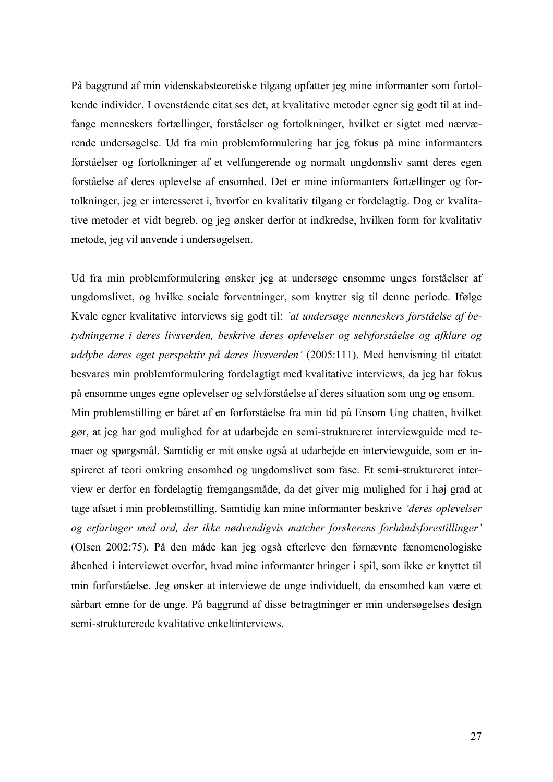På baggrund af min videnskabsteoretiske tilgang opfatter jeg mine informanter som fortolkende individer. I ovenstående citat ses det, at kvalitative metoder egner sig godt til at indfange menneskers fortællinger, forståelser og fortolkninger, hvilket er sigtet med nærværende undersøgelse. Ud fra min problemformulering har jeg fokus på mine informanters forståelser og fortolkninger af et velfungerende og normalt ungdomsliv samt deres egen forståelse af deres oplevelse af ensomhed. Det er mine informanters fortællinger og fortolkninger, jeg er interesseret i, hvorfor en kvalitativ tilgang er fordelagtig. Dog er kvalitative metoder et vidt begreb, og jeg ønsker derfor at indkredse, hvilken form for kvalitativ metode, jeg vil anvende i undersøgelsen.

Ud fra min problemformulering ønsker jeg at undersøge ensomme unges forståelser af ungdomslivet, og hvilke sociale forventninger, som knytter sig til denne periode. Ifølge Kvale egner kvalitative interviews sig godt til: *'at undersøge menneskers forståelse af betydningerne i deres livsverden, beskrive deres oplevelser og selvforståelse og afklare og uddybe deres eget perspektiv på deres livsverden'* (2005:111). Med henvisning til citatet besvares min problemformulering fordelagtigt med kvalitative interviews, da jeg har fokus på ensomme unges egne oplevelser og selvforståelse af deres situation som ung og ensom. Min problemstilling er båret af en forforståelse fra min tid på Ensom Ung chatten, hvilket gør, at jeg har god mulighed for at udarbejde en semi-struktureret interviewguide med temaer og spørgsmål. Samtidig er mit ønske også at udarbejde en interviewguide, som er inspireret af teori omkring ensomhed og ungdomslivet som fase. Et semi-struktureret interview er derfor en fordelagtig fremgangsmåde, da det giver mig mulighed for i høj grad at tage afsæt i min problemstilling. Samtidig kan mine informanter beskrive *'deres oplevelser og erfaringer med ord, der ikke nødvendigvis matcher forskerens forhåndsforestillinger'* (Olsen 2002:75). På den måde kan jeg også efterleve den førnævnte fænomenologiske åbenhed i interviewet overfor, hvad mine informanter bringer i spil, som ikke er knyttet til min forforståelse. Jeg ønsker at interviewe de unge individuelt, da ensomhed kan være et sårbart emne for de unge. På baggrund af disse betragtninger er min undersøgelses design semi-strukturerede kvalitative enkeltinterviews.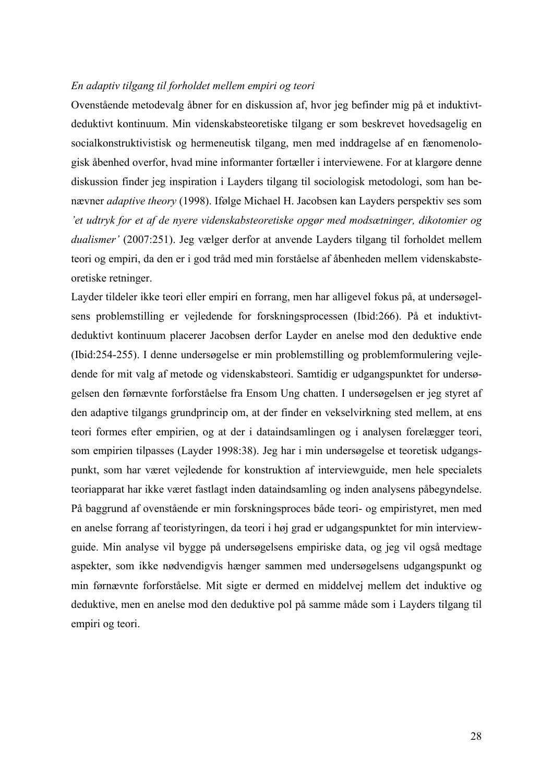#### *En adaptiv tilgang til forholdet mellem empiri og teori*

Ovenstående metodevalg åbner for en diskussion af, hvor jeg befinder mig på et induktivtdeduktivt kontinuum. Min videnskabsteoretiske tilgang er som beskrevet hovedsagelig en socialkonstruktivistisk og hermeneutisk tilgang, men med inddragelse af en fænomenologisk åbenhed overfor, hvad mine informanter fortæller i interviewene. For at klargøre denne diskussion finder jeg inspiration i Layders tilgang til sociologisk metodologi, som han benævner *adaptive theory* (1998). Ifølge Michael H. Jacobsen kan Layders perspektiv ses som *'et udtryk for et af de nyere videnskabsteoretiske opgør med modsætninger, dikotomier og dualismer'* (2007:251). Jeg vælger derfor at anvende Layders tilgang til forholdet mellem teori og empiri, da den er i god tråd med min forståelse af åbenheden mellem videnskabsteoretiske retninger.

Layder tildeler ikke teori eller empiri en forrang, men har alligevel fokus på, at undersøgelsens problemstilling er vejledende for forskningsprocessen (Ibid:266). På et induktivtdeduktivt kontinuum placerer Jacobsen derfor Layder en anelse mod den deduktive ende (Ibid:254-255). I denne undersøgelse er min problemstilling og problemformulering vejledende for mit valg af metode og videnskabsteori. Samtidig er udgangspunktet for undersøgelsen den førnævnte forforståelse fra Ensom Ung chatten. I undersøgelsen er jeg styret af den adaptive tilgangs grundprincip om, at der finder en vekselvirkning sted mellem, at ens teori formes efter empirien, og at der i dataindsamlingen og i analysen forelægger teori, som empirien tilpasses (Layder 1998:38). Jeg har i min undersøgelse et teoretisk udgangspunkt, som har været vejledende for konstruktion af interviewguide, men hele specialets teoriapparat har ikke været fastlagt inden dataindsamling og inden analysens påbegyndelse. På baggrund af ovenstående er min forskningsproces både teori- og empiristyret, men med en anelse forrang af teoristyringen, da teori i høj grad er udgangspunktet for min interviewguide. Min analyse vil bygge på undersøgelsens empiriske data, og jeg vil også medtage aspekter, som ikke nødvendigvis hænger sammen med undersøgelsens udgangspunkt og min førnævnte forforståelse. Mit sigte er dermed en middelvej mellem det induktive og deduktive, men en anelse mod den deduktive pol på samme måde som i Layders tilgang til empiri og teori.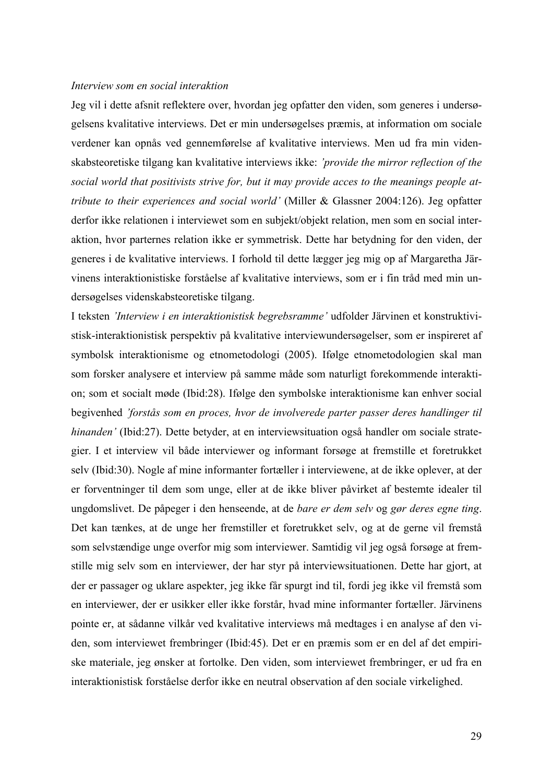#### *Interview som en social interaktion*

Jeg vil i dette afsnit reflektere over, hvordan jeg opfatter den viden, som generes i undersøgelsens kvalitative interviews. Det er min undersøgelses præmis, at information om sociale verdener kan opnås ved gennemførelse af kvalitative interviews. Men ud fra min videnskabsteoretiske tilgang kan kvalitative interviews ikke: *'provide the mirror reflection of the social world that positivists strive for, but it may provide acces to the meanings people attribute to their experiences and social world'* (Miller & Glassner 2004:126). Jeg opfatter derfor ikke relationen i interviewet som en subjekt/objekt relation, men som en social interaktion, hvor parternes relation ikke er symmetrisk. Dette har betydning for den viden, der generes i de kvalitative interviews. I forhold til dette lægger jeg mig op af Margaretha Järvinens interaktionistiske forståelse af kvalitative interviews, som er i fin tråd med min undersøgelses videnskabsteoretiske tilgang.

I teksten *'Interview i en interaktionistisk begrebsramme'* udfolder Järvinen et konstruktivistisk-interaktionistisk perspektiv på kvalitative interviewundersøgelser, som er inspireret af symbolsk interaktionisme og etnometodologi (2005). Ifølge etnometodologien skal man som forsker analysere et interview på samme måde som naturligt forekommende interaktion; som et socialt møde (Ibid:28). Ifølge den symbolske interaktionisme kan enhver social begivenhed *'forstås som en proces, hvor de involverede parter passer deres handlinger til hinanden'* (Ibid:27). Dette betyder, at en interviewsituation også handler om sociale strategier. I et interview vil både interviewer og informant forsøge at fremstille et foretrukket selv (Ibid:30). Nogle af mine informanter fortæller i interviewene, at de ikke oplever, at der er forventninger til dem som unge, eller at de ikke bliver påvirket af bestemte idealer til ungdomslivet. De påpeger i den henseende, at de *bare er dem selv* og *gør deres egne ting*. Det kan tænkes, at de unge her fremstiller et foretrukket selv, og at de gerne vil fremstå som selvstændige unge overfor mig som interviewer. Samtidig vil jeg også forsøge at fremstille mig selv som en interviewer, der har styr på interviewsituationen. Dette har gjort, at der er passager og uklare aspekter, jeg ikke får spurgt ind til, fordi jeg ikke vil fremstå som en interviewer, der er usikker eller ikke forstår, hvad mine informanter fortæller. Järvinens pointe er, at sådanne vilkår ved kvalitative interviews må medtages i en analyse af den viden, som interviewet frembringer (Ibid:45). Det er en præmis som er en del af det empiriske materiale, jeg ønsker at fortolke. Den viden, som interviewet frembringer, er ud fra en interaktionistisk forståelse derfor ikke en neutral observation af den sociale virkelighed.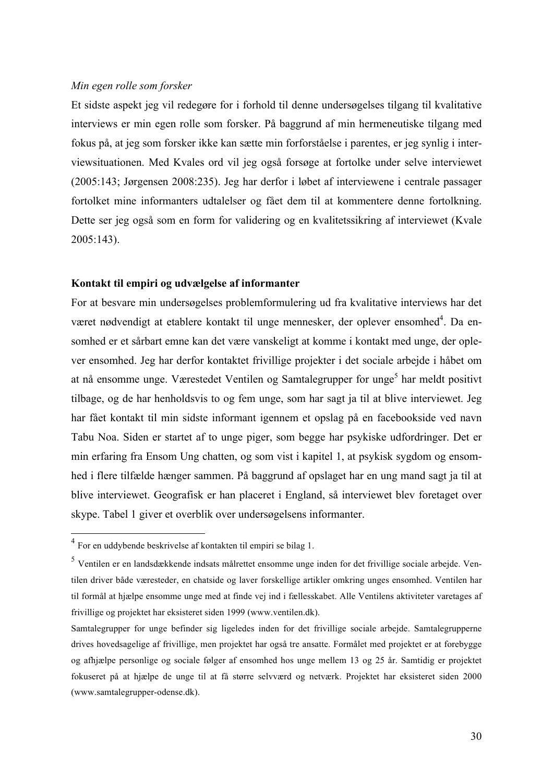#### *Min egen rolle som forsker*

Et sidste aspekt jeg vil redegøre for i forhold til denne undersøgelses tilgang til kvalitative interviews er min egen rolle som forsker. På baggrund af min hermeneutiske tilgang med fokus på, at jeg som forsker ikke kan sætte min forforståelse i parentes, er jeg synlig i interviewsituationen. Med Kvales ord vil jeg også forsøge at fortolke under selve interviewet (2005:143; Jørgensen 2008:235). Jeg har derfor i løbet af interviewene i centrale passager fortolket mine informanters udtalelser og fået dem til at kommentere denne fortolkning. Dette ser jeg også som en form for validering og en kvalitetssikring af interviewet (Kvale 2005:143).

### **Kontakt til empiri og udvælgelse af informanter**

For at besvare min undersøgelses problemformulering ud fra kvalitative interviews har det været nødvendigt at etablere kontakt til unge mennesker, der oplever ensomhed<sup>4</sup>. Da ensomhed er et sårbart emne kan det være vanskeligt at komme i kontakt med unge, der oplever ensomhed. Jeg har derfor kontaktet frivillige projekter i det sociale arbejde i håbet om at nå ensomme unge. Værestedet Ventilen og Samtalegrupper for unge<sup>5</sup> har meldt positivt tilbage, og de har henholdsvis to og fem unge, som har sagt ja til at blive interviewet. Jeg har fået kontakt til min sidste informant igennem et opslag på en facebookside ved navn Tabu Noa. Siden er startet af to unge piger, som begge har psykiske udfordringer. Det er min erfaring fra Ensom Ung chatten, og som vist i kapitel 1, at psykisk sygdom og ensomhed i flere tilfælde hænger sammen. På baggrund af opslaget har en ung mand sagt ja til at blive interviewet. Geografisk er han placeret i England, så interviewet blev foretaget over skype. Tabel 1 giver et overblik over undersøgelsens informanter.

 <sup>4</sup> For en uddybende beskrivelse af kontakten til empiri se bilag 1.

<sup>5</sup> Ventilen er en landsdækkende indsats målrettet ensomme unge inden for det frivillige sociale arbejde. Ventilen driver både væresteder, en chatside og laver forskellige artikler omkring unges ensomhed. Ventilen har til formål at hjælpe ensomme unge med at finde vej ind i fællesskabet. Alle Ventilens aktiviteter varetages af frivillige og projektet har eksisteret siden 1999 (www.ventilen.dk).

Samtalegrupper for unge befinder sig ligeledes inden for det frivillige sociale arbejde. Samtalegrupperne drives hovedsagelige af frivillige, men projektet har også tre ansatte. Formålet med projektet er at forebygge og afhjælpe personlige og sociale følger af ensomhed hos unge mellem 13 og 25 år. Samtidig er projektet fokuseret på at hjælpe de unge til at få større selvværd og netværk. Projektet har eksisteret siden 2000 (www.samtalegrupper-odense.dk).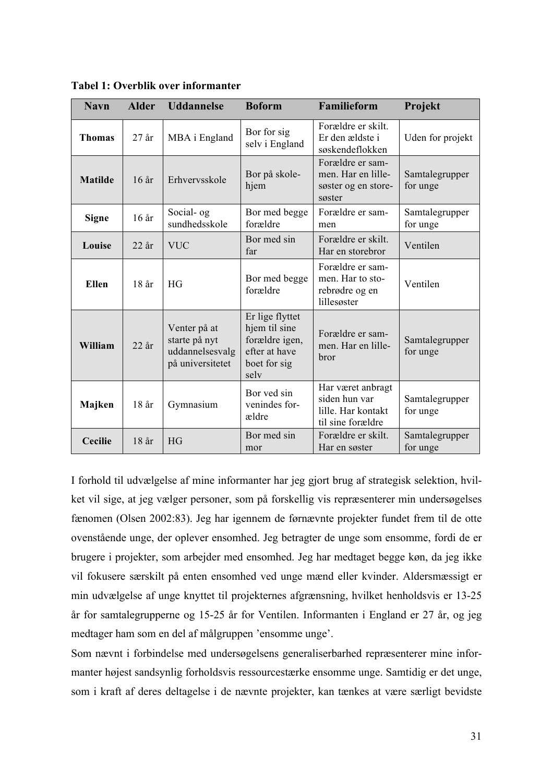| <b>Navn</b>    | <b>Alder</b> | <b>Uddannelse</b>                                                    | <b>Boform</b>                                                                               | Familieform                                                                   | Projekt                    |
|----------------|--------------|----------------------------------------------------------------------|---------------------------------------------------------------------------------------------|-------------------------------------------------------------------------------|----------------------------|
| <b>Thomas</b>  | $27$ år      | MBA i England                                                        | Bor for sig<br>selv i England                                                               | Forældre er skilt.<br>Er den ældste i<br>søskendeflokken                      | Uden for projekt           |
| <b>Matilde</b> | $16$ år      | Erhvervsskole                                                        | Bor på skole-<br>hjem                                                                       | Forældre er sam-<br>men. Har en lille-<br>søster og en store-<br>søster       | Samtalegrupper<br>for unge |
| <b>Signe</b>   | 16 år        | Social- og<br>sundhedsskole                                          | Bor med begge<br>forældre                                                                   | Forældre er sam-<br>men                                                       | Samtalegrupper<br>for unge |
| Louise         | $22$ år      | <b>VUC</b>                                                           | Bor med sin<br>far                                                                          | Forældre er skilt.<br>Har en storebror                                        | Ventilen                   |
| <b>Ellen</b>   | $18$ år      | HG                                                                   | Bor med begge<br>forældre                                                                   | Forældre er sam-<br>men. Har to sto-<br>rebrødre og en<br>lillesøster         | Ventilen                   |
| William        | $22$ år      | Venter på at<br>starte på nyt<br>uddannelsesvalg<br>på universitetet | Er lige flyttet<br>hjem til sine<br>forældre igen,<br>efter at have<br>boet for sig<br>selv | Forældre er sam-<br>men. Har en lille-<br>bror                                | Samtalegrupper<br>for unge |
| Majken         | 18 år        | Gymnasium                                                            | Bor yed sin<br>venindes for-<br>ældre                                                       | Har været anbragt<br>siden hun var<br>lille. Har kontakt<br>til sine forældre | Samtalegrupper<br>for unge |
| <b>Cecilie</b> | 18 år        | <b>HG</b>                                                            | Bor med sin<br>mor                                                                          | Forældre er skilt.<br>Har en søster                                           | Samtalegrupper<br>for unge |

**Tabel 1: Overblik over informanter**

I forhold til udvælgelse af mine informanter har jeg gjort brug af strategisk selektion, hvilket vil sige, at jeg vælger personer, som på forskellig vis repræsenterer min undersøgelses fænomen (Olsen 2002:83). Jeg har igennem de førnævnte projekter fundet frem til de otte ovenstående unge, der oplever ensomhed. Jeg betragter de unge som ensomme, fordi de er brugere i projekter, som arbejder med ensomhed. Jeg har medtaget begge køn, da jeg ikke vil fokusere særskilt på enten ensomhed ved unge mænd eller kvinder. Aldersmæssigt er min udvælgelse af unge knyttet til projekternes afgrænsning, hvilket henholdsvis er 13-25 år for samtalegrupperne og 15-25 år for Ventilen. Informanten i England er 27 år, og jeg medtager ham som en del af målgruppen 'ensomme unge'.

Som nævnt i forbindelse med undersøgelsens generaliserbarhed repræsenterer mine informanter højest sandsynlig forholdsvis ressourcestærke ensomme unge. Samtidig er det unge, som i kraft af deres deltagelse i de nævnte projekter, kan tænkes at være særligt bevidste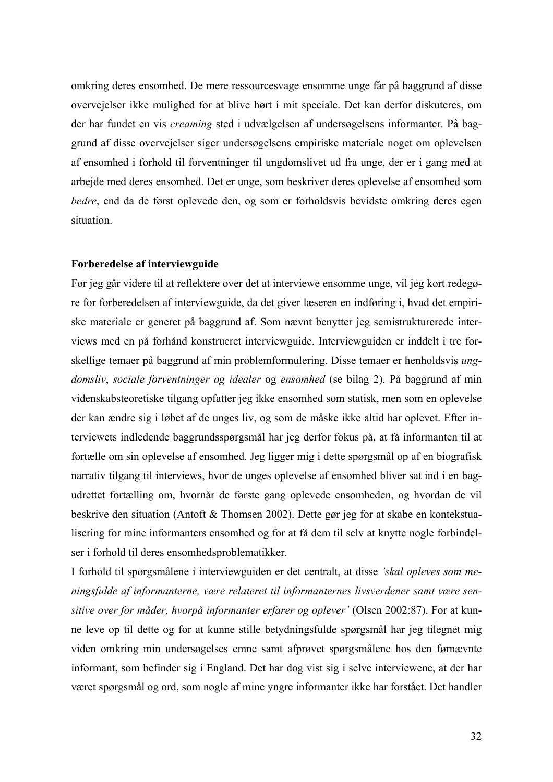omkring deres ensomhed. De mere ressourcesvage ensomme unge får på baggrund af disse overvejelser ikke mulighed for at blive hørt i mit speciale. Det kan derfor diskuteres, om der har fundet en vis *creaming* sted i udvælgelsen af undersøgelsens informanter. På baggrund af disse overvejelser siger undersøgelsens empiriske materiale noget om oplevelsen af ensomhed i forhold til forventninger til ungdomslivet ud fra unge, der er i gang med at arbejde med deres ensomhed. Det er unge, som beskriver deres oplevelse af ensomhed som *bedre*, end da de først oplevede den, og som er forholdsvis bevidste omkring deres egen situation.

#### **Forberedelse af interviewguide**

Før jeg går videre til at reflektere over det at interviewe ensomme unge, vil jeg kort redegøre for forberedelsen af interviewguide, da det giver læseren en indføring i, hvad det empiriske materiale er generet på baggrund af. Som nævnt benytter jeg semistrukturerede interviews med en på forhånd konstrueret interviewguide. Interviewguiden er inddelt i tre forskellige temaer på baggrund af min problemformulering. Disse temaer er henholdsvis *ungdomsliv*, *sociale forventninger og idealer* og *ensomhed* (se bilag 2). På baggrund af min videnskabsteoretiske tilgang opfatter jeg ikke ensomhed som statisk, men som en oplevelse der kan ændre sig i løbet af de unges liv, og som de måske ikke altid har oplevet. Efter interviewets indledende baggrundsspørgsmål har jeg derfor fokus på, at få informanten til at fortælle om sin oplevelse af ensomhed. Jeg ligger mig i dette spørgsmål op af en biografisk narrativ tilgang til interviews, hvor de unges oplevelse af ensomhed bliver sat ind i en bagudrettet fortælling om, hvornår de første gang oplevede ensomheden, og hvordan de vil beskrive den situation (Antoft & Thomsen 2002). Dette gør jeg for at skabe en kontekstualisering for mine informanters ensomhed og for at få dem til selv at knytte nogle forbindelser i forhold til deres ensomhedsproblematikker.

I forhold til spørgsmålene i interviewguiden er det centralt, at disse *'skal opleves som meningsfulde af informanterne, være relateret til informanternes livsverdener samt være sensitive over for måder, hvorpå informanter erfarer og oplever'* (Olsen 2002:87). For at kunne leve op til dette og for at kunne stille betydningsfulde spørgsmål har jeg tilegnet mig viden omkring min undersøgelses emne samt afprøvet spørgsmålene hos den førnævnte informant, som befinder sig i England. Det har dog vist sig i selve interviewene, at der har været spørgsmål og ord, som nogle af mine yngre informanter ikke har forstået. Det handler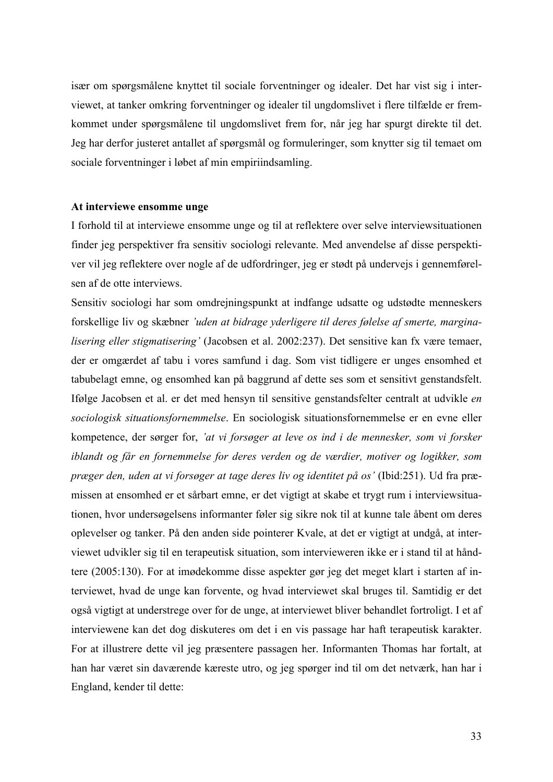især om spørgsmålene knyttet til sociale forventninger og idealer. Det har vist sig i interviewet, at tanker omkring forventninger og idealer til ungdomslivet i flere tilfælde er fremkommet under spørgsmålene til ungdomslivet frem for, når jeg har spurgt direkte til det. Jeg har derfor justeret antallet af spørgsmål og formuleringer, som knytter sig til temaet om sociale forventninger i løbet af min empiriindsamling.

#### **At interviewe ensomme unge**

I forhold til at interviewe ensomme unge og til at reflektere over selve interviewsituationen finder jeg perspektiver fra sensitiv sociologi relevante. Med anvendelse af disse perspektiver vil jeg reflektere over nogle af de udfordringer, jeg er stødt på undervejs i gennemførelsen af de otte interviews.

Sensitiv sociologi har som omdrejningspunkt at indfange udsatte og udstødte menneskers forskellige liv og skæbner *'uden at bidrage yderligere til deres følelse af smerte, marginalisering eller stigmatisering'* (Jacobsen et al. 2002:237). Det sensitive kan fx være temaer, der er omgærdet af tabu i vores samfund i dag. Som vist tidligere er unges ensomhed et tabubelagt emne, og ensomhed kan på baggrund af dette ses som et sensitivt genstandsfelt. Ifølge Jacobsen et al. er det med hensyn til sensitive genstandsfelter centralt at udvikle *en sociologisk situationsfornemmelse*. En sociologisk situationsfornemmelse er en evne eller kompetence, der sørger for, *'at vi forsøger at leve os ind i de mennesker, som vi forsker iblandt og får en fornemmelse for deres verden og de værdier, motiver og logikker, som præger den, uden at vi forsøger at tage deres liv og identitet på os'* (Ibid:251). Ud fra præmissen at ensomhed er et sårbart emne, er det vigtigt at skabe et trygt rum i interviewsituationen, hvor undersøgelsens informanter føler sig sikre nok til at kunne tale åbent om deres oplevelser og tanker. På den anden side pointerer Kvale, at det er vigtigt at undgå, at interviewet udvikler sig til en terapeutisk situation, som intervieweren ikke er i stand til at håndtere (2005:130). For at imødekomme disse aspekter gør jeg det meget klart i starten af interviewet, hvad de unge kan forvente, og hvad interviewet skal bruges til. Samtidig er det også vigtigt at understrege over for de unge, at interviewet bliver behandlet fortroligt. I et af interviewene kan det dog diskuteres om det i en vis passage har haft terapeutisk karakter. For at illustrere dette vil jeg præsentere passagen her. Informanten Thomas har fortalt, at han har været sin daværende kæreste utro, og jeg spørger ind til om det netværk, han har i England, kender til dette: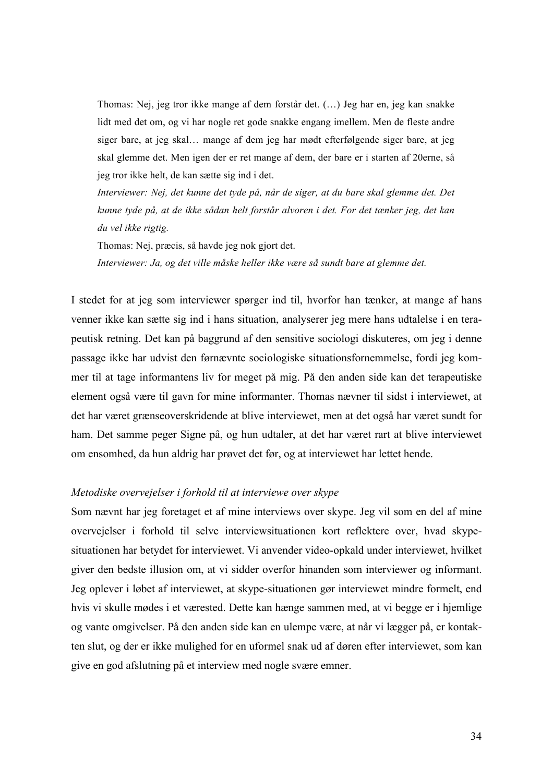Thomas: Nej, jeg tror ikke mange af dem forstår det. (…) Jeg har en, jeg kan snakke lidt med det om, og vi har nogle ret gode snakke engang imellem. Men de fleste andre siger bare, at jeg skal… mange af dem jeg har mødt efterfølgende siger bare, at jeg skal glemme det. Men igen der er ret mange af dem, der bare er i starten af 20erne, så jeg tror ikke helt, de kan sætte sig ind i det.

*Interviewer: Nej, det kunne det tyde på, når de siger, at du bare skal glemme det. Det kunne tyde på, at de ikke sådan helt forstår alvoren i det. For det tænker jeg, det kan du vel ikke rigtig.*

Thomas: Nej, præcis, så havde jeg nok gjort det.

*Interviewer: Ja, og det ville måske heller ikke være så sundt bare at glemme det.*

I stedet for at jeg som interviewer spørger ind til, hvorfor han tænker, at mange af hans venner ikke kan sætte sig ind i hans situation, analyserer jeg mere hans udtalelse i en terapeutisk retning. Det kan på baggrund af den sensitive sociologi diskuteres, om jeg i denne passage ikke har udvist den førnævnte sociologiske situationsfornemmelse, fordi jeg kommer til at tage informantens liv for meget på mig. På den anden side kan det terapeutiske element også være til gavn for mine informanter. Thomas nævner til sidst i interviewet, at det har været grænseoverskridende at blive interviewet, men at det også har været sundt for ham. Det samme peger Signe på, og hun udtaler, at det har været rart at blive interviewet om ensomhed, da hun aldrig har prøvet det før, og at interviewet har lettet hende.

#### *Metodiske overvejelser i forhold til at interviewe over skype*

Som nævnt har jeg foretaget et af mine interviews over skype. Jeg vil som en del af mine overvejelser i forhold til selve interviewsituationen kort reflektere over, hvad skypesituationen har betydet for interviewet. Vi anvender video-opkald under interviewet, hvilket giver den bedste illusion om, at vi sidder overfor hinanden som interviewer og informant. Jeg oplever i løbet af interviewet, at skype-situationen gør interviewet mindre formelt, end hvis vi skulle mødes i et værested. Dette kan hænge sammen med, at vi begge er i hjemlige og vante omgivelser. På den anden side kan en ulempe være, at når vi lægger på, er kontakten slut, og der er ikke mulighed for en uformel snak ud af døren efter interviewet, som kan give en god afslutning på et interview med nogle svære emner.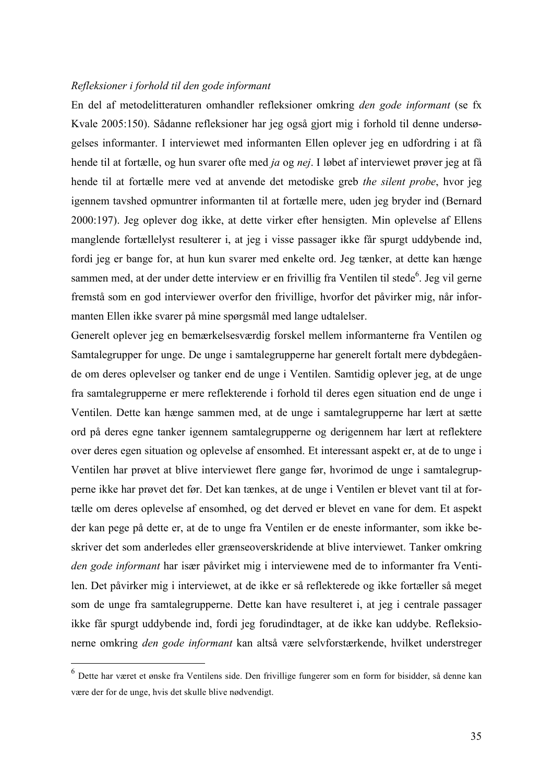#### *Refleksioner i forhold til den gode informant*

En del af metodelitteraturen omhandler refleksioner omkring *den gode informant* (se fx Kvale 2005:150). Sådanne refleksioner har jeg også gjort mig i forhold til denne undersøgelses informanter. I interviewet med informanten Ellen oplever jeg en udfordring i at få hende til at fortælle, og hun svarer ofte med *ja* og *nej*. I løbet af interviewet prøver jeg at få hende til at fortælle mere ved at anvende det metodiske greb *the silent probe*, hvor jeg igennem tavshed opmuntrer informanten til at fortælle mere, uden jeg bryder ind (Bernard 2000:197). Jeg oplever dog ikke, at dette virker efter hensigten. Min oplevelse af Ellens manglende fortællelyst resulterer i, at jeg i visse passager ikke får spurgt uddybende ind, fordi jeg er bange for, at hun kun svarer med enkelte ord. Jeg tænker, at dette kan hænge sammen med, at der under dette interview er en frivillig fra Ventilen til stede<sup>6</sup>. Jeg vil gerne fremstå som en god interviewer overfor den frivillige, hvorfor det påvirker mig, når informanten Ellen ikke svarer på mine spørgsmål med lange udtalelser.

Generelt oplever jeg en bemærkelsesværdig forskel mellem informanterne fra Ventilen og Samtalegrupper for unge. De unge i samtalegrupperne har generelt fortalt mere dybdegående om deres oplevelser og tanker end de unge i Ventilen. Samtidig oplever jeg, at de unge fra samtalegrupperne er mere reflekterende i forhold til deres egen situation end de unge i Ventilen. Dette kan hænge sammen med, at de unge i samtalegrupperne har lært at sætte ord på deres egne tanker igennem samtalegrupperne og derigennem har lært at reflektere over deres egen situation og oplevelse af ensomhed. Et interessant aspekt er, at de to unge i Ventilen har prøvet at blive interviewet flere gange før, hvorimod de unge i samtalegrupperne ikke har prøvet det før. Det kan tænkes, at de unge i Ventilen er blevet vant til at fortælle om deres oplevelse af ensomhed, og det derved er blevet en vane for dem. Et aspekt der kan pege på dette er, at de to unge fra Ventilen er de eneste informanter, som ikke beskriver det som anderledes eller grænseoverskridende at blive interviewet. Tanker omkring *den gode informant* har især påvirket mig i interviewene med de to informanter fra Ventilen. Det påvirker mig i interviewet, at de ikke er så reflekterede og ikke fortæller så meget som de unge fra samtalegrupperne. Dette kan have resulteret i, at jeg i centrale passager ikke får spurgt uddybende ind, fordi jeg forudindtager, at de ikke kan uddybe. Refleksionerne omkring *den gode informant* kan altså være selvforstærkende, hvilket understreger

 <sup>6</sup> Dette har været et ønske fra Ventilens side. Den frivillige fungerer som en form for bisidder, så denne kan være der for de unge, hvis det skulle blive nødvendigt.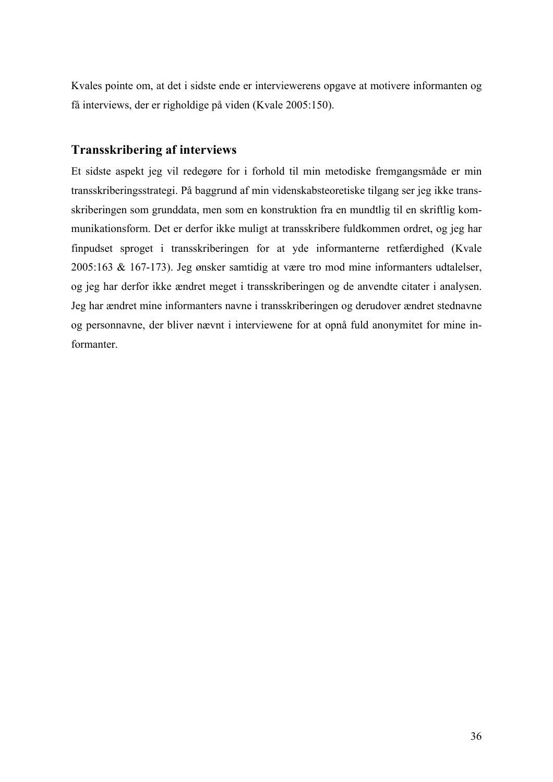Kvales pointe om, at det i sidste ende er interviewerens opgave at motivere informanten og få interviews, der er righoldige på viden (Kvale 2005:150).

## **Transskribering af interviews**

Et sidste aspekt jeg vil redegøre for i forhold til min metodiske fremgangsmåde er min transskriberingsstrategi. På baggrund af min videnskabsteoretiske tilgang ser jeg ikke transskriberingen som grunddata, men som en konstruktion fra en mundtlig til en skriftlig kommunikationsform. Det er derfor ikke muligt at transskribere fuldkommen ordret, og jeg har finpudset sproget i transskriberingen for at yde informanterne retfærdighed (Kvale 2005:163 & 167-173). Jeg ønsker samtidig at være tro mod mine informanters udtalelser, og jeg har derfor ikke ændret meget i transskriberingen og de anvendte citater i analysen. Jeg har ændret mine informanters navne i transskriberingen og derudover ændret stednavne og personnavne, der bliver nævnt i interviewene for at opnå fuld anonymitet for mine informanter.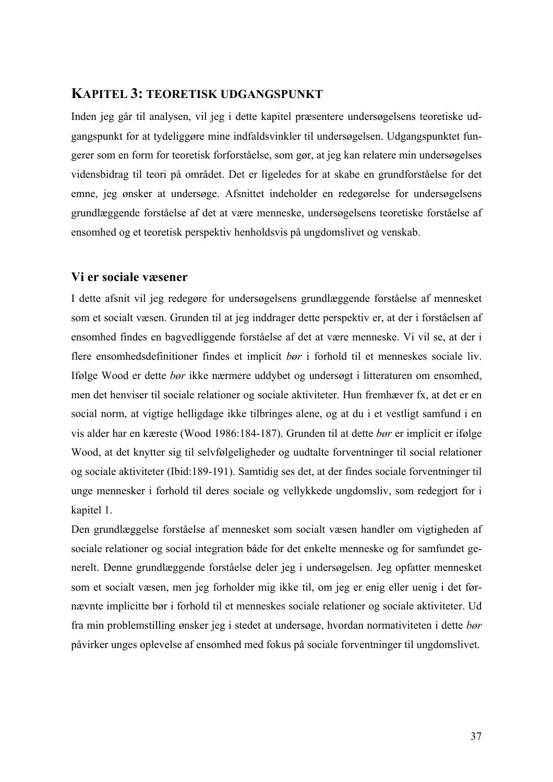# **KAPITEL 3: TEORETISK UDGANGSPUNKT**

Inden jeg går til analysen, vil jeg i dette kapitel præsentere undersøgelsens teoretiske udgangspunkt for at tydeliggøre mine indfaldsvinkler til undersøgelsen. Udgangspunktet fungerer som en form for teoretisk forforståelse, som gør, at jeg kan relatere min undersøgelses vidensbidrag til teori på området. Det er ligeledes for at skabe en grundforståelse for det emne, jeg ønsker at undersøge. Afsnittet indeholder en redegørelse for undersøgelsens grundlæggende forståelse af det at være menneske, undersøgelsens teoretiske forståelse af ensomhed og et teoretisk perspektiv henholdsvis på ungdomslivet og venskab.

## **Vi er sociale væsener**

I dette afsnit vil jeg redegøre for undersøgelsens grundlæggende forståelse af mennesket som et socialt væsen. Grunden til at jeg inddrager dette perspektiv er, at der i forståelsen af ensomhed findes en bagvedliggende forståelse af det at være menneske. Vi vil se, at der i flere ensomhedsdefinitioner findes et implicit *bør* i forhold til et menneskes sociale liv. Ifølge Wood er dette *bør* ikke nærmere uddybet og undersøgt i litteraturen om ensomhed, men det henviser til sociale relationer og sociale aktiviteter. Hun fremhæver fx, at det er en social norm, at vigtige helligdage ikke tilbringes alene, og at du i et vestligt samfund i en vis alder har en kæreste (Wood 1986:184-187). Grunden til at dette *bør* er implicit er ifølge Wood, at det knytter sig til selvfølgeligheder og uudtalte forventninger til social relationer og sociale aktiviteter (Ibid:189-191). Samtidig ses det, at der findes sociale forventninger til unge mennesker i forhold til deres sociale og vellykkede ungdomsliv, som redegjort for i kapitel 1.

Den grundlæggelse forståelse af mennesket som socialt væsen handler om vigtigheden af sociale relationer og social integration både for det enkelte menneske og for samfundet generelt. Denne grundlæggende forståelse deler jeg i undersøgelsen. Jeg opfatter mennesket som et socialt væsen, men jeg forholder mig ikke til, om jeg er enig eller uenig i det førnævnte implicitte bør i forhold til et menneskes sociale relationer og sociale aktiviteter. Ud fra min problemstilling ønsker jeg i stedet at undersøge, hvordan normativiteten i dette *bør* påvirker unges oplevelse af ensomhed med fokus på sociale forventninger til ungdomslivet.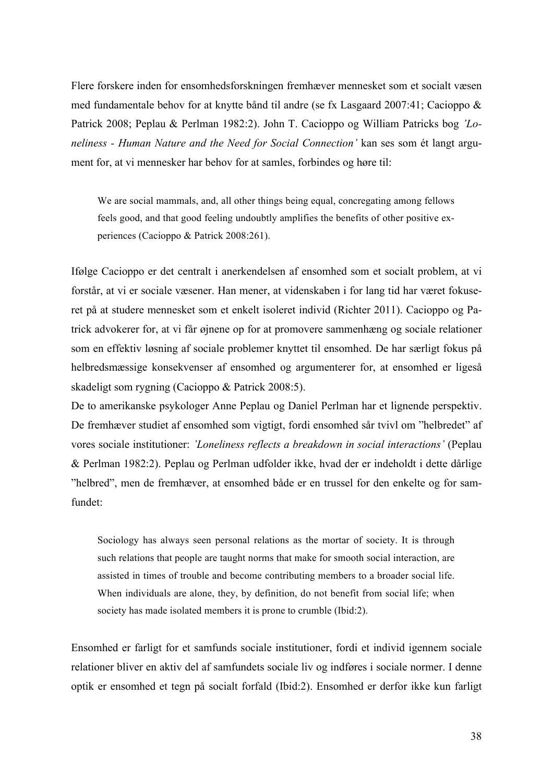Flere forskere inden for ensomhedsforskningen fremhæver mennesket som et socialt væsen med fundamentale behov for at knytte bånd til andre (se fx Lasgaard 2007:41; Cacioppo & Patrick 2008; Peplau & Perlman 1982:2). John T. Cacioppo og William Patricks bog *'Loneliness - Human Nature and the Need for Social Connection'* kan ses som ét langt argument for, at vi mennesker har behov for at samles, forbindes og høre til:

We are social mammals, and, all other things being equal, concregating among fellows feels good, and that good feeling undoubtly amplifies the benefits of other positive experiences (Cacioppo & Patrick 2008:261).

Ifølge Cacioppo er det centralt i anerkendelsen af ensomhed som et socialt problem, at vi forstår, at vi er sociale væsener. Han mener, at videnskaben i for lang tid har været fokuseret på at studere mennesket som et enkelt isoleret individ (Richter 2011). Cacioppo og Patrick advokerer for, at vi får øjnene op for at promovere sammenhæng og sociale relationer som en effektiv løsning af sociale problemer knyttet til ensomhed. De har særligt fokus på helbredsmæssige konsekvenser af ensomhed og argumenterer for, at ensomhed er ligeså skadeligt som rygning (Cacioppo & Patrick 2008:5).

De to amerikanske psykologer Anne Peplau og Daniel Perlman har et lignende perspektiv. De fremhæver studiet af ensomhed som vigtigt, fordi ensomhed sår tvivl om "helbredet" af vores sociale institutioner: *'Loneliness reflects a breakdown in social interactions'* (Peplau & Perlman 1982:2). Peplau og Perlman udfolder ikke, hvad der er indeholdt i dette dårlige "helbred", men de fremhæver, at ensomhed både er en trussel for den enkelte og for samfundet:

Sociology has always seen personal relations as the mortar of society. It is through such relations that people are taught norms that make for smooth social interaction, are assisted in times of trouble and become contributing members to a broader social life. When individuals are alone, they, by definition, do not benefit from social life; when society has made isolated members it is prone to crumble (Ibid:2).

Ensomhed er farligt for et samfunds sociale institutioner, fordi et individ igennem sociale relationer bliver en aktiv del af samfundets sociale liv og indføres i sociale normer. I denne optik er ensomhed et tegn på socialt forfald (Ibid:2). Ensomhed er derfor ikke kun farligt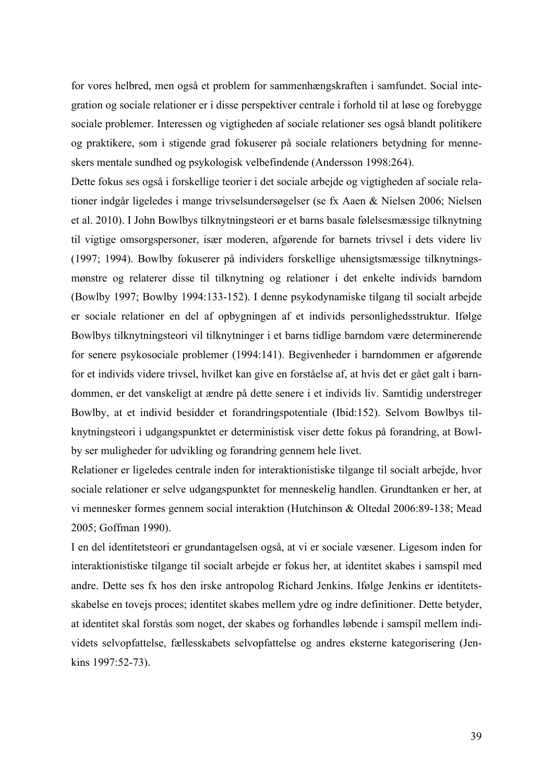for vores helbred, men også et problem for sammenhængskraften i samfundet. Social integration og sociale relationer er i disse perspektiver centrale i forhold til at løse og forebygge sociale problemer. Interessen og vigtigheden af sociale relationer ses også blandt politikere og praktikere, som i stigende grad fokuserer på sociale relationers betydning for menneskers mentale sundhed og psykologisk velbefindende (Andersson 1998:264).

Dette fokus ses også i forskellige teorier i det sociale arbejde og vigtigheden af sociale relationer indgår ligeledes i mange trivselsundersøgelser (se fx Aaen & Nielsen 2006; Nielsen et al. 2010). I John Bowlbys tilknytningsteori er et barns basale følelsesmæssige tilknytning til vigtige omsorgspersoner, især moderen, afgørende for barnets trivsel i dets videre liv (1997; 1994). Bowlby fokuserer på individers forskellige uhensigtsmæssige tilknytningsmønstre og relaterer disse til tilknytning og relationer i det enkelte individs barndom (Bowlby 1997; Bowlby 1994:133-152). I denne psykodynamiske tilgang til socialt arbejde er sociale relationer en del af opbygningen af et individs personlighedsstruktur. Ifølge Bowlbys tilknytningsteori vil tilknytninger i et barns tidlige barndom være determinerende for senere psykosociale problemer (1994:141). Begivenheder i barndommen er afgørende for et individs videre trivsel, hvilket kan give en forståelse af, at hvis det er gået galt i barndommen, er det vanskeligt at ændre på dette senere i et individs liv. Samtidig understreger Bowlby, at et individ besidder et forandringspotentiale (Ibid:152). Selvom Bowlbys tilknytningsteori i udgangspunktet er deterministisk viser dette fokus på forandring, at Bowlby ser muligheder for udvikling og forandring gennem hele livet.

Relationer er ligeledes centrale inden for interaktionistiske tilgange til socialt arbejde, hvor sociale relationer er selve udgangspunktet for menneskelig handlen. Grundtanken er her, at vi mennesker formes gennem social interaktion (Hutchinson & Oltedal 2006:89-138; Mead 2005; Goffman 1990).

I en del identitetsteori er grundantagelsen også, at vi er sociale væsener. Ligesom inden for interaktionistiske tilgange til socialt arbejde er fokus her, at identitet skabes i samspil med andre. Dette ses fx hos den irske antropolog Richard Jenkins. Ifølge Jenkins er identitetsskabelse en tovejs proces; identitet skabes mellem ydre og indre definitioner. Dette betyder, at identitet skal forstås som noget, der skabes og forhandles løbende i samspil mellem individets selvopfattelse, fællesskabets selvopfattelse og andres eksterne kategorisering (Jenkins 1997:52-73).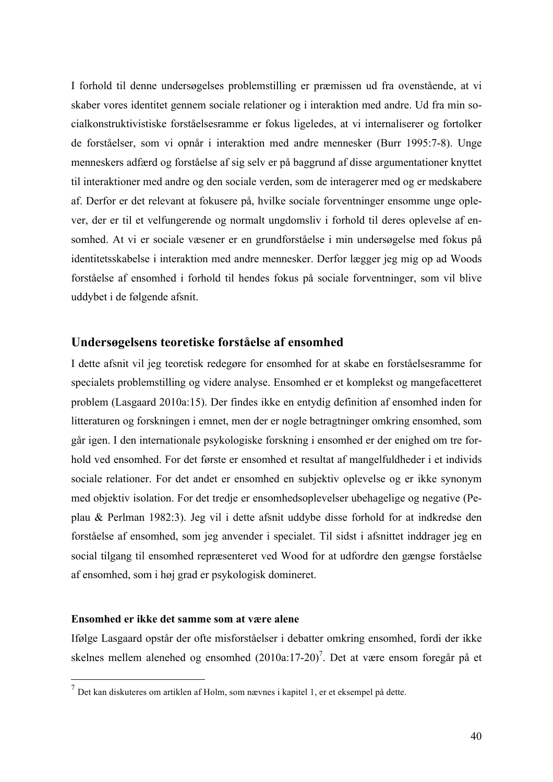I forhold til denne undersøgelses problemstilling er præmissen ud fra ovenstående, at vi skaber vores identitet gennem sociale relationer og i interaktion med andre. Ud fra min socialkonstruktivistiske forståelsesramme er fokus ligeledes, at vi internaliserer og fortolker de forståelser, som vi opnår i interaktion med andre mennesker (Burr 1995:7-8). Unge menneskers adfærd og forståelse af sig selv er på baggrund af disse argumentationer knyttet til interaktioner med andre og den sociale verden, som de interagerer med og er medskabere af. Derfor er det relevant at fokusere på, hvilke sociale forventninger ensomme unge oplever, der er til et velfungerende og normalt ungdomsliv i forhold til deres oplevelse af ensomhed. At vi er sociale væsener er en grundforståelse i min undersøgelse med fokus på identitetsskabelse i interaktion med andre mennesker. Derfor lægger jeg mig op ad Woods forståelse af ensomhed i forhold til hendes fokus på sociale forventninger, som vil blive uddybet i de følgende afsnit.

## **Undersøgelsens teoretiske forståelse af ensomhed**

I dette afsnit vil jeg teoretisk redegøre for ensomhed for at skabe en forståelsesramme for specialets problemstilling og videre analyse. Ensomhed er et komplekst og mangefacetteret problem (Lasgaard 2010a:15). Der findes ikke en entydig definition af ensomhed inden for litteraturen og forskningen i emnet, men der er nogle betragtninger omkring ensomhed, som går igen. I den internationale psykologiske forskning i ensomhed er der enighed om tre forhold ved ensomhed. For det første er ensomhed et resultat af mangelfuldheder i et individs sociale relationer. For det andet er ensomhed en subjektiv oplevelse og er ikke synonym med objektiv isolation. For det tredje er ensomhedsoplevelser ubehagelige og negative (Peplau & Perlman 1982:3). Jeg vil i dette afsnit uddybe disse forhold for at indkredse den forståelse af ensomhed, som jeg anvender i specialet. Til sidst i afsnittet inddrager jeg en social tilgang til ensomhed repræsenteret ved Wood for at udfordre den gængse forståelse af ensomhed, som i høj grad er psykologisk domineret.

#### **Ensomhed er ikke det samme som at være alene**

Ifølge Lasgaard opstår der ofte misforståelser i debatter omkring ensomhed, fordi der ikke skelnes mellem alenehed og ensomhed  $(2010a:17-20)^7$ . Det at være ensom foregår på et

 <sup>7</sup> Det kan diskuteres om artiklen af Holm, som nævnes i kapitel 1, er et eksempel på dette.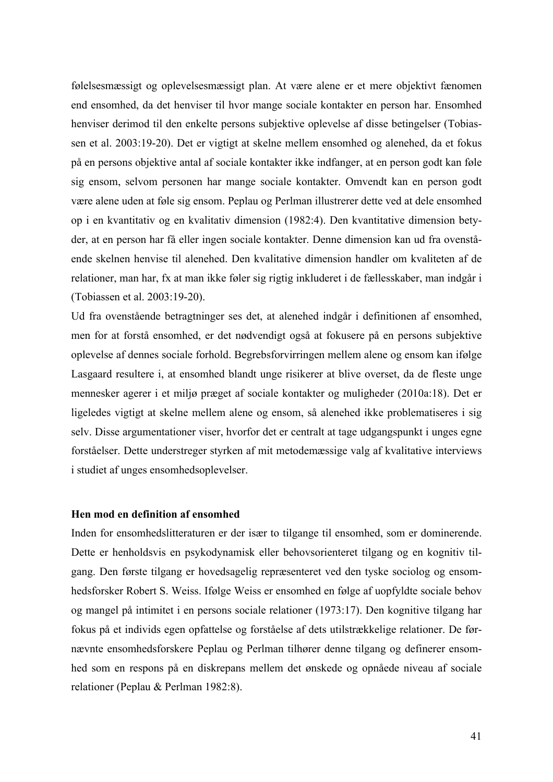følelsesmæssigt og oplevelsesmæssigt plan. At være alene er et mere objektivt fænomen end ensomhed, da det henviser til hvor mange sociale kontakter en person har. Ensomhed henviser derimod til den enkelte persons subjektive oplevelse af disse betingelser (Tobiassen et al. 2003:19-20). Det er vigtigt at skelne mellem ensomhed og alenehed, da et fokus på en persons objektive antal af sociale kontakter ikke indfanger, at en person godt kan føle sig ensom, selvom personen har mange sociale kontakter. Omvendt kan en person godt være alene uden at føle sig ensom. Peplau og Perlman illustrerer dette ved at dele ensomhed op i en kvantitativ og en kvalitativ dimension (1982:4). Den kvantitative dimension betyder, at en person har få eller ingen sociale kontakter. Denne dimension kan ud fra ovenstående skelnen henvise til alenehed. Den kvalitative dimension handler om kvaliteten af de relationer, man har, fx at man ikke føler sig rigtig inkluderet i de fællesskaber, man indgår i (Tobiassen et al. 2003:19-20).

Ud fra ovenstående betragtninger ses det, at alenehed indgår i definitionen af ensomhed, men for at forstå ensomhed, er det nødvendigt også at fokusere på en persons subjektive oplevelse af dennes sociale forhold. Begrebsforvirringen mellem alene og ensom kan ifølge Lasgaard resultere i, at ensomhed blandt unge risikerer at blive overset, da de fleste unge mennesker agerer i et miljø præget af sociale kontakter og muligheder (2010a:18). Det er ligeledes vigtigt at skelne mellem alene og ensom, så alenehed ikke problematiseres i sig selv. Disse argumentationer viser, hvorfor det er centralt at tage udgangspunkt i unges egne forståelser. Dette understreger styrken af mit metodemæssige valg af kvalitative interviews i studiet af unges ensomhedsoplevelser.

#### **Hen mod en definition af ensomhed**

Inden for ensomhedslitteraturen er der især to tilgange til ensomhed, som er dominerende. Dette er henholdsvis en psykodynamisk eller behovsorienteret tilgang og en kognitiv tilgang. Den første tilgang er hovedsagelig repræsenteret ved den tyske sociolog og ensomhedsforsker Robert S. Weiss. Ifølge Weiss er ensomhed en følge af uopfyldte sociale behov og mangel på intimitet i en persons sociale relationer (1973:17). Den kognitive tilgang har fokus på et individs egen opfattelse og forståelse af dets utilstrækkelige relationer. De førnævnte ensomhedsforskere Peplau og Perlman tilhører denne tilgang og definerer ensomhed som en respons på en diskrepans mellem det ønskede og opnåede niveau af sociale relationer (Peplau & Perlman 1982:8).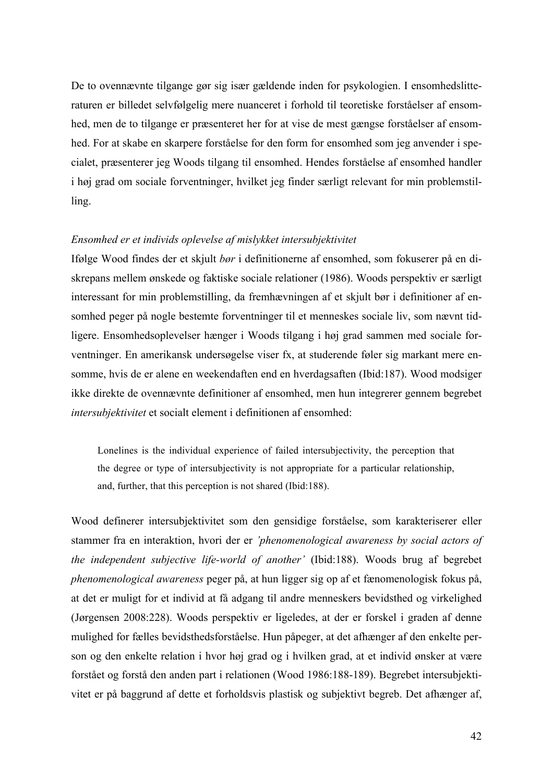De to ovennævnte tilgange gør sig især gældende inden for psykologien. I ensomhedslitteraturen er billedet selvfølgelig mere nuanceret i forhold til teoretiske forståelser af ensomhed, men de to tilgange er præsenteret her for at vise de mest gængse forståelser af ensomhed. For at skabe en skarpere forståelse for den form for ensomhed som jeg anvender i specialet, præsenterer jeg Woods tilgang til ensomhed. Hendes forståelse af ensomhed handler i høj grad om sociale forventninger, hvilket jeg finder særligt relevant for min problemstilling.

#### *Ensomhed er et individs oplevelse af mislykket intersubjektivitet*

Ifølge Wood findes der et skjult *bør* i definitionerne af ensomhed, som fokuserer på en diskrepans mellem ønskede og faktiske sociale relationer (1986). Woods perspektiv er særligt interessant for min problemstilling, da fremhævningen af et skjult bør i definitioner af ensomhed peger på nogle bestemte forventninger til et menneskes sociale liv, som nævnt tidligere. Ensomhedsoplevelser hænger i Woods tilgang i høj grad sammen med sociale forventninger. En amerikansk undersøgelse viser fx, at studerende føler sig markant mere ensomme, hvis de er alene en weekendaften end en hverdagsaften (Ibid:187). Wood modsiger ikke direkte de ovennævnte definitioner af ensomhed, men hun integrerer gennem begrebet *intersubjektivitet* et socialt element i definitionen af ensomhed:

Lonelines is the individual experience of failed intersubjectivity, the perception that the degree or type of intersubjectivity is not appropriate for a particular relationship, and, further, that this perception is not shared (Ibid:188).

Wood definerer intersubjektivitet som den gensidige forståelse, som karakteriserer eller stammer fra en interaktion, hvori der er *'phenomenological awareness by social actors of the independent subjective life-world of another'* (Ibid:188). Woods brug af begrebet *phenomenological awareness* peger på, at hun ligger sig op af et fænomenologisk fokus på, at det er muligt for et individ at få adgang til andre menneskers bevidsthed og virkelighed (Jørgensen 2008:228). Woods perspektiv er ligeledes, at der er forskel i graden af denne mulighed for fælles bevidsthedsforståelse. Hun påpeger, at det afhænger af den enkelte person og den enkelte relation i hvor høj grad og i hvilken grad, at et individ ønsker at være forstået og forstå den anden part i relationen (Wood 1986:188-189). Begrebet intersubjektivitet er på baggrund af dette et forholdsvis plastisk og subjektivt begreb. Det afhænger af,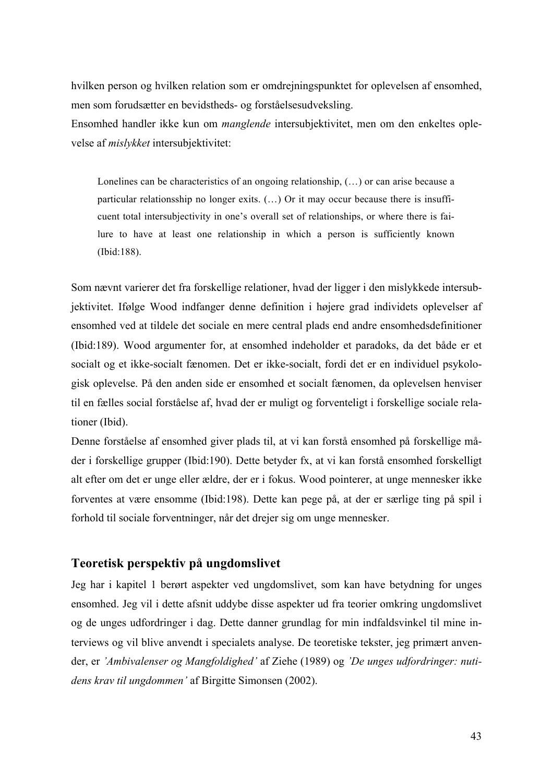hvilken person og hvilken relation som er omdrejningspunktet for oplevelsen af ensomhed, men som forudsætter en bevidstheds- og forståelsesudveksling.

Ensomhed handler ikke kun om *manglende* intersubjektivitet, men om den enkeltes oplevelse af *mislykket* intersubjektivitet:

Lonelines can be characteristics of an ongoing relationship, (…) or can arise because a particular relationsship no longer exits. (…) Or it may occur because there is insufficuent total intersubjectivity in one's overall set of relationships, or where there is failure to have at least one relationship in which a person is sufficiently known (Ibid:188).

Som nævnt varierer det fra forskellige relationer, hvad der ligger i den mislykkede intersubjektivitet. Ifølge Wood indfanger denne definition i højere grad individets oplevelser af ensomhed ved at tildele det sociale en mere central plads end andre ensomhedsdefinitioner (Ibid:189). Wood argumenter for, at ensomhed indeholder et paradoks, da det både er et socialt og et ikke-socialt fænomen. Det er ikke-socialt, fordi det er en individuel psykologisk oplevelse. På den anden side er ensomhed et socialt fænomen, da oplevelsen henviser til en fælles social forståelse af, hvad der er muligt og forventeligt i forskellige sociale relationer (Ibid).

Denne forståelse af ensomhed giver plads til, at vi kan forstå ensomhed på forskellige måder i forskellige grupper (Ibid:190). Dette betyder fx, at vi kan forstå ensomhed forskelligt alt efter om det er unge eller ældre, der er i fokus. Wood pointerer, at unge mennesker ikke forventes at være ensomme (Ibid:198). Dette kan pege på, at der er særlige ting på spil i forhold til sociale forventninger, når det drejer sig om unge mennesker.

## **Teoretisk perspektiv på ungdomslivet**

Jeg har i kapitel 1 berørt aspekter ved ungdomslivet, som kan have betydning for unges ensomhed. Jeg vil i dette afsnit uddybe disse aspekter ud fra teorier omkring ungdomslivet og de unges udfordringer i dag. Dette danner grundlag for min indfaldsvinkel til mine interviews og vil blive anvendt i specialets analyse. De teoretiske tekster, jeg primært anvender, er *'Ambivalenser og Mangfoldighed'* af Ziehe (1989) og *'De unges udfordringer: nutidens krav til ungdommen'* af Birgitte Simonsen (2002).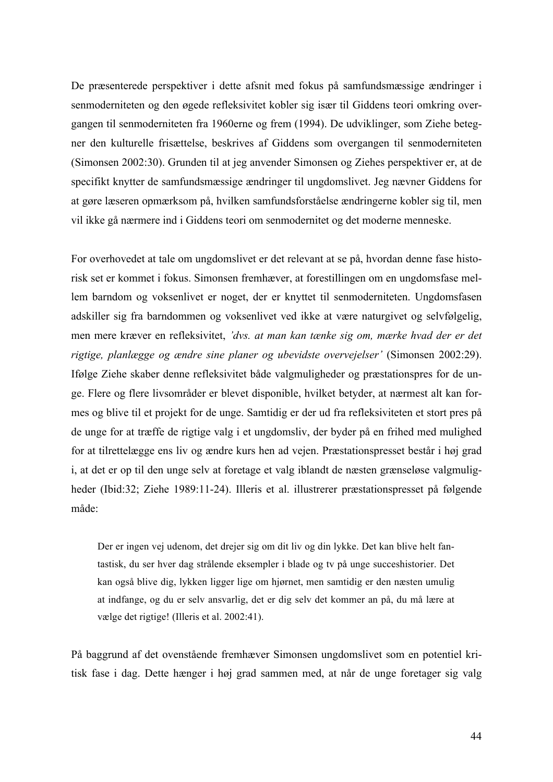De præsenterede perspektiver i dette afsnit med fokus på samfundsmæssige ændringer i senmoderniteten og den øgede refleksivitet kobler sig især til Giddens teori omkring overgangen til senmoderniteten fra 1960erne og frem (1994). De udviklinger, som Ziehe betegner den kulturelle frisættelse, beskrives af Giddens som overgangen til senmoderniteten (Simonsen 2002:30). Grunden til at jeg anvender Simonsen og Ziehes perspektiver er, at de specifikt knytter de samfundsmæssige ændringer til ungdomslivet. Jeg nævner Giddens for at gøre læseren opmærksom på, hvilken samfundsforståelse ændringerne kobler sig til, men vil ikke gå nærmere ind i Giddens teori om senmodernitet og det moderne menneske.

For overhovedet at tale om ungdomslivet er det relevant at se på, hvordan denne fase historisk set er kommet i fokus. Simonsen fremhæver, at forestillingen om en ungdomsfase mellem barndom og voksenlivet er noget, der er knyttet til senmoderniteten. Ungdomsfasen adskiller sig fra barndommen og voksenlivet ved ikke at være naturgivet og selvfølgelig, men mere kræver en refleksivitet, *'dvs. at man kan tænke sig om, mærke hvad der er det rigtige, planlægge og ændre sine planer og ubevidste overvejelser'* (Simonsen 2002:29). Ifølge Ziehe skaber denne refleksivitet både valgmuligheder og præstationspres for de unge. Flere og flere livsområder er blevet disponible, hvilket betyder, at nærmest alt kan formes og blive til et projekt for de unge. Samtidig er der ud fra refleksiviteten et stort pres på de unge for at træffe de rigtige valg i et ungdomsliv, der byder på en frihed med mulighed for at tilrettelægge ens liv og ændre kurs hen ad vejen. Præstationspresset består i høj grad i, at det er op til den unge selv at foretage et valg iblandt de næsten grænseløse valgmuligheder (Ibid:32; Ziehe 1989:11-24). Illeris et al. illustrerer præstationspresset på følgende måde:

Der er ingen vej udenom, det drejer sig om dit liv og din lykke. Det kan blive helt fantastisk, du ser hver dag strålende eksempler i blade og tv på unge succeshistorier. Det kan også blive dig, lykken ligger lige om hjørnet, men samtidig er den næsten umulig at indfange, og du er selv ansvarlig, det er dig selv det kommer an på, du må lære at vælge det rigtige! (Illeris et al. 2002:41).

På baggrund af det ovenstående fremhæver Simonsen ungdomslivet som en potentiel kritisk fase i dag. Dette hænger i høj grad sammen med, at når de unge foretager sig valg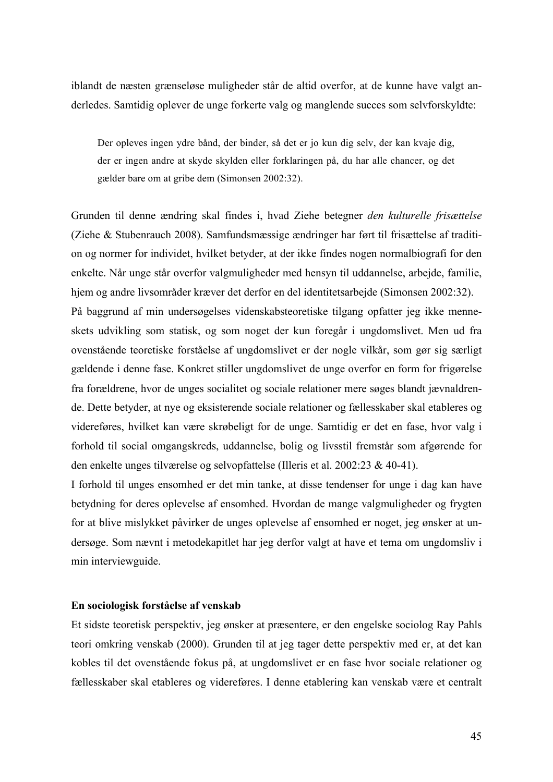iblandt de næsten grænseløse muligheder står de altid overfor, at de kunne have valgt anderledes. Samtidig oplever de unge forkerte valg og manglende succes som selvforskyldte:

Der opleves ingen ydre bånd, der binder, så det er jo kun dig selv, der kan kvaje dig, der er ingen andre at skyde skylden eller forklaringen på, du har alle chancer, og det gælder bare om at gribe dem (Simonsen 2002:32).

Grunden til denne ændring skal findes i, hvad Ziehe betegner *den kulturelle frisættelse* (Ziehe & Stubenrauch 2008). Samfundsmæssige ændringer har ført til frisættelse af tradition og normer for individet, hvilket betyder, at der ikke findes nogen normalbiografi for den enkelte. Når unge står overfor valgmuligheder med hensyn til uddannelse, arbejde, familie, hjem og andre livsområder kræver det derfor en del identitetsarbejde (Simonsen 2002:32). På baggrund af min undersøgelses videnskabsteoretiske tilgang opfatter jeg ikke menneskets udvikling som statisk, og som noget der kun foregår i ungdomslivet. Men ud fra ovenstående teoretiske forståelse af ungdomslivet er der nogle vilkår, som gør sig særligt gældende i denne fase. Konkret stiller ungdomslivet de unge overfor en form for frigørelse fra forældrene, hvor de unges socialitet og sociale relationer mere søges blandt jævnaldrende. Dette betyder, at nye og eksisterende sociale relationer og fællesskaber skal etableres og videreføres, hvilket kan være skrøbeligt for de unge. Samtidig er det en fase, hvor valg i forhold til social omgangskreds, uddannelse, bolig og livsstil fremstår som afgørende for den enkelte unges tilværelse og selvopfattelse (Illeris et al. 2002:23 & 40-41).

I forhold til unges ensomhed er det min tanke, at disse tendenser for unge i dag kan have betydning for deres oplevelse af ensomhed. Hvordan de mange valgmuligheder og frygten for at blive mislykket påvirker de unges oplevelse af ensomhed er noget, jeg ønsker at undersøge. Som nævnt i metodekapitlet har jeg derfor valgt at have et tema om ungdomsliv i min interviewguide.

#### **En sociologisk forståelse af venskab**

Et sidste teoretisk perspektiv, jeg ønsker at præsentere, er den engelske sociolog Ray Pahls teori omkring venskab (2000). Grunden til at jeg tager dette perspektiv med er, at det kan kobles til det ovenstående fokus på, at ungdomslivet er en fase hvor sociale relationer og fællesskaber skal etableres og videreføres. I denne etablering kan venskab være et centralt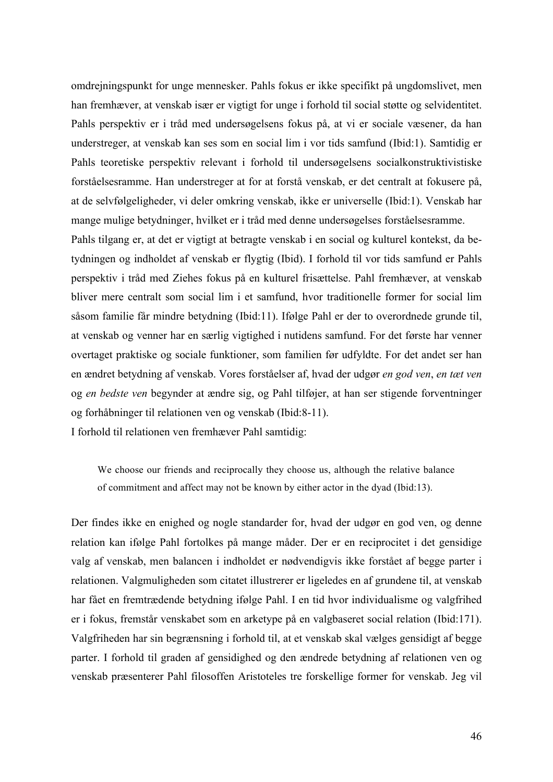omdrejningspunkt for unge mennesker. Pahls fokus er ikke specifikt på ungdomslivet, men han fremhæver, at venskab især er vigtigt for unge i forhold til social støtte og selvidentitet. Pahls perspektiv er i tråd med undersøgelsens fokus på, at vi er sociale væsener, da han understreger, at venskab kan ses som en social lim i vor tids samfund (Ibid:1). Samtidig er Pahls teoretiske perspektiv relevant i forhold til undersøgelsens socialkonstruktivistiske forståelsesramme. Han understreger at for at forstå venskab, er det centralt at fokusere på, at de selvfølgeligheder, vi deler omkring venskab, ikke er universelle (Ibid:1). Venskab har mange mulige betydninger, hvilket er i tråd med denne undersøgelses forståelsesramme.

Pahls tilgang er, at det er vigtigt at betragte venskab i en social og kulturel kontekst, da betydningen og indholdet af venskab er flygtig (Ibid). I forhold til vor tids samfund er Pahls perspektiv i tråd med Ziehes fokus på en kulturel frisættelse. Pahl fremhæver, at venskab bliver mere centralt som social lim i et samfund, hvor traditionelle former for social lim såsom familie får mindre betydning (Ibid:11). Ifølge Pahl er der to overordnede grunde til, at venskab og venner har en særlig vigtighed i nutidens samfund. For det første har venner overtaget praktiske og sociale funktioner, som familien før udfyldte. For det andet ser han en ændret betydning af venskab. Vores forståelser af, hvad der udgør *en god ven*, *en tæt ven* og *en bedste ven* begynder at ændre sig, og Pahl tilføjer, at han ser stigende forventninger og forhåbninger til relationen ven og venskab (Ibid:8-11).

I forhold til relationen ven fremhæver Pahl samtidig:

We choose our friends and reciprocally they choose us, although the relative balance of commitment and affect may not be known by either actor in the dyad (Ibid:13).

Der findes ikke en enighed og nogle standarder for, hvad der udgør en god ven, og denne relation kan ifølge Pahl fortolkes på mange måder. Der er en reciprocitet i det gensidige valg af venskab, men balancen i indholdet er nødvendigvis ikke forstået af begge parter i relationen. Valgmuligheden som citatet illustrerer er ligeledes en af grundene til, at venskab har fået en fremtrædende betydning ifølge Pahl. I en tid hvor individualisme og valgfrihed er i fokus, fremstår venskabet som en arketype på en valgbaseret social relation (Ibid:171). Valgfriheden har sin begrænsning i forhold til, at et venskab skal vælges gensidigt af begge parter. I forhold til graden af gensidighed og den ændrede betydning af relationen ven og venskab præsenterer Pahl filosoffen Aristoteles tre forskellige former for venskab. Jeg vil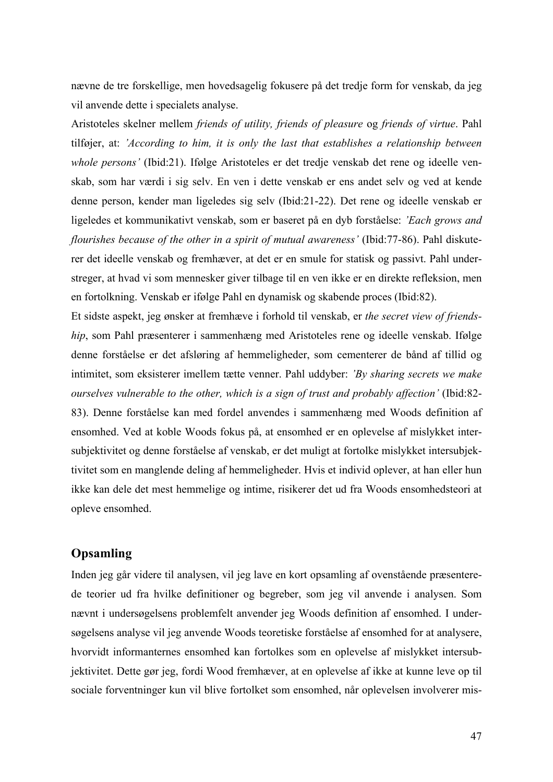nævne de tre forskellige, men hovedsagelig fokusere på det tredje form for venskab, da jeg vil anvende dette i specialets analyse.

Aristoteles skelner mellem *friends of utility, friends of pleasure* og *friends of virtue*. Pahl tilføjer, at: *'According to him, it is only the last that establishes a relationship between whole persons'* (Ibid:21). Ifølge Aristoteles er det tredje venskab det rene og ideelle venskab, som har værdi i sig selv. En ven i dette venskab er ens andet selv og ved at kende denne person, kender man ligeledes sig selv (Ibid:21-22). Det rene og ideelle venskab er ligeledes et kommunikativt venskab, som er baseret på en dyb forståelse: *'Each grows and flourishes because of the other in a spirit of mutual awareness'* (Ibid:77-86). Pahl diskuterer det ideelle venskab og fremhæver, at det er en smule for statisk og passivt. Pahl understreger, at hvad vi som mennesker giver tilbage til en ven ikke er en direkte refleksion, men en fortolkning. Venskab er ifølge Pahl en dynamisk og skabende proces (Ibid:82).

Et sidste aspekt, jeg ønsker at fremhæve i forhold til venskab, er *the secret view of friendship*, som Pahl præsenterer i sammenhæng med Aristoteles rene og ideelle venskab. Ifølge denne forståelse er det afsløring af hemmeligheder, som cementerer de bånd af tillid og intimitet, som eksisterer imellem tætte venner. Pahl uddyber: *'By sharing secrets we make ourselves vulnerable to the other, which is a sign of trust and probably affection'* (Ibid:82- 83). Denne forståelse kan med fordel anvendes i sammenhæng med Woods definition af ensomhed. Ved at koble Woods fokus på, at ensomhed er en oplevelse af mislykket intersubjektivitet og denne forståelse af venskab, er det muligt at fortolke mislykket intersubjektivitet som en manglende deling af hemmeligheder. Hvis et individ oplever, at han eller hun ikke kan dele det mest hemmelige og intime, risikerer det ud fra Woods ensomhedsteori at opleve ensomhed.

# **Opsamling**

Inden jeg går videre til analysen, vil jeg lave en kort opsamling af ovenstående præsenterede teorier ud fra hvilke definitioner og begreber, som jeg vil anvende i analysen. Som nævnt i undersøgelsens problemfelt anvender jeg Woods definition af ensomhed. I undersøgelsens analyse vil jeg anvende Woods teoretiske forståelse af ensomhed for at analysere, hvorvidt informanternes ensomhed kan fortolkes som en oplevelse af mislykket intersubjektivitet. Dette gør jeg, fordi Wood fremhæver, at en oplevelse af ikke at kunne leve op til sociale forventninger kun vil blive fortolket som ensomhed, når oplevelsen involverer mis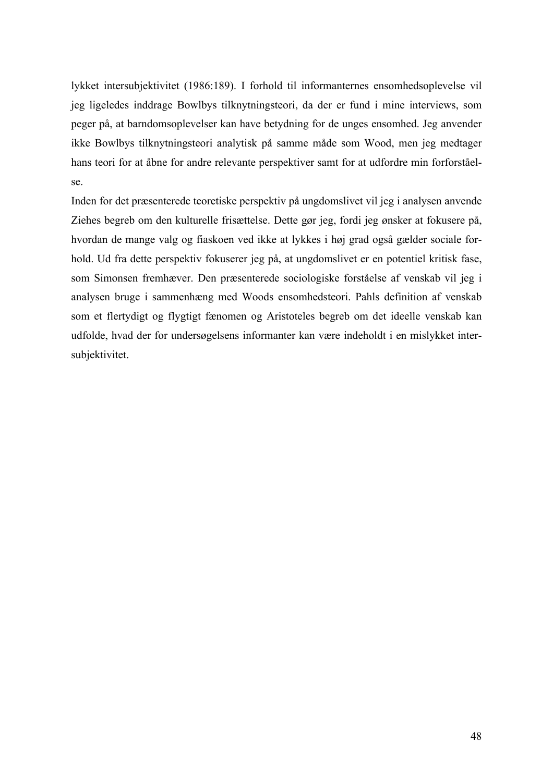lykket intersubjektivitet (1986:189). I forhold til informanternes ensomhedsoplevelse vil jeg ligeledes inddrage Bowlbys tilknytningsteori, da der er fund i mine interviews, som peger på, at barndomsoplevelser kan have betydning for de unges ensomhed. Jeg anvender ikke Bowlbys tilknytningsteori analytisk på samme måde som Wood, men jeg medtager hans teori for at åbne for andre relevante perspektiver samt for at udfordre min forforståelse.

Inden for det præsenterede teoretiske perspektiv på ungdomslivet vil jeg i analysen anvende Ziehes begreb om den kulturelle frisættelse. Dette gør jeg, fordi jeg ønsker at fokusere på, hvordan de mange valg og fiaskoen ved ikke at lykkes i høj grad også gælder sociale forhold. Ud fra dette perspektiv fokuserer jeg på, at ungdomslivet er en potentiel kritisk fase, som Simonsen fremhæver. Den præsenterede sociologiske forståelse af venskab vil jeg i analysen bruge i sammenhæng med Woods ensomhedsteori. Pahls definition af venskab som et flertydigt og flygtigt fænomen og Aristoteles begreb om det ideelle venskab kan udfolde, hvad der for undersøgelsens informanter kan være indeholdt i en mislykket intersubjektivitet.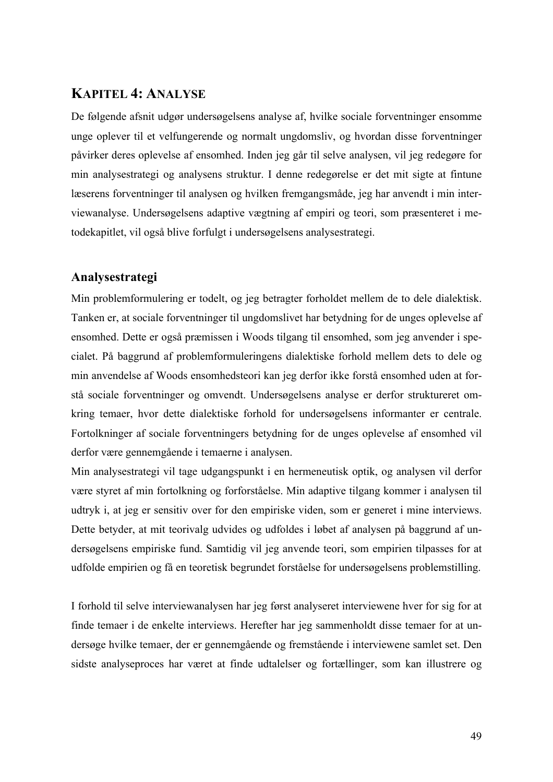# **KAPITEL 4: ANALYSE**

De følgende afsnit udgør undersøgelsens analyse af, hvilke sociale forventninger ensomme unge oplever til et velfungerende og normalt ungdomsliv, og hvordan disse forventninger påvirker deres oplevelse af ensomhed. Inden jeg går til selve analysen, vil jeg redegøre for min analysestrategi og analysens struktur. I denne redegørelse er det mit sigte at fintune læserens forventninger til analysen og hvilken fremgangsmåde, jeg har anvendt i min interviewanalyse. Undersøgelsens adaptive vægtning af empiri og teori, som præsenteret i metodekapitlet, vil også blive forfulgt i undersøgelsens analysestrategi.

## **Analysestrategi**

Min problemformulering er todelt, og jeg betragter forholdet mellem de to dele dialektisk. Tanken er, at sociale forventninger til ungdomslivet har betydning for de unges oplevelse af ensomhed. Dette er også præmissen i Woods tilgang til ensomhed, som jeg anvender i specialet. På baggrund af problemformuleringens dialektiske forhold mellem dets to dele og min anvendelse af Woods ensomhedsteori kan jeg derfor ikke forstå ensomhed uden at forstå sociale forventninger og omvendt. Undersøgelsens analyse er derfor struktureret omkring temaer, hvor dette dialektiske forhold for undersøgelsens informanter er centrale. Fortolkninger af sociale forventningers betydning for de unges oplevelse af ensomhed vil derfor være gennemgående i temaerne i analysen.

Min analysestrategi vil tage udgangspunkt i en hermeneutisk optik, og analysen vil derfor være styret af min fortolkning og forforståelse. Min adaptive tilgang kommer i analysen til udtryk i, at jeg er sensitiv over for den empiriske viden, som er generet i mine interviews. Dette betyder, at mit teorivalg udvides og udfoldes i løbet af analysen på baggrund af undersøgelsens empiriske fund. Samtidig vil jeg anvende teori, som empirien tilpasses for at udfolde empirien og få en teoretisk begrundet forståelse for undersøgelsens problemstilling.

I forhold til selve interviewanalysen har jeg først analyseret interviewene hver for sig for at finde temaer i de enkelte interviews. Herefter har jeg sammenholdt disse temaer for at undersøge hvilke temaer, der er gennemgående og fremstående i interviewene samlet set. Den sidste analyseproces har været at finde udtalelser og fortællinger, som kan illustrere og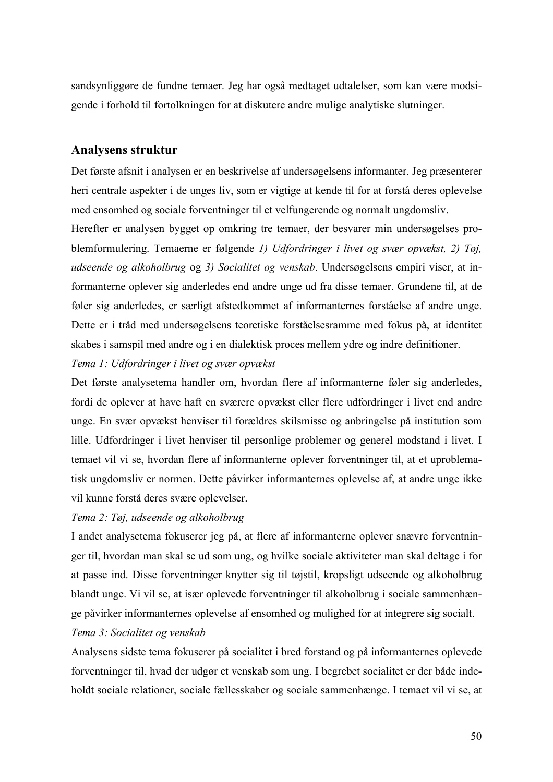sandsynliggøre de fundne temaer. Jeg har også medtaget udtalelser, som kan være modsigende i forhold til fortolkningen for at diskutere andre mulige analytiske slutninger.

#### **Analysens struktur**

Det første afsnit i analysen er en beskrivelse af undersøgelsens informanter. Jeg præsenterer heri centrale aspekter i de unges liv, som er vigtige at kende til for at forstå deres oplevelse med ensomhed og sociale forventninger til et velfungerende og normalt ungdomsliv.

Herefter er analysen bygget op omkring tre temaer, der besvarer min undersøgelses problemformulering. Temaerne er følgende *1) Udfordringer i livet og svær opvækst, 2) Tøj, udseende og alkoholbrug* og *3) Socialitet og venskab*. Undersøgelsens empiri viser, at informanterne oplever sig anderledes end andre unge ud fra disse temaer. Grundene til, at de føler sig anderledes, er særligt afstedkommet af informanternes forståelse af andre unge. Dette er i tråd med undersøgelsens teoretiske forståelsesramme med fokus på, at identitet skabes i samspil med andre og i en dialektisk proces mellem ydre og indre definitioner.

### *Tema 1: Udfordringer i livet og svær opvækst*

Det første analysetema handler om, hvordan flere af informanterne føler sig anderledes, fordi de oplever at have haft en sværere opvækst eller flere udfordringer i livet end andre unge. En svær opvækst henviser til forældres skilsmisse og anbringelse på institution som lille. Udfordringer i livet henviser til personlige problemer og generel modstand i livet. I temaet vil vi se, hvordan flere af informanterne oplever forventninger til, at et uproblematisk ungdomsliv er normen. Dette påvirker informanternes oplevelse af, at andre unge ikke vil kunne forstå deres svære oplevelser.

#### *Tema 2: Tøj, udseende og alkoholbrug*

I andet analysetema fokuserer jeg på, at flere af informanterne oplever snævre forventninger til, hvordan man skal se ud som ung, og hvilke sociale aktiviteter man skal deltage i for at passe ind. Disse forventninger knytter sig til tøjstil, kropsligt udseende og alkoholbrug blandt unge. Vi vil se, at især oplevede forventninger til alkoholbrug i sociale sammenhænge påvirker informanternes oplevelse af ensomhed og mulighed for at integrere sig socialt.

#### *Tema 3: Socialitet og venskab*

Analysens sidste tema fokuserer på socialitet i bred forstand og på informanternes oplevede forventninger til, hvad der udgør et venskab som ung. I begrebet socialitet er der både indeholdt sociale relationer, sociale fællesskaber og sociale sammenhænge. I temaet vil vi se, at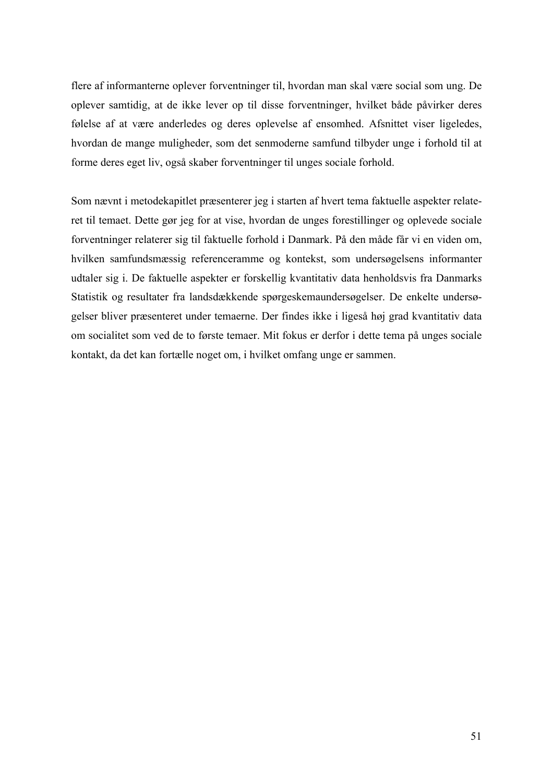flere af informanterne oplever forventninger til, hvordan man skal være social som ung. De oplever samtidig, at de ikke lever op til disse forventninger, hvilket både påvirker deres følelse af at være anderledes og deres oplevelse af ensomhed. Afsnittet viser ligeledes, hvordan de mange muligheder, som det senmoderne samfund tilbyder unge i forhold til at forme deres eget liv, også skaber forventninger til unges sociale forhold.

Som nævnt i metodekapitlet præsenterer jeg i starten af hvert tema faktuelle aspekter relateret til temaet. Dette gør jeg for at vise, hvordan de unges forestillinger og oplevede sociale forventninger relaterer sig til faktuelle forhold i Danmark. På den måde får vi en viden om, hvilken samfundsmæssig referenceramme og kontekst, som undersøgelsens informanter udtaler sig i. De faktuelle aspekter er forskellig kvantitativ data henholdsvis fra Danmarks Statistik og resultater fra landsdækkende spørgeskemaundersøgelser. De enkelte undersøgelser bliver præsenteret under temaerne. Der findes ikke i ligeså høj grad kvantitativ data om socialitet som ved de to første temaer. Mit fokus er derfor i dette tema på unges sociale kontakt, da det kan fortælle noget om, i hvilket omfang unge er sammen.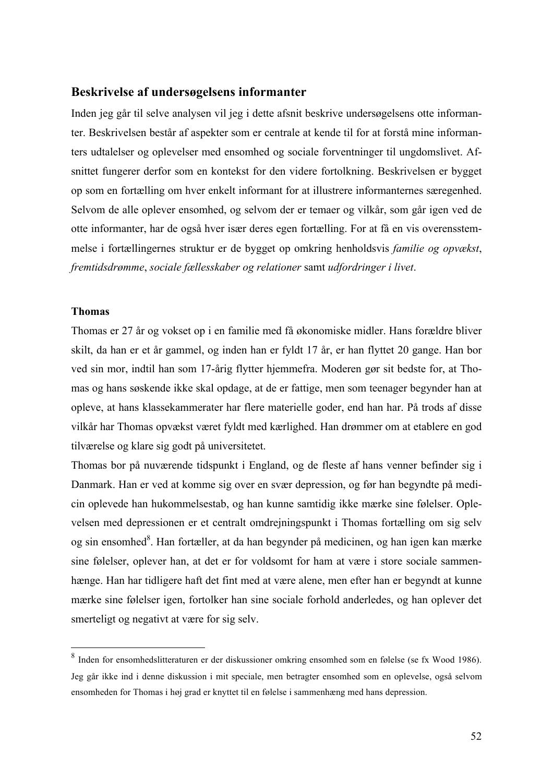#### **Beskrivelse af undersøgelsens informanter**

Inden jeg går til selve analysen vil jeg i dette afsnit beskrive undersøgelsens otte informanter. Beskrivelsen består af aspekter som er centrale at kende til for at forstå mine informanters udtalelser og oplevelser med ensomhed og sociale forventninger til ungdomslivet. Afsnittet fungerer derfor som en kontekst for den videre fortolkning. Beskrivelsen er bygget op som en fortælling om hver enkelt informant for at illustrere informanternes særegenhed. Selvom de alle oplever ensomhed, og selvom der er temaer og vilkår, som går igen ved de otte informanter, har de også hver især deres egen fortælling. For at få en vis overensstemmelse i fortællingernes struktur er de bygget op omkring henholdsvis *familie og opvækst*, *fremtidsdrømme*, *sociale fællesskaber og relationer* samt *udfordringer i livet*.

#### **Thomas**

Thomas er 27 år og vokset op i en familie med få økonomiske midler. Hans forældre bliver skilt, da han er et år gammel, og inden han er fyldt 17 år, er han flyttet 20 gange. Han bor ved sin mor, indtil han som 17-årig flytter hjemmefra. Moderen gør sit bedste for, at Thomas og hans søskende ikke skal opdage, at de er fattige, men som teenager begynder han at opleve, at hans klassekammerater har flere materielle goder, end han har. På trods af disse vilkår har Thomas opvækst været fyldt med kærlighed. Han drømmer om at etablere en god tilværelse og klare sig godt på universitetet.

Thomas bor på nuværende tidspunkt i England, og de fleste af hans venner befinder sig i Danmark. Han er ved at komme sig over en svær depression, og før han begyndte på medicin oplevede han hukommelsestab, og han kunne samtidig ikke mærke sine følelser. Oplevelsen med depressionen er et centralt omdrejningspunkt i Thomas fortælling om sig selv og sin ensomhed<sup>8</sup>. Han fortæller, at da han begynder på medicinen, og han igen kan mærke sine følelser, oplever han, at det er for voldsomt for ham at være i store sociale sammenhænge. Han har tidligere haft det fint med at være alene, men efter han er begyndt at kunne mærke sine følelser igen, fortolker han sine sociale forhold anderledes, og han oplever det smerteligt og negativt at være for sig selv.

 <sup>8</sup> Inden for ensomhedslitteraturen er der diskussioner omkring ensomhed som en følelse (se fx Wood 1986). Jeg går ikke ind i denne diskussion i mit speciale, men betragter ensomhed som en oplevelse, også selvom ensomheden for Thomas i høj grad er knyttet til en følelse i sammenhæng med hans depression.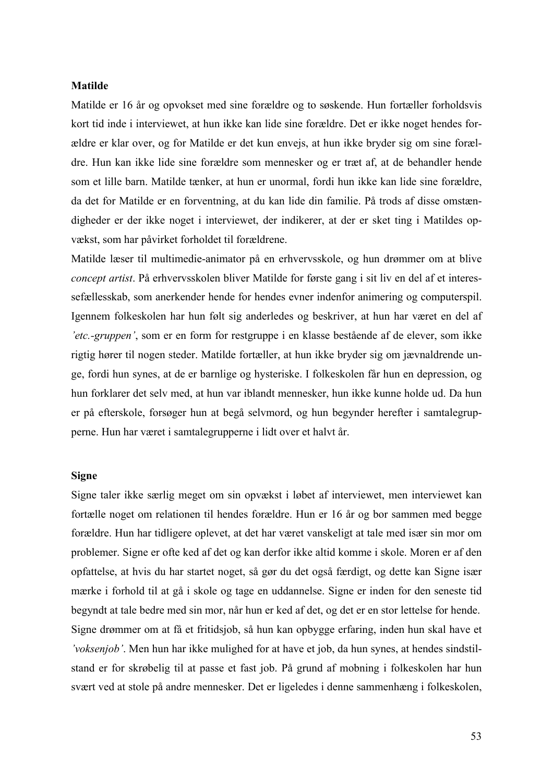#### **Matilde**

Matilde er 16 år og opvokset med sine forældre og to søskende. Hun fortæller forholdsvis kort tid inde i interviewet, at hun ikke kan lide sine forældre. Det er ikke noget hendes forældre er klar over, og for Matilde er det kun envejs, at hun ikke bryder sig om sine forældre. Hun kan ikke lide sine forældre som mennesker og er træt af, at de behandler hende som et lille barn. Matilde tænker, at hun er unormal, fordi hun ikke kan lide sine forældre, da det for Matilde er en forventning, at du kan lide din familie. På trods af disse omstændigheder er der ikke noget i interviewet, der indikerer, at der er sket ting i Matildes opvækst, som har påvirket forholdet til forældrene.

Matilde læser til multimedie-animator på en erhvervsskole, og hun drømmer om at blive *concept artist*. På erhvervsskolen bliver Matilde for første gang i sit liv en del af et interessefællesskab, som anerkender hende for hendes evner indenfor animering og computerspil. Igennem folkeskolen har hun følt sig anderledes og beskriver, at hun har været en del af *'etc.-gruppen'*, som er en form for restgruppe i en klasse bestående af de elever, som ikke rigtig hører til nogen steder. Matilde fortæller, at hun ikke bryder sig om jævnaldrende unge, fordi hun synes, at de er barnlige og hysteriske. I folkeskolen får hun en depression, og hun forklarer det selv med, at hun var iblandt mennesker, hun ikke kunne holde ud. Da hun er på efterskole, forsøger hun at begå selvmord, og hun begynder herefter i samtalegrupperne. Hun har været i samtalegrupperne i lidt over et halvt år.

#### **Signe**

Signe taler ikke særlig meget om sin opvækst i løbet af interviewet, men interviewet kan fortælle noget om relationen til hendes forældre. Hun er 16 år og bor sammen med begge forældre. Hun har tidligere oplevet, at det har været vanskeligt at tale med især sin mor om problemer. Signe er ofte ked af det og kan derfor ikke altid komme i skole. Moren er af den opfattelse, at hvis du har startet noget, så gør du det også færdigt, og dette kan Signe især mærke i forhold til at gå i skole og tage en uddannelse. Signe er inden for den seneste tid begyndt at tale bedre med sin mor, når hun er ked af det, og det er en stor lettelse for hende. Signe drømmer om at få et fritidsjob, så hun kan opbygge erfaring, inden hun skal have et *'voksenjob'*. Men hun har ikke mulighed for at have et job, da hun synes, at hendes sindstilstand er for skrøbelig til at passe et fast job. På grund af mobning i folkeskolen har hun svært ved at stole på andre mennesker. Det er ligeledes i denne sammenhæng i folkeskolen,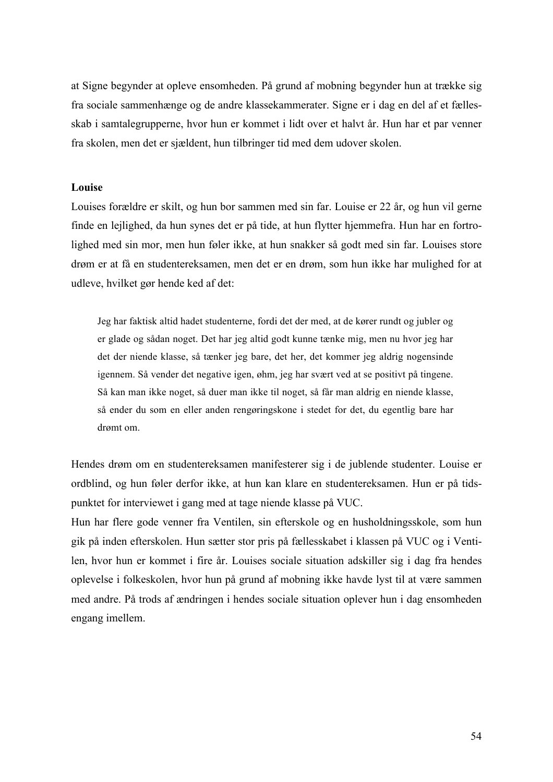at Signe begynder at opleve ensomheden. På grund af mobning begynder hun at trække sig fra sociale sammenhænge og de andre klassekammerater. Signe er i dag en del af et fællesskab i samtalegrupperne, hvor hun er kommet i lidt over et halvt år. Hun har et par venner fra skolen, men det er sjældent, hun tilbringer tid med dem udover skolen.

#### **Louise**

Louises forældre er skilt, og hun bor sammen med sin far. Louise er 22 år, og hun vil gerne finde en lejlighed, da hun synes det er på tide, at hun flytter hjemmefra. Hun har en fortrolighed med sin mor, men hun føler ikke, at hun snakker så godt med sin far. Louises store drøm er at få en studentereksamen, men det er en drøm, som hun ikke har mulighed for at udleve, hvilket gør hende ked af det:

Jeg har faktisk altid hadet studenterne, fordi det der med, at de kører rundt og jubler og er glade og sådan noget. Det har jeg altid godt kunne tænke mig, men nu hvor jeg har det der niende klasse, så tænker jeg bare, det her, det kommer jeg aldrig nogensinde igennem. Så vender det negative igen, øhm, jeg har svært ved at se positivt på tingene. Så kan man ikke noget, så duer man ikke til noget, så får man aldrig en niende klasse, så ender du som en eller anden rengøringskone i stedet for det, du egentlig bare har drømt om.

Hendes drøm om en studentereksamen manifesterer sig i de jublende studenter. Louise er ordblind, og hun føler derfor ikke, at hun kan klare en studentereksamen. Hun er på tidspunktet for interviewet i gang med at tage niende klasse på VUC.

Hun har flere gode venner fra Ventilen, sin efterskole og en husholdningsskole, som hun gik på inden efterskolen. Hun sætter stor pris på fællesskabet i klassen på VUC og i Ventilen, hvor hun er kommet i fire år. Louises sociale situation adskiller sig i dag fra hendes oplevelse i folkeskolen, hvor hun på grund af mobning ikke havde lyst til at være sammen med andre. På trods af ændringen i hendes sociale situation oplever hun i dag ensomheden engang imellem.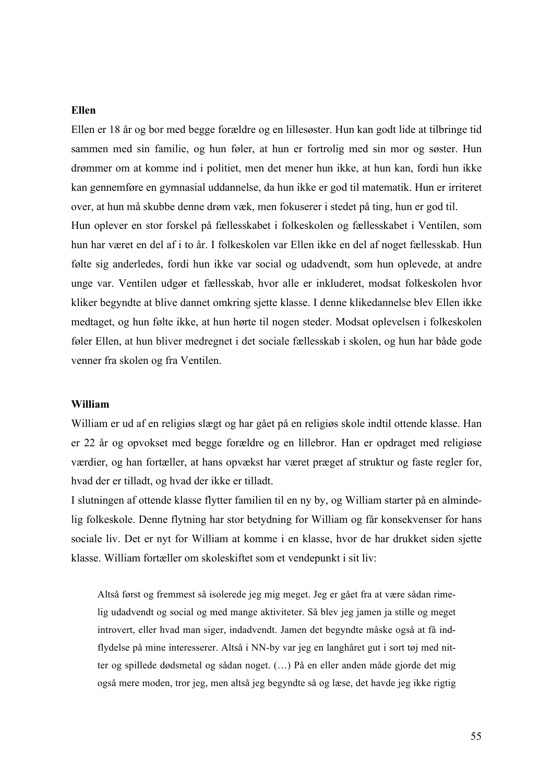#### **Ellen**

Ellen er 18 år og bor med begge forældre og en lillesøster. Hun kan godt lide at tilbringe tid sammen med sin familie, og hun føler, at hun er fortrolig med sin mor og søster. Hun drømmer om at komme ind i politiet, men det mener hun ikke, at hun kan, fordi hun ikke kan gennemføre en gymnasial uddannelse, da hun ikke er god til matematik. Hun er irriteret over, at hun må skubbe denne drøm væk, men fokuserer i stedet på ting, hun er god til. Hun oplever en stor forskel på fællesskabet i folkeskolen og fællesskabet i Ventilen, som hun har været en del af i to år. I folkeskolen var Ellen ikke en del af noget fællesskab. Hun følte sig anderledes, fordi hun ikke var social og udadvendt, som hun oplevede, at andre unge var. Ventilen udgør et fællesskab, hvor alle er inkluderet, modsat folkeskolen hvor kliker begyndte at blive dannet omkring sjette klasse. I denne klikedannelse blev Ellen ikke medtaget, og hun følte ikke, at hun hørte til nogen steder. Modsat oplevelsen i folkeskolen føler Ellen, at hun bliver medregnet i det sociale fællesskab i skolen, og hun har både gode venner fra skolen og fra Ventilen.

#### **William**

William er ud af en religiøs slægt og har gået på en religiøs skole indtil ottende klasse. Han er 22 år og opvokset med begge forældre og en lillebror. Han er opdraget med religiøse værdier, og han fortæller, at hans opvækst har været præget af struktur og faste regler for, hvad der er tilladt, og hvad der ikke er tilladt.

I slutningen af ottende klasse flytter familien til en ny by, og William starter på en almindelig folkeskole. Denne flytning har stor betydning for William og får konsekvenser for hans sociale liv. Det er nyt for William at komme i en klasse, hvor de har drukket siden sjette klasse. William fortæller om skoleskiftet som et vendepunkt i sit liv:

Altså først og fremmest så isolerede jeg mig meget. Jeg er gået fra at være sådan rimelig udadvendt og social og med mange aktiviteter. Så blev jeg jamen ja stille og meget introvert, eller hvad man siger, indadvendt. Jamen det begyndte måske også at få indflydelse på mine interesserer. Altså i NN-by var jeg en langhåret gut i sort tøj med nitter og spillede dødsmetal og sådan noget. (…) På en eller anden måde gjorde det mig også mere moden, tror jeg, men altså jeg begyndte så og læse, det havde jeg ikke rigtig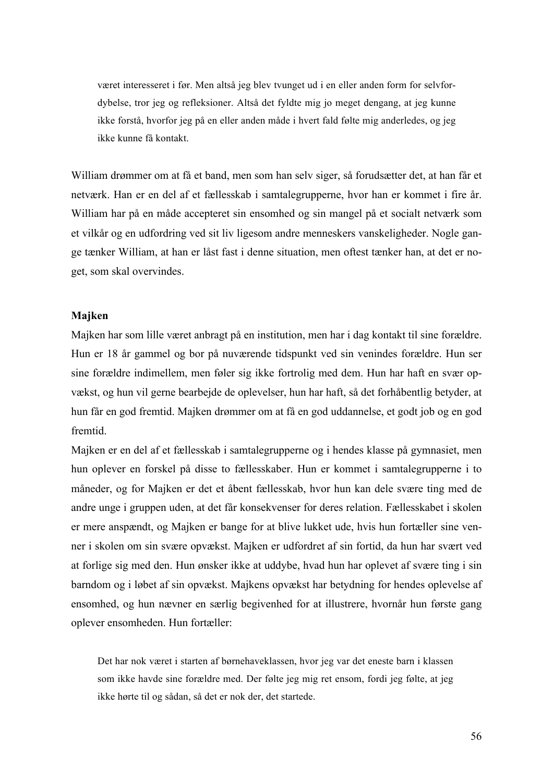været interesseret i før. Men altså jeg blev tvunget ud i en eller anden form for selvfordybelse, tror jeg og refleksioner. Altså det fyldte mig jo meget dengang, at jeg kunne ikke forstå, hvorfor jeg på en eller anden måde i hvert fald følte mig anderledes, og jeg ikke kunne få kontakt.

William drømmer om at få et band, men som han selv siger, så forudsætter det, at han får et netværk. Han er en del af et fællesskab i samtalegrupperne, hvor han er kommet i fire år. William har på en måde accepteret sin ensomhed og sin mangel på et socialt netværk som et vilkår og en udfordring ved sit liv ligesom andre menneskers vanskeligheder. Nogle gange tænker William, at han er låst fast i denne situation, men oftest tænker han, at det er noget, som skal overvindes.

#### **Majken**

Majken har som lille været anbragt på en institution, men har i dag kontakt til sine forældre. Hun er 18 år gammel og bor på nuværende tidspunkt ved sin venindes forældre. Hun ser sine forældre indimellem, men føler sig ikke fortrolig med dem. Hun har haft en svær opvækst, og hun vil gerne bearbejde de oplevelser, hun har haft, så det forhåbentlig betyder, at hun får en god fremtid. Majken drømmer om at få en god uddannelse, et godt job og en god fremtid.

Majken er en del af et fællesskab i samtalegrupperne og i hendes klasse på gymnasiet, men hun oplever en forskel på disse to fællesskaber. Hun er kommet i samtalegrupperne i to måneder, og for Majken er det et åbent fællesskab, hvor hun kan dele svære ting med de andre unge i gruppen uden, at det får konsekvenser for deres relation. Fællesskabet i skolen er mere anspændt, og Majken er bange for at blive lukket ude, hvis hun fortæller sine venner i skolen om sin svære opvækst. Majken er udfordret af sin fortid, da hun har svært ved at forlige sig med den. Hun ønsker ikke at uddybe, hvad hun har oplevet af svære ting i sin barndom og i løbet af sin opvækst. Majkens opvækst har betydning for hendes oplevelse af ensomhed, og hun nævner en særlig begivenhed for at illustrere, hvornår hun første gang oplever ensomheden. Hun fortæller:

Det har nok været i starten af børnehaveklassen, hvor jeg var det eneste barn i klassen som ikke havde sine forældre med. Der følte jeg mig ret ensom, fordi jeg følte, at jeg ikke hørte til og sådan, så det er nok der, det startede.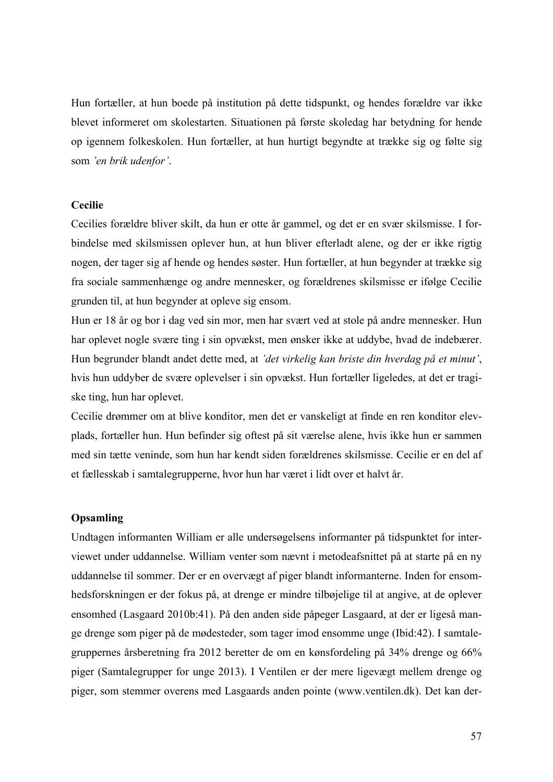Hun fortæller, at hun boede på institution på dette tidspunkt, og hendes forældre var ikke blevet informeret om skolestarten. Situationen på første skoledag har betydning for hende op igennem folkeskolen. Hun fortæller, at hun hurtigt begyndte at trække sig og følte sig som *'en brik udenfor'*.

#### **Cecilie**

Cecilies forældre bliver skilt, da hun er otte år gammel, og det er en svær skilsmisse. I forbindelse med skilsmissen oplever hun, at hun bliver efterladt alene, og der er ikke rigtig nogen, der tager sig af hende og hendes søster. Hun fortæller, at hun begynder at trække sig fra sociale sammenhænge og andre mennesker, og forældrenes skilsmisse er ifølge Cecilie grunden til, at hun begynder at opleve sig ensom.

Hun er 18 år og bor i dag ved sin mor, men har svært ved at stole på andre mennesker. Hun har oplevet nogle svære ting i sin opvækst, men ønsker ikke at uddybe, hvad de indebærer. Hun begrunder blandt andet dette med, at *'det virkelig kan briste din hverdag på et minut'*, hvis hun uddyber de svære oplevelser i sin opvækst. Hun fortæller ligeledes, at det er tragiske ting, hun har oplevet.

Cecilie drømmer om at blive konditor, men det er vanskeligt at finde en ren konditor elevplads, fortæller hun. Hun befinder sig oftest på sit værelse alene, hvis ikke hun er sammen med sin tætte veninde, som hun har kendt siden forældrenes skilsmisse. Cecilie er en del af et fællesskab i samtalegrupperne, hvor hun har været i lidt over et halvt år.

#### **Opsamling**

Undtagen informanten William er alle undersøgelsens informanter på tidspunktet for interviewet under uddannelse. William venter som nævnt i metodeafsnittet på at starte på en ny uddannelse til sommer. Der er en overvægt af piger blandt informanterne. Inden for ensomhedsforskningen er der fokus på, at drenge er mindre tilbøjelige til at angive, at de oplever ensomhed (Lasgaard 2010b:41). På den anden side påpeger Lasgaard, at der er ligeså mange drenge som piger på de mødesteder, som tager imod ensomme unge (Ibid:42). I samtalegruppernes årsberetning fra 2012 beretter de om en kønsfordeling på 34% drenge og 66% piger (Samtalegrupper for unge 2013). I Ventilen er der mere ligevægt mellem drenge og piger, som stemmer overens med Lasgaards anden pointe (www.ventilen.dk). Det kan der-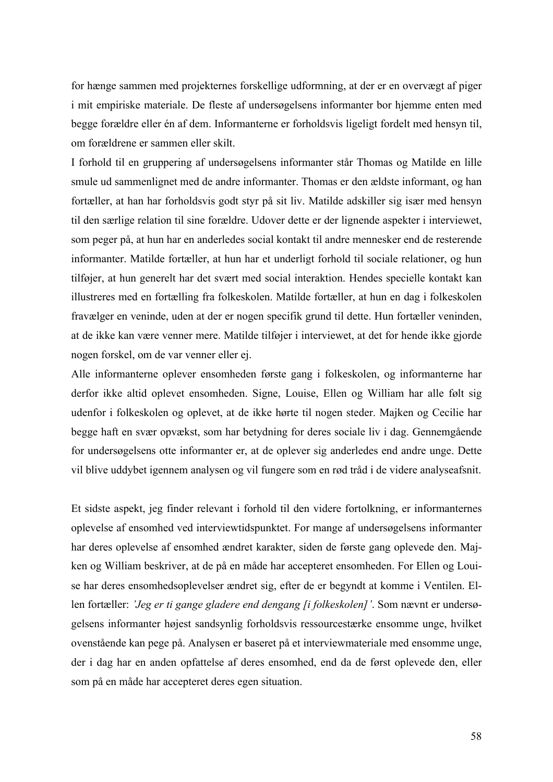for hænge sammen med projekternes forskellige udformning, at der er en overvægt af piger i mit empiriske materiale. De fleste af undersøgelsens informanter bor hjemme enten med begge forældre eller én af dem. Informanterne er forholdsvis ligeligt fordelt med hensyn til, om forældrene er sammen eller skilt.

I forhold til en gruppering af undersøgelsens informanter står Thomas og Matilde en lille smule ud sammenlignet med de andre informanter. Thomas er den ældste informant, og han fortæller, at han har forholdsvis godt styr på sit liv. Matilde adskiller sig især med hensyn til den særlige relation til sine forældre. Udover dette er der lignende aspekter i interviewet, som peger på, at hun har en anderledes social kontakt til andre mennesker end de resterende informanter. Matilde fortæller, at hun har et underligt forhold til sociale relationer, og hun tilføjer, at hun generelt har det svært med social interaktion. Hendes specielle kontakt kan illustreres med en fortælling fra folkeskolen. Matilde fortæller, at hun en dag i folkeskolen fravælger en veninde, uden at der er nogen specifik grund til dette. Hun fortæller veninden, at de ikke kan være venner mere. Matilde tilføjer i interviewet, at det for hende ikke gjorde nogen forskel, om de var venner eller ej.

Alle informanterne oplever ensomheden første gang i folkeskolen, og informanterne har derfor ikke altid oplevet ensomheden. Signe, Louise, Ellen og William har alle følt sig udenfor i folkeskolen og oplevet, at de ikke hørte til nogen steder. Majken og Cecilie har begge haft en svær opvækst, som har betydning for deres sociale liv i dag. Gennemgående for undersøgelsens otte informanter er, at de oplever sig anderledes end andre unge. Dette vil blive uddybet igennem analysen og vil fungere som en rød tråd i de videre analyseafsnit.

Et sidste aspekt, jeg finder relevant i forhold til den videre fortolkning, er informanternes oplevelse af ensomhed ved interviewtidspunktet. For mange af undersøgelsens informanter har deres oplevelse af ensomhed ændret karakter, siden de første gang oplevede den. Majken og William beskriver, at de på en måde har accepteret ensomheden. For Ellen og Louise har deres ensomhedsoplevelser ændret sig, efter de er begyndt at komme i Ventilen. Ellen fortæller: *'Jeg er ti gange gladere end dengang [i folkeskolen]'*. Som nævnt er undersøgelsens informanter højest sandsynlig forholdsvis ressourcestærke ensomme unge, hvilket ovenstående kan pege på. Analysen er baseret på et interviewmateriale med ensomme unge, der i dag har en anden opfattelse af deres ensomhed, end da de først oplevede den, eller som på en måde har accepteret deres egen situation.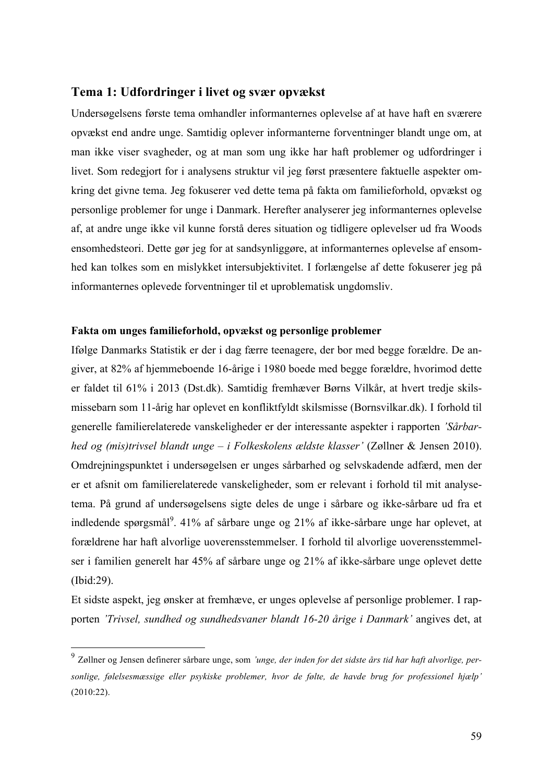#### **Tema 1: Udfordringer i livet og svær opvækst**

Undersøgelsens første tema omhandler informanternes oplevelse af at have haft en sværere opvækst end andre unge. Samtidig oplever informanterne forventninger blandt unge om, at man ikke viser svagheder, og at man som ung ikke har haft problemer og udfordringer i livet. Som redegjort for i analysens struktur vil jeg først præsentere faktuelle aspekter omkring det givne tema. Jeg fokuserer ved dette tema på fakta om familieforhold, opvækst og personlige problemer for unge i Danmark. Herefter analyserer jeg informanternes oplevelse af, at andre unge ikke vil kunne forstå deres situation og tidligere oplevelser ud fra Woods ensomhedsteori. Dette gør jeg for at sandsynliggøre, at informanternes oplevelse af ensomhed kan tolkes som en mislykket intersubjektivitet. I forlængelse af dette fokuserer jeg på informanternes oplevede forventninger til et uproblematisk ungdomsliv.

#### **Fakta om unges familieforhold, opvækst og personlige problemer**

Ifølge Danmarks Statistik er der i dag færre teenagere, der bor med begge forældre. De angiver, at 82% af hjemmeboende 16-årige i 1980 boede med begge forældre, hvorimod dette er faldet til 61% i 2013 (Dst.dk). Samtidig fremhæver Børns Vilkår, at hvert tredje skilsmissebarn som 11-årig har oplevet en konfliktfyldt skilsmisse (Bornsvilkar.dk). I forhold til generelle familierelaterede vanskeligheder er der interessante aspekter i rapporten *'Sårbarhed og (mis)trivsel blandt unge – i Folkeskolens ældste klasser'* (Zøllner & Jensen 2010). Omdrejningspunktet i undersøgelsen er unges sårbarhed og selvskadende adfærd, men der er et afsnit om familierelaterede vanskeligheder, som er relevant i forhold til mit analysetema. På grund af undersøgelsens sigte deles de unge i sårbare og ikke-sårbare ud fra et indledende spørgsmål<sup>9</sup>. 41% af sårbare unge og 21% af ikke-sårbare unge har oplevet, at forældrene har haft alvorlige uoverensstemmelser. I forhold til alvorlige uoverensstemmelser i familien generelt har 45% af sårbare unge og 21% af ikke-sårbare unge oplevet dette (Ibid:29).

Et sidste aspekt, jeg ønsker at fremhæve, er unges oplevelse af personlige problemer. I rapporten *'Trivsel, sundhed og sundhedsvaner blandt 16-20 årige i Danmark'* angives det, at

 <sup>9</sup> Zøllner og Jensen definerer sårbare unge, som *'unge, der inden for det sidste års tid har haft alvorlige, personlige, følelsesmæssige eller psykiske problemer, hvor de følte, de havde brug for professionel hjælp'* (2010:22).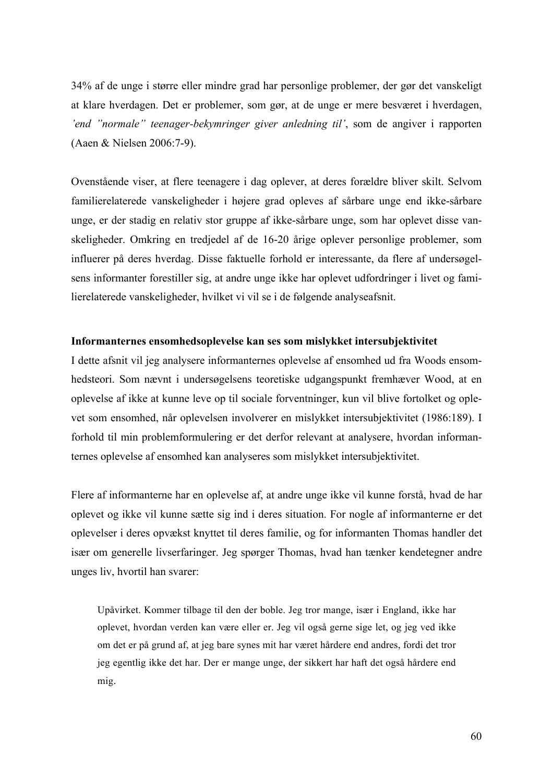34% af de unge i større eller mindre grad har personlige problemer, der gør det vanskeligt at klare hverdagen. Det er problemer, som gør, at de unge er mere besværet i hverdagen, *'end "normale" teenager-bekymringer giver anledning til'*, som de angiver i rapporten (Aaen & Nielsen 2006:7-9).

Ovenstående viser, at flere teenagere i dag oplever, at deres forældre bliver skilt. Selvom familierelaterede vanskeligheder i højere grad opleves af sårbare unge end ikke-sårbare unge, er der stadig en relativ stor gruppe af ikke-sårbare unge, som har oplevet disse vanskeligheder. Omkring en tredjedel af de 16-20 årige oplever personlige problemer, som influerer på deres hverdag. Disse faktuelle forhold er interessante, da flere af undersøgelsens informanter forestiller sig, at andre unge ikke har oplevet udfordringer i livet og familierelaterede vanskeligheder, hvilket vi vil se i de følgende analyseafsnit.

#### **Informanternes ensomhedsoplevelse kan ses som mislykket intersubjektivitet**

I dette afsnit vil jeg analysere informanternes oplevelse af ensomhed ud fra Woods ensomhedsteori. Som nævnt i undersøgelsens teoretiske udgangspunkt fremhæver Wood, at en oplevelse af ikke at kunne leve op til sociale forventninger, kun vil blive fortolket og oplevet som ensomhed, når oplevelsen involverer en mislykket intersubjektivitet (1986:189). I forhold til min problemformulering er det derfor relevant at analysere, hvordan informanternes oplevelse af ensomhed kan analyseres som mislykket intersubjektivitet.

Flere af informanterne har en oplevelse af, at andre unge ikke vil kunne forstå, hvad de har oplevet og ikke vil kunne sætte sig ind i deres situation. For nogle af informanterne er det oplevelser i deres opvækst knyttet til deres familie, og for informanten Thomas handler det især om generelle livserfaringer. Jeg spørger Thomas, hvad han tænker kendetegner andre unges liv, hvortil han svarer:

Upåvirket. Kommer tilbage til den der boble. Jeg tror mange, især i England, ikke har oplevet, hvordan verden kan være eller er. Jeg vil også gerne sige let, og jeg ved ikke om det er på grund af, at jeg bare synes mit har været hårdere end andres, fordi det tror jeg egentlig ikke det har. Der er mange unge, der sikkert har haft det også hårdere end mig.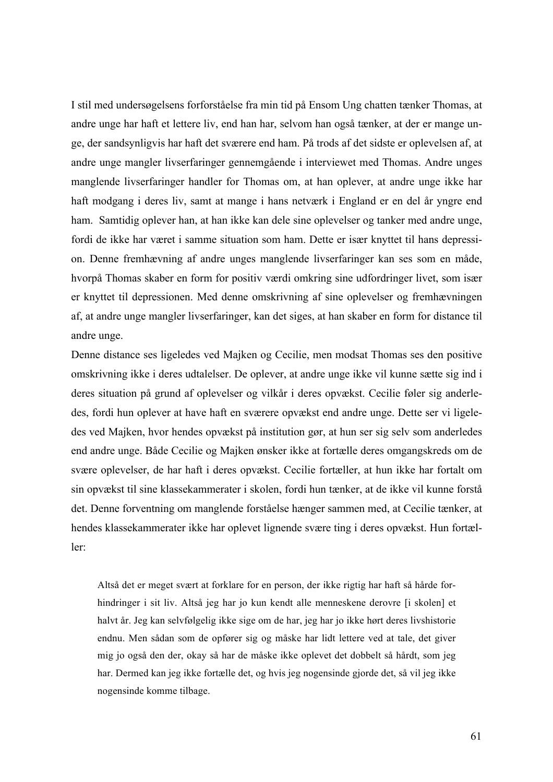I stil med undersøgelsens forforståelse fra min tid på Ensom Ung chatten tænker Thomas, at andre unge har haft et lettere liv, end han har, selvom han også tænker, at der er mange unge, der sandsynligvis har haft det sværere end ham. På trods af det sidste er oplevelsen af, at andre unge mangler livserfaringer gennemgående i interviewet med Thomas. Andre unges manglende livserfaringer handler for Thomas om, at han oplever, at andre unge ikke har haft modgang i deres liv, samt at mange i hans netværk i England er en del år yngre end ham. Samtidig oplever han, at han ikke kan dele sine oplevelser og tanker med andre unge, fordi de ikke har været i samme situation som ham. Dette er især knyttet til hans depression. Denne fremhævning af andre unges manglende livserfaringer kan ses som en måde, hvorpå Thomas skaber en form for positiv værdi omkring sine udfordringer livet, som især er knyttet til depressionen. Med denne omskrivning af sine oplevelser og fremhævningen af, at andre unge mangler livserfaringer, kan det siges, at han skaber en form for distance til andre unge.

Denne distance ses ligeledes ved Majken og Cecilie, men modsat Thomas ses den positive omskrivning ikke i deres udtalelser. De oplever, at andre unge ikke vil kunne sætte sig ind i deres situation på grund af oplevelser og vilkår i deres opvækst. Cecilie føler sig anderledes, fordi hun oplever at have haft en sværere opvækst end andre unge. Dette ser vi ligeledes ved Majken, hvor hendes opvækst på institution gør, at hun ser sig selv som anderledes end andre unge. Både Cecilie og Majken ønsker ikke at fortælle deres omgangskreds om de svære oplevelser, de har haft i deres opvækst. Cecilie fortæller, at hun ikke har fortalt om sin opvækst til sine klassekammerater i skolen, fordi hun tænker, at de ikke vil kunne forstå det. Denne forventning om manglende forståelse hænger sammen med, at Cecilie tænker, at hendes klassekammerater ikke har oplevet lignende svære ting i deres opvækst. Hun fortæller:

Altså det er meget svært at forklare for en person, der ikke rigtig har haft så hårde forhindringer i sit liv. Altså jeg har jo kun kendt alle menneskene derovre [i skolen] et halvt år. Jeg kan selvfølgelig ikke sige om de har, jeg har jo ikke hørt deres livshistorie endnu. Men sådan som de opfører sig og måske har lidt lettere ved at tale, det giver mig jo også den der, okay så har de måske ikke oplevet det dobbelt så hårdt, som jeg har. Dermed kan jeg ikke fortælle det, og hvis jeg nogensinde gjorde det, så vil jeg ikke nogensinde komme tilbage.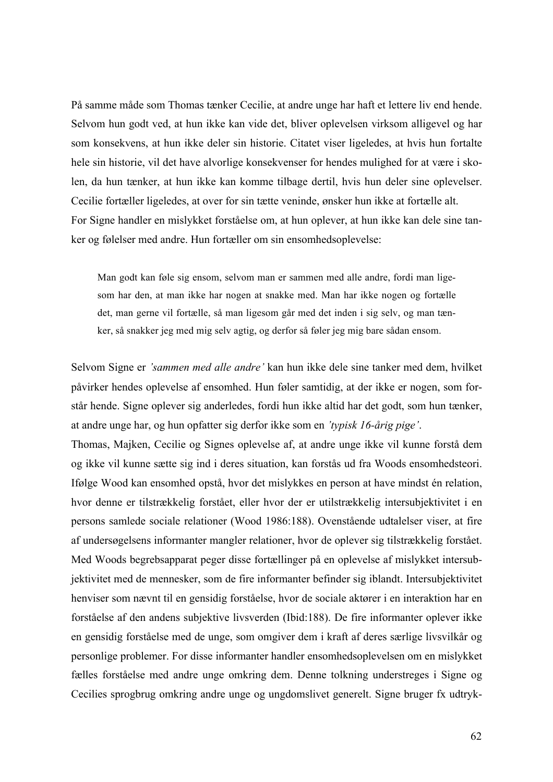På samme måde som Thomas tænker Cecilie, at andre unge har haft et lettere liv end hende. Selvom hun godt ved, at hun ikke kan vide det, bliver oplevelsen virksom alligevel og har som konsekvens, at hun ikke deler sin historie. Citatet viser ligeledes, at hvis hun fortalte hele sin historie, vil det have alvorlige konsekvenser for hendes mulighed for at være i skolen, da hun tænker, at hun ikke kan komme tilbage dertil, hvis hun deler sine oplevelser. Cecilie fortæller ligeledes, at over for sin tætte veninde, ønsker hun ikke at fortælle alt. For Signe handler en mislykket forståelse om, at hun oplever, at hun ikke kan dele sine tanker og følelser med andre. Hun fortæller om sin ensomhedsoplevelse:

Man godt kan føle sig ensom, selvom man er sammen med alle andre, fordi man ligesom har den, at man ikke har nogen at snakke med. Man har ikke nogen og fortælle det, man gerne vil fortælle, så man ligesom går med det inden i sig selv, og man tænker, så snakker jeg med mig selv agtig, og derfor så føler jeg mig bare sådan ensom.

Selvom Signe er *'sammen med alle andre'* kan hun ikke dele sine tanker med dem, hvilket påvirker hendes oplevelse af ensomhed. Hun føler samtidig, at der ikke er nogen, som forstår hende. Signe oplever sig anderledes, fordi hun ikke altid har det godt, som hun tænker, at andre unge har, og hun opfatter sig derfor ikke som en *'typisk 16-årig pige'*.

Thomas, Majken, Cecilie og Signes oplevelse af, at andre unge ikke vil kunne forstå dem og ikke vil kunne sætte sig ind i deres situation, kan forstås ud fra Woods ensomhedsteori. Ifølge Wood kan ensomhed opstå, hvor det mislykkes en person at have mindst én relation, hvor denne er tilstrækkelig forstået, eller hvor der er utilstrækkelig intersubjektivitet i en persons samlede sociale relationer (Wood 1986:188). Ovenstående udtalelser viser, at fire af undersøgelsens informanter mangler relationer, hvor de oplever sig tilstrækkelig forstået. Med Woods begrebsapparat peger disse fortællinger på en oplevelse af mislykket intersubjektivitet med de mennesker, som de fire informanter befinder sig iblandt. Intersubjektivitet henviser som nævnt til en gensidig forståelse, hvor de sociale aktører i en interaktion har en forståelse af den andens subjektive livsverden (Ibid:188). De fire informanter oplever ikke en gensidig forståelse med de unge, som omgiver dem i kraft af deres særlige livsvilkår og personlige problemer. For disse informanter handler ensomhedsoplevelsen om en mislykket fælles forståelse med andre unge omkring dem. Denne tolkning understreges i Signe og Cecilies sprogbrug omkring andre unge og ungdomslivet generelt. Signe bruger fx udtryk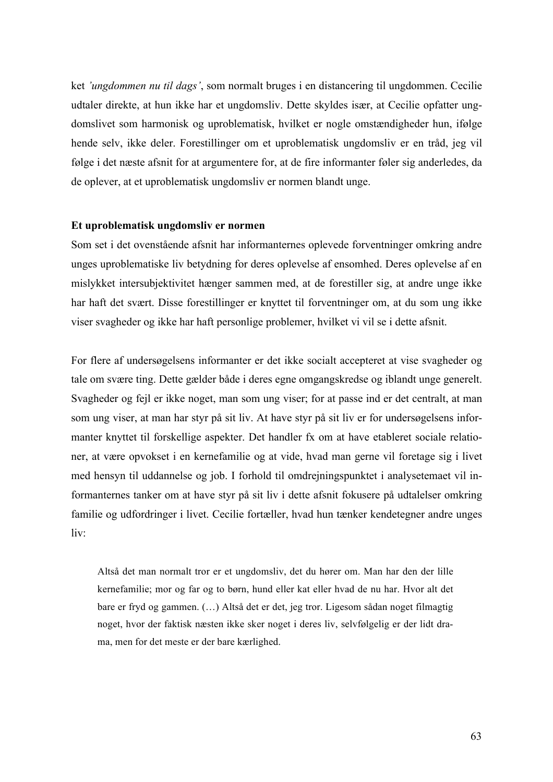ket *'ungdommen nu til dags'*, som normalt bruges i en distancering til ungdommen. Cecilie udtaler direkte, at hun ikke har et ungdomsliv. Dette skyldes især, at Cecilie opfatter ungdomslivet som harmonisk og uproblematisk, hvilket er nogle omstændigheder hun, ifølge hende selv, ikke deler. Forestillinger om et uproblematisk ungdomsliv er en tråd, jeg vil følge i det næste afsnit for at argumentere for, at de fire informanter føler sig anderledes, da de oplever, at et uproblematisk ungdomsliv er normen blandt unge.

#### **Et uproblematisk ungdomsliv er normen**

Som set i det ovenstående afsnit har informanternes oplevede forventninger omkring andre unges uproblematiske liv betydning for deres oplevelse af ensomhed. Deres oplevelse af en mislykket intersubjektivitet hænger sammen med, at de forestiller sig, at andre unge ikke har haft det svært. Disse forestillinger er knyttet til forventninger om, at du som ung ikke viser svagheder og ikke har haft personlige problemer, hvilket vi vil se i dette afsnit.

For flere af undersøgelsens informanter er det ikke socialt accepteret at vise svagheder og tale om svære ting. Dette gælder både i deres egne omgangskredse og iblandt unge generelt. Svagheder og fejl er ikke noget, man som ung viser; for at passe ind er det centralt, at man som ung viser, at man har styr på sit liv. At have styr på sit liv er for undersøgelsens informanter knyttet til forskellige aspekter. Det handler fx om at have etableret sociale relationer, at være opvokset i en kernefamilie og at vide, hvad man gerne vil foretage sig i livet med hensyn til uddannelse og job. I forhold til omdrejningspunktet i analysetemaet vil informanternes tanker om at have styr på sit liv i dette afsnit fokusere på udtalelser omkring familie og udfordringer i livet. Cecilie fortæller, hvad hun tænker kendetegner andre unges liv:

Altså det man normalt tror er et ungdomsliv, det du hører om. Man har den der lille kernefamilie; mor og far og to børn, hund eller kat eller hvad de nu har. Hvor alt det bare er fryd og gammen. (…) Altså det er det, jeg tror. Ligesom sådan noget filmagtig noget, hvor der faktisk næsten ikke sker noget i deres liv, selvfølgelig er der lidt drama, men for det meste er der bare kærlighed.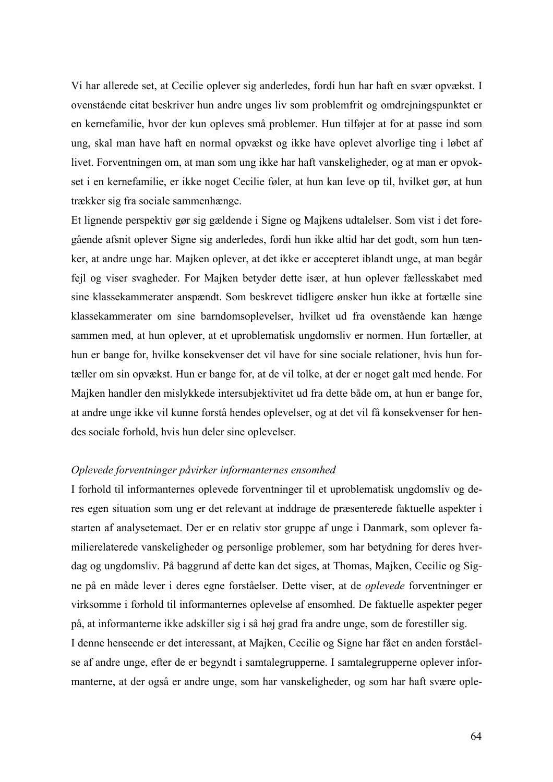Vi har allerede set, at Cecilie oplever sig anderledes, fordi hun har haft en svær opvækst. I ovenstående citat beskriver hun andre unges liv som problemfrit og omdrejningspunktet er en kernefamilie, hvor der kun opleves små problemer. Hun tilføjer at for at passe ind som ung, skal man have haft en normal opvækst og ikke have oplevet alvorlige ting i løbet af livet. Forventningen om, at man som ung ikke har haft vanskeligheder, og at man er opvokset i en kernefamilie, er ikke noget Cecilie føler, at hun kan leve op til, hvilket gør, at hun trækker sig fra sociale sammenhænge.

Et lignende perspektiv gør sig gældende i Signe og Majkens udtalelser. Som vist i det foregående afsnit oplever Signe sig anderledes, fordi hun ikke altid har det godt, som hun tænker, at andre unge har. Majken oplever, at det ikke er accepteret iblandt unge, at man begår fejl og viser svagheder. For Majken betyder dette især, at hun oplever fællesskabet med sine klassekammerater anspændt. Som beskrevet tidligere ønsker hun ikke at fortælle sine klassekammerater om sine barndomsoplevelser, hvilket ud fra ovenstående kan hænge sammen med, at hun oplever, at et uproblematisk ungdomsliv er normen. Hun fortæller, at hun er bange for, hvilke konsekvenser det vil have for sine sociale relationer, hvis hun fortæller om sin opvækst. Hun er bange for, at de vil tolke, at der er noget galt med hende. For Majken handler den mislykkede intersubjektivitet ud fra dette både om, at hun er bange for, at andre unge ikke vil kunne forstå hendes oplevelser, og at det vil få konsekvenser for hendes sociale forhold, hvis hun deler sine oplevelser.

#### *Oplevede forventninger påvirker informanternes ensomhed*

I forhold til informanternes oplevede forventninger til et uproblematisk ungdomsliv og deres egen situation som ung er det relevant at inddrage de præsenterede faktuelle aspekter i starten af analysetemaet. Der er en relativ stor gruppe af unge i Danmark, som oplever familierelaterede vanskeligheder og personlige problemer, som har betydning for deres hverdag og ungdomsliv. På baggrund af dette kan det siges, at Thomas, Majken, Cecilie og Signe på en måde lever i deres egne forståelser. Dette viser, at de *oplevede* forventninger er virksomme i forhold til informanternes oplevelse af ensomhed. De faktuelle aspekter peger på, at informanterne ikke adskiller sig i så høj grad fra andre unge, som de forestiller sig. I denne henseende er det interessant, at Majken, Cecilie og Signe har fået en anden forståelse af andre unge, efter de er begyndt i samtalegrupperne. I samtalegrupperne oplever informanterne, at der også er andre unge, som har vanskeligheder, og som har haft svære ople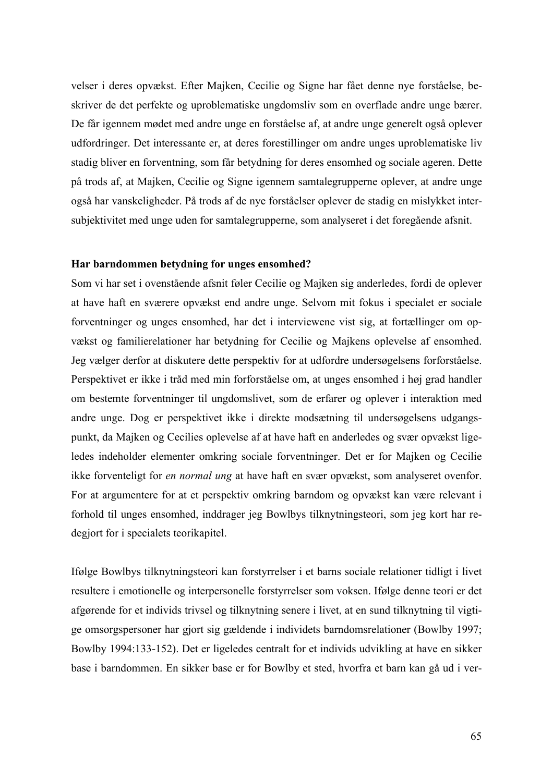velser i deres opvækst. Efter Majken, Cecilie og Signe har fået denne nye forståelse, beskriver de det perfekte og uproblematiske ungdomsliv som en overflade andre unge bærer. De får igennem mødet med andre unge en forståelse af, at andre unge generelt også oplever udfordringer. Det interessante er, at deres forestillinger om andre unges uproblematiske liv stadig bliver en forventning, som får betydning for deres ensomhed og sociale ageren. Dette på trods af, at Majken, Cecilie og Signe igennem samtalegrupperne oplever, at andre unge også har vanskeligheder. På trods af de nye forståelser oplever de stadig en mislykket intersubjektivitet med unge uden for samtalegrupperne, som analyseret i det foregående afsnit.

#### **Har barndommen betydning for unges ensomhed?**

Som vi har set i ovenstående afsnit føler Cecilie og Majken sig anderledes, fordi de oplever at have haft en sværere opvækst end andre unge. Selvom mit fokus i specialet er sociale forventninger og unges ensomhed, har det i interviewene vist sig, at fortællinger om opvækst og familierelationer har betydning for Cecilie og Majkens oplevelse af ensomhed. Jeg vælger derfor at diskutere dette perspektiv for at udfordre undersøgelsens forforståelse. Perspektivet er ikke i tråd med min forforståelse om, at unges ensomhed i høj grad handler om bestemte forventninger til ungdomslivet, som de erfarer og oplever i interaktion med andre unge. Dog er perspektivet ikke i direkte modsætning til undersøgelsens udgangspunkt, da Majken og Cecilies oplevelse af at have haft en anderledes og svær opvækst ligeledes indeholder elementer omkring sociale forventninger. Det er for Majken og Cecilie ikke forventeligt for *en normal ung* at have haft en svær opvækst, som analyseret ovenfor. For at argumentere for at et perspektiv omkring barndom og opvækst kan være relevant i forhold til unges ensomhed, inddrager jeg Bowlbys tilknytningsteori, som jeg kort har redegjort for i specialets teorikapitel.

Ifølge Bowlbys tilknytningsteori kan forstyrrelser i et barns sociale relationer tidligt i livet resultere i emotionelle og interpersonelle forstyrrelser som voksen. Ifølge denne teori er det afgørende for et individs trivsel og tilknytning senere i livet, at en sund tilknytning til vigtige omsorgspersoner har gjort sig gældende i individets barndomsrelationer (Bowlby 1997; Bowlby 1994:133-152). Det er ligeledes centralt for et individs udvikling at have en sikker base i barndommen. En sikker base er for Bowlby et sted, hvorfra et barn kan gå ud i ver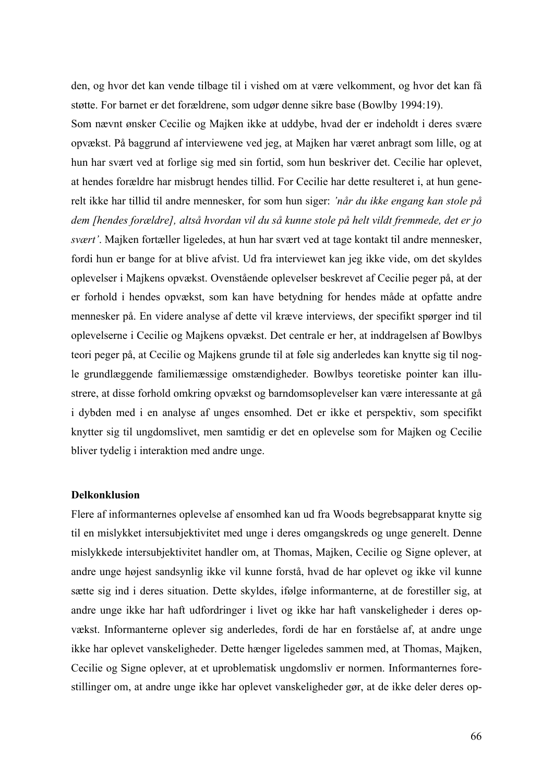den, og hvor det kan vende tilbage til i vished om at være velkomment, og hvor det kan få støtte. For barnet er det forældrene, som udgør denne sikre base (Bowlby 1994:19).

Som nævnt ønsker Cecilie og Majken ikke at uddybe, hvad der er indeholdt i deres svære opvækst. På baggrund af interviewene ved jeg, at Majken har været anbragt som lille, og at hun har svært ved at forlige sig med sin fortid, som hun beskriver det. Cecilie har oplevet, at hendes forældre har misbrugt hendes tillid. For Cecilie har dette resulteret i, at hun generelt ikke har tillid til andre mennesker, for som hun siger: *'når du ikke engang kan stole på dem [hendes forældre], altså hvordan vil du så kunne stole på helt vildt fremmede, det er jo svært'*. Majken fortæller ligeledes, at hun har svært ved at tage kontakt til andre mennesker, fordi hun er bange for at blive afvist. Ud fra interviewet kan jeg ikke vide, om det skyldes oplevelser i Majkens opvækst. Ovenstående oplevelser beskrevet af Cecilie peger på, at der er forhold i hendes opvækst, som kan have betydning for hendes måde at opfatte andre mennesker på. En videre analyse af dette vil kræve interviews, der specifikt spørger ind til oplevelserne i Cecilie og Majkens opvækst. Det centrale er her, at inddragelsen af Bowlbys teori peger på, at Cecilie og Majkens grunde til at føle sig anderledes kan knytte sig til nogle grundlæggende familiemæssige omstændigheder. Bowlbys teoretiske pointer kan illustrere, at disse forhold omkring opvækst og barndomsoplevelser kan være interessante at gå i dybden med i en analyse af unges ensomhed. Det er ikke et perspektiv, som specifikt knytter sig til ungdomslivet, men samtidig er det en oplevelse som for Majken og Cecilie bliver tydelig i interaktion med andre unge.

#### **Delkonklusion**

Flere af informanternes oplevelse af ensomhed kan ud fra Woods begrebsapparat knytte sig til en mislykket intersubjektivitet med unge i deres omgangskreds og unge generelt. Denne mislykkede intersubjektivitet handler om, at Thomas, Majken, Cecilie og Signe oplever, at andre unge højest sandsynlig ikke vil kunne forstå, hvad de har oplevet og ikke vil kunne sætte sig ind i deres situation. Dette skyldes, ifølge informanterne, at de forestiller sig, at andre unge ikke har haft udfordringer i livet og ikke har haft vanskeligheder i deres opvækst. Informanterne oplever sig anderledes, fordi de har en forståelse af, at andre unge ikke har oplevet vanskeligheder. Dette hænger ligeledes sammen med, at Thomas, Majken, Cecilie og Signe oplever, at et uproblematisk ungdomsliv er normen. Informanternes forestillinger om, at andre unge ikke har oplevet vanskeligheder gør, at de ikke deler deres op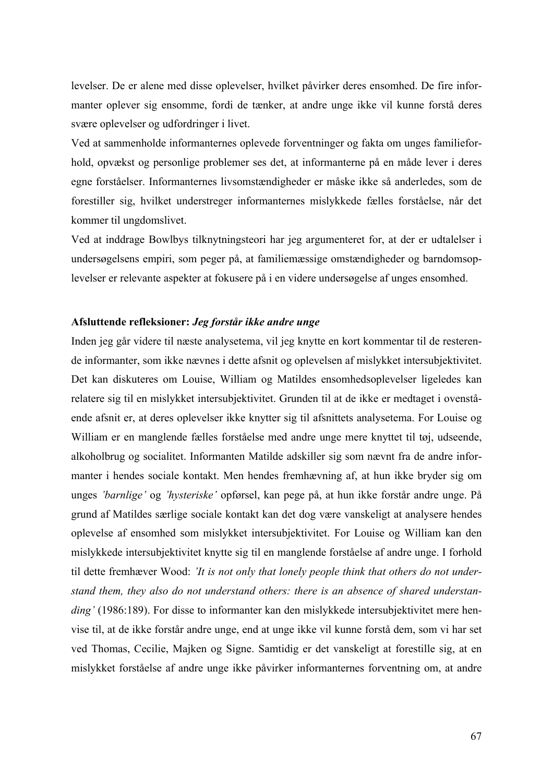levelser. De er alene med disse oplevelser, hvilket påvirker deres ensomhed. De fire informanter oplever sig ensomme, fordi de tænker, at andre unge ikke vil kunne forstå deres svære oplevelser og udfordringer i livet.

Ved at sammenholde informanternes oplevede forventninger og fakta om unges familieforhold, opvækst og personlige problemer ses det, at informanterne på en måde lever i deres egne forståelser. Informanternes livsomstændigheder er måske ikke så anderledes, som de forestiller sig, hvilket understreger informanternes mislykkede fælles forståelse, når det kommer til ungdomslivet.

Ved at inddrage Bowlbys tilknytningsteori har jeg argumenteret for, at der er udtalelser i undersøgelsens empiri, som peger på, at familiemæssige omstændigheder og barndomsoplevelser er relevante aspekter at fokusere på i en videre undersøgelse af unges ensomhed.

#### **Afsluttende refleksioner:** *Jeg forstår ikke andre unge*

Inden jeg går videre til næste analysetema, vil jeg knytte en kort kommentar til de resterende informanter, som ikke nævnes i dette afsnit og oplevelsen af mislykket intersubjektivitet. Det kan diskuteres om Louise, William og Matildes ensomhedsoplevelser ligeledes kan relatere sig til en mislykket intersubjektivitet. Grunden til at de ikke er medtaget i ovenstående afsnit er, at deres oplevelser ikke knytter sig til afsnittets analysetema. For Louise og William er en manglende fælles forståelse med andre unge mere knyttet til tøj, udseende, alkoholbrug og socialitet. Informanten Matilde adskiller sig som nævnt fra de andre informanter i hendes sociale kontakt. Men hendes fremhævning af, at hun ikke bryder sig om unges *'barnlige'* og *'hysteriske'* opførsel, kan pege på, at hun ikke forstår andre unge. På grund af Matildes særlige sociale kontakt kan det dog være vanskeligt at analysere hendes oplevelse af ensomhed som mislykket intersubjektivitet. For Louise og William kan den mislykkede intersubjektivitet knytte sig til en manglende forståelse af andre unge. I forhold til dette fremhæver Wood: *'It is not only that lonely people think that others do not understand them, they also do not understand others: there is an absence of shared understan*ding' (1986:189). For disse to informanter kan den mislykkede intersubjektivitet mere henvise til, at de ikke forstår andre unge, end at unge ikke vil kunne forstå dem, som vi har set ved Thomas, Cecilie, Majken og Signe. Samtidig er det vanskeligt at forestille sig, at en mislykket forståelse af andre unge ikke påvirker informanternes forventning om, at andre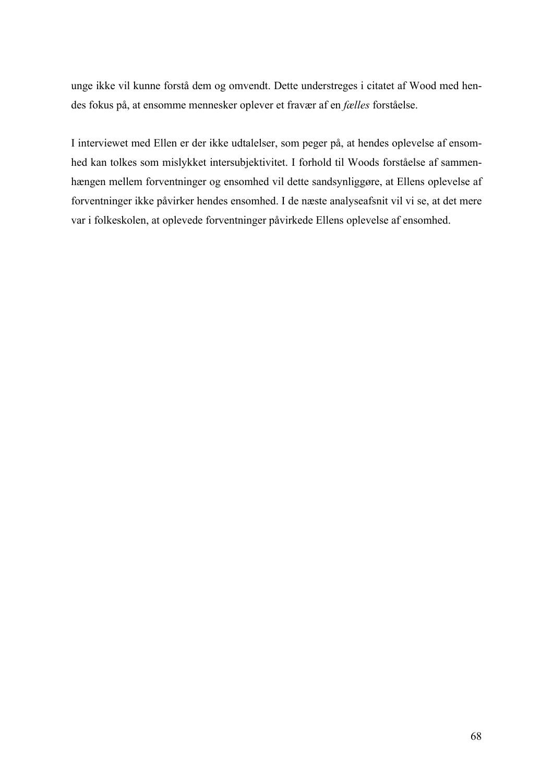unge ikke vil kunne forstå dem og omvendt. Dette understreges i citatet af Wood med hendes fokus på, at ensomme mennesker oplever et fravær af en *fælles* forståelse.

I interviewet med Ellen er der ikke udtalelser, som peger på, at hendes oplevelse af ensomhed kan tolkes som mislykket intersubjektivitet. I forhold til Woods forståelse af sammenhængen mellem forventninger og ensomhed vil dette sandsynliggøre, at Ellens oplevelse af forventninger ikke påvirker hendes ensomhed. I de næste analyseafsnit vil vi se, at det mere var i folkeskolen, at oplevede forventninger påvirkede Ellens oplevelse af ensomhed.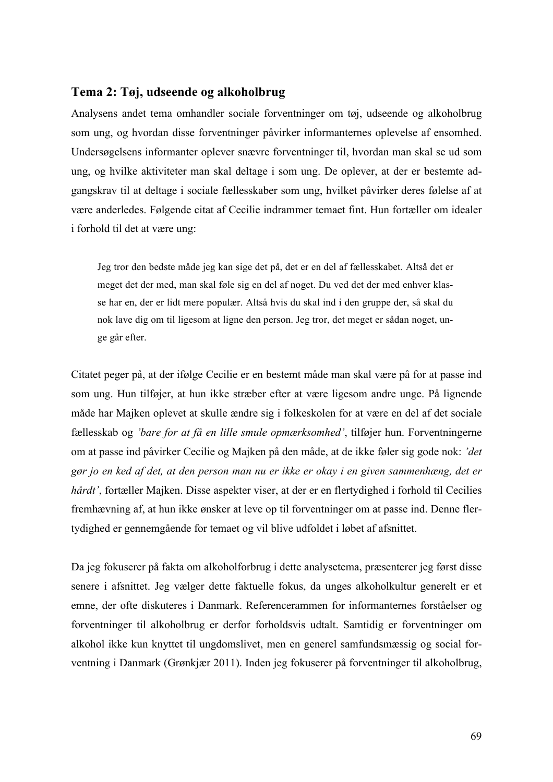#### **Tema 2: Tøj, udseende og alkoholbrug**

Analysens andet tema omhandler sociale forventninger om tøj, udseende og alkoholbrug som ung, og hvordan disse forventninger påvirker informanternes oplevelse af ensomhed. Undersøgelsens informanter oplever snævre forventninger til, hvordan man skal se ud som ung, og hvilke aktiviteter man skal deltage i som ung. De oplever, at der er bestemte adgangskrav til at deltage i sociale fællesskaber som ung, hvilket påvirker deres følelse af at være anderledes. Følgende citat af Cecilie indrammer temaet fint. Hun fortæller om idealer i forhold til det at være ung:

Jeg tror den bedste måde jeg kan sige det på, det er en del af fællesskabet. Altså det er meget det der med, man skal føle sig en del af noget. Du ved det der med enhver klasse har en, der er lidt mere populær. Altså hvis du skal ind i den gruppe der, så skal du nok lave dig om til ligesom at ligne den person. Jeg tror, det meget er sådan noget, unge går efter.

Citatet peger på, at der ifølge Cecilie er en bestemt måde man skal være på for at passe ind som ung. Hun tilføjer, at hun ikke stræber efter at være ligesom andre unge. På lignende måde har Majken oplevet at skulle ændre sig i folkeskolen for at være en del af det sociale fællesskab og *'bare for at få en lille smule opmærksomhed'*, tilføjer hun. Forventningerne om at passe ind påvirker Cecilie og Majken på den måde, at de ikke føler sig gode nok: *'det gør jo en ked af det, at den person man nu er ikke er okay i en given sammenhæng, det er hårdt'*, fortæller Majken. Disse aspekter viser, at der er en flertydighed i forhold til Cecilies fremhævning af, at hun ikke ønsker at leve op til forventninger om at passe ind. Denne flertydighed er gennemgående for temaet og vil blive udfoldet i løbet af afsnittet.

Da jeg fokuserer på fakta om alkoholforbrug i dette analysetema, præsenterer jeg først disse senere i afsnittet. Jeg vælger dette faktuelle fokus, da unges alkoholkultur generelt er et emne, der ofte diskuteres i Danmark. Referencerammen for informanternes forståelser og forventninger til alkoholbrug er derfor forholdsvis udtalt. Samtidig er forventninger om alkohol ikke kun knyttet til ungdomslivet, men en generel samfundsmæssig og social forventning i Danmark (Grønkjær 2011). Inden jeg fokuserer på forventninger til alkoholbrug,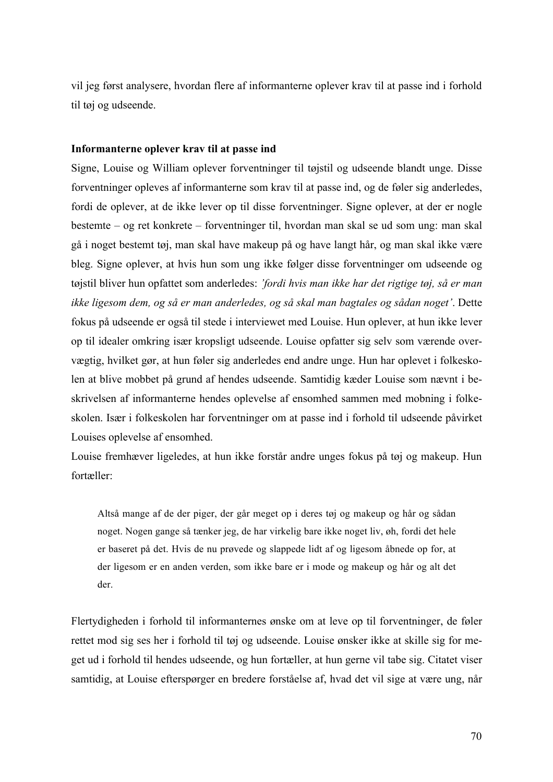vil jeg først analysere, hvordan flere af informanterne oplever krav til at passe ind i forhold til tøj og udseende.

#### **Informanterne oplever krav til at passe ind**

Signe, Louise og William oplever forventninger til tøjstil og udseende blandt unge. Disse forventninger opleves af informanterne som krav til at passe ind, og de føler sig anderledes, fordi de oplever, at de ikke lever op til disse forventninger. Signe oplever, at der er nogle bestemte – og ret konkrete – forventninger til, hvordan man skal se ud som ung: man skal gå i noget bestemt tøj, man skal have makeup på og have langt hår, og man skal ikke være bleg. Signe oplever, at hvis hun som ung ikke følger disse forventninger om udseende og tøjstil bliver hun opfattet som anderledes: *'fordi hvis man ikke har det rigtige tøj, så er man ikke ligesom dem, og så er man anderledes, og så skal man bagtales og sådan noget'*. Dette fokus på udseende er også til stede i interviewet med Louise. Hun oplever, at hun ikke lever op til idealer omkring især kropsligt udseende. Louise opfatter sig selv som værende overvægtig, hvilket gør, at hun føler sig anderledes end andre unge. Hun har oplevet i folkeskolen at blive mobbet på grund af hendes udseende. Samtidig kæder Louise som nævnt i beskrivelsen af informanterne hendes oplevelse af ensomhed sammen med mobning i folkeskolen. Især i folkeskolen har forventninger om at passe ind i forhold til udseende påvirket Louises oplevelse af ensomhed.

Louise fremhæver ligeledes, at hun ikke forstår andre unges fokus på tøj og makeup. Hun fortæller:

Altså mange af de der piger, der går meget op i deres tøj og makeup og hår og sådan noget. Nogen gange så tænker jeg, de har virkelig bare ikke noget liv, øh, fordi det hele er baseret på det. Hvis de nu prøvede og slappede lidt af og ligesom åbnede op for, at der ligesom er en anden verden, som ikke bare er i mode og makeup og hår og alt det der.

Flertydigheden i forhold til informanternes ønske om at leve op til forventninger, de føler rettet mod sig ses her i forhold til tøj og udseende. Louise ønsker ikke at skille sig for meget ud i forhold til hendes udseende, og hun fortæller, at hun gerne vil tabe sig. Citatet viser samtidig, at Louise efterspørger en bredere forståelse af, hvad det vil sige at være ung, når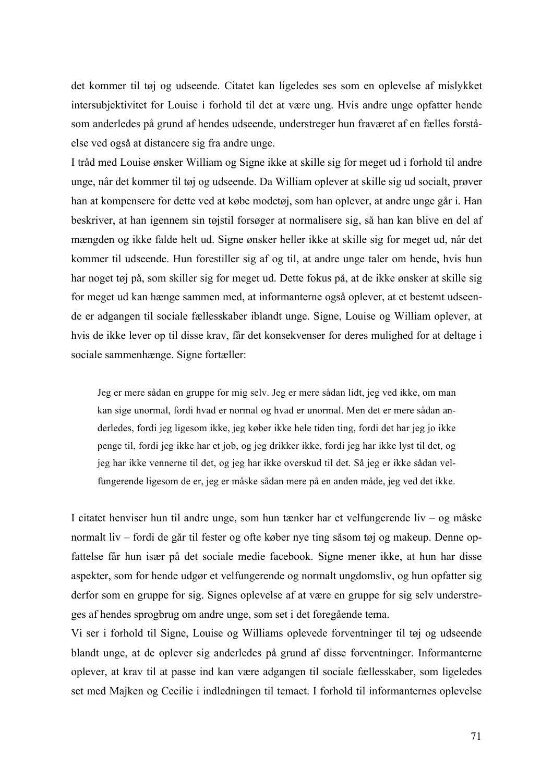det kommer til tøj og udseende. Citatet kan ligeledes ses som en oplevelse af mislykket intersubjektivitet for Louise i forhold til det at være ung. Hvis andre unge opfatter hende som anderledes på grund af hendes udseende, understreger hun fraværet af en fælles forståelse ved også at distancere sig fra andre unge.

I tråd med Louise ønsker William og Signe ikke at skille sig for meget ud i forhold til andre unge, når det kommer til tøj og udseende. Da William oplever at skille sig ud socialt, prøver han at kompensere for dette ved at købe modetøj, som han oplever, at andre unge går i. Han beskriver, at han igennem sin tøjstil forsøger at normalisere sig, så han kan blive en del af mængden og ikke falde helt ud. Signe ønsker heller ikke at skille sig for meget ud, når det kommer til udseende. Hun forestiller sig af og til, at andre unge taler om hende, hvis hun har noget tøj på, som skiller sig for meget ud. Dette fokus på, at de ikke ønsker at skille sig for meget ud kan hænge sammen med, at informanterne også oplever, at et bestemt udseende er adgangen til sociale fællesskaber iblandt unge. Signe, Louise og William oplever, at hvis de ikke lever op til disse krav, får det konsekvenser for deres mulighed for at deltage i sociale sammenhænge. Signe fortæller:

Jeg er mere sådan en gruppe for mig selv. Jeg er mere sådan lidt, jeg ved ikke, om man kan sige unormal, fordi hvad er normal og hvad er unormal. Men det er mere sådan anderledes, fordi jeg ligesom ikke, jeg køber ikke hele tiden ting, fordi det har jeg jo ikke penge til, fordi jeg ikke har et job, og jeg drikker ikke, fordi jeg har ikke lyst til det, og jeg har ikke vennerne til det, og jeg har ikke overskud til det. Så jeg er ikke sådan velfungerende ligesom de er, jeg er måske sådan mere på en anden måde, jeg ved det ikke.

I citatet henviser hun til andre unge, som hun tænker har et velfungerende liv – og måske normalt liv – fordi de går til fester og ofte køber nye ting såsom tøj og makeup. Denne opfattelse får hun især på det sociale medie facebook. Signe mener ikke, at hun har disse aspekter, som for hende udgør et velfungerende og normalt ungdomsliv, og hun opfatter sig derfor som en gruppe for sig. Signes oplevelse af at være en gruppe for sig selv understreges af hendes sprogbrug om andre unge, som set i det foregående tema.

Vi ser i forhold til Signe, Louise og Williams oplevede forventninger til tøj og udseende blandt unge, at de oplever sig anderledes på grund af disse forventninger. Informanterne oplever, at krav til at passe ind kan være adgangen til sociale fællesskaber, som ligeledes set med Majken og Cecilie i indledningen til temaet. I forhold til informanternes oplevelse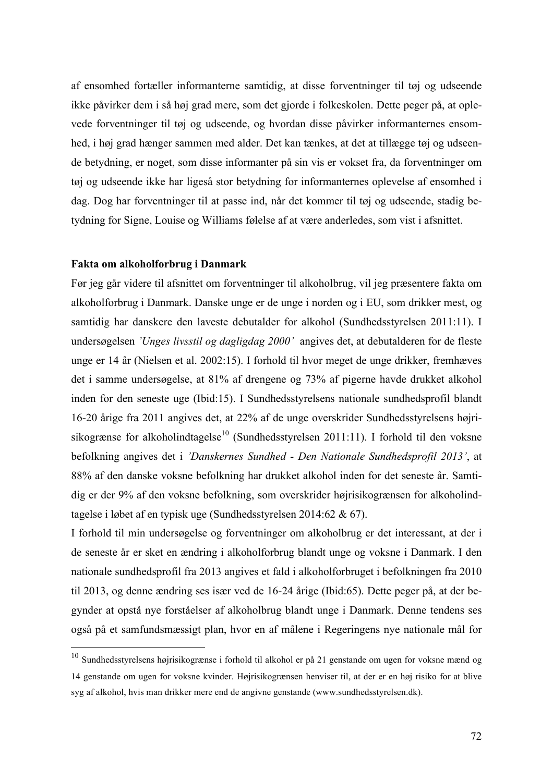af ensomhed fortæller informanterne samtidig, at disse forventninger til tøj og udseende ikke påvirker dem i så høj grad mere, som det gjorde i folkeskolen. Dette peger på, at oplevede forventninger til tøj og udseende, og hvordan disse påvirker informanternes ensomhed, i høj grad hænger sammen med alder. Det kan tænkes, at det at tillægge tøj og udseende betydning, er noget, som disse informanter på sin vis er vokset fra, da forventninger om tøj og udseende ikke har ligeså stor betydning for informanternes oplevelse af ensomhed i dag. Dog har forventninger til at passe ind, når det kommer til tøj og udseende, stadig betydning for Signe, Louise og Williams følelse af at være anderledes, som vist i afsnittet.

#### **Fakta om alkoholforbrug i Danmark**

Før jeg går videre til afsnittet om forventninger til alkoholbrug, vil jeg præsentere fakta om alkoholforbrug i Danmark. Danske unge er de unge i norden og i EU, som drikker mest, og samtidig har danskere den laveste debutalder for alkohol (Sundhedsstyrelsen 2011:11). I undersøgelsen *'Unges livsstil og dagligdag 2000'* angives det, at debutalderen for de fleste unge er 14 år (Nielsen et al. 2002:15). I forhold til hvor meget de unge drikker, fremhæves det i samme undersøgelse, at 81% af drengene og 73% af pigerne havde drukket alkohol inden for den seneste uge (Ibid:15). I Sundhedsstyrelsens nationale sundhedsprofil blandt 16-20 årige fra 2011 angives det, at 22% af de unge overskrider Sundhedsstyrelsens højrisikogrænse for alkoholindtagelse<sup>10</sup> (Sundhedsstyrelsen 2011:11). I forhold til den voksne befolkning angives det i *'Danskernes Sundhed - Den Nationale Sundhedsprofil 2013'*, at 88% af den danske voksne befolkning har drukket alkohol inden for det seneste år. Samtidig er der 9% af den voksne befolkning, som overskrider højrisikogrænsen for alkoholindtagelse i løbet af en typisk uge (Sundhedsstyrelsen 2014:62 & 67).

I forhold til min undersøgelse og forventninger om alkoholbrug er det interessant, at der i de seneste år er sket en ændring i alkoholforbrug blandt unge og voksne i Danmark. I den nationale sundhedsprofil fra 2013 angives et fald i alkoholforbruget i befolkningen fra 2010 til 2013, og denne ændring ses især ved de 16-24 årige (Ibid:65). Dette peger på, at der begynder at opstå nye forståelser af alkoholbrug blandt unge i Danmark. Denne tendens ses også på et samfundsmæssigt plan, hvor en af målene i Regeringens nye nationale mål for

 <sup>10</sup> Sundhedsstyrelsens højrisikogrænse i forhold til alkohol er på 21 genstande om ugen for voksne mænd og 14 genstande om ugen for voksne kvinder. Højrisikogrænsen henviser til, at der er en høj risiko for at blive syg af alkohol, hvis man drikker mere end de angivne genstande (www.sundhedsstyrelsen.dk).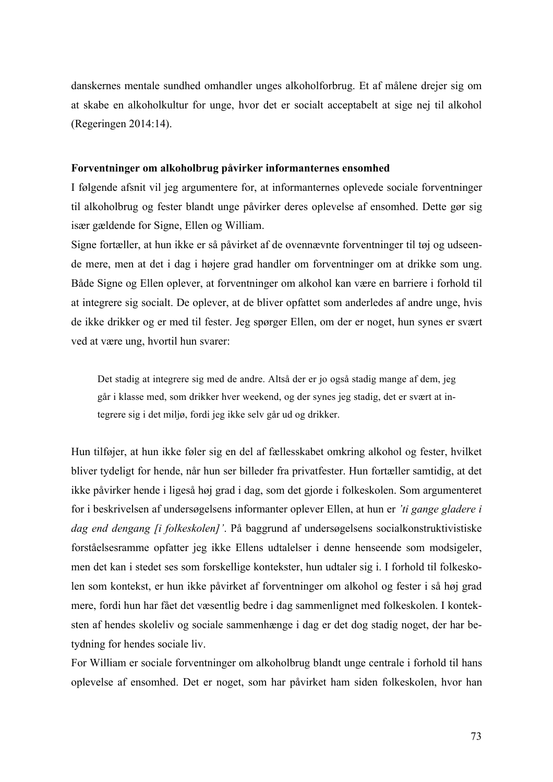danskernes mentale sundhed omhandler unges alkoholforbrug. Et af målene drejer sig om at skabe en alkoholkultur for unge, hvor det er socialt acceptabelt at sige nej til alkohol (Regeringen 2014:14).

#### **Forventninger om alkoholbrug påvirker informanternes ensomhed**

I følgende afsnit vil jeg argumentere for, at informanternes oplevede sociale forventninger til alkoholbrug og fester blandt unge påvirker deres oplevelse af ensomhed. Dette gør sig især gældende for Signe, Ellen og William.

Signe fortæller, at hun ikke er så påvirket af de ovennævnte forventninger til tøj og udseende mere, men at det i dag i højere grad handler om forventninger om at drikke som ung. Både Signe og Ellen oplever, at forventninger om alkohol kan være en barriere i forhold til at integrere sig socialt. De oplever, at de bliver opfattet som anderledes af andre unge, hvis de ikke drikker og er med til fester. Jeg spørger Ellen, om der er noget, hun synes er svært ved at være ung, hvortil hun svarer:

Det stadig at integrere sig med de andre. Altså der er jo også stadig mange af dem, jeg går i klasse med, som drikker hver weekend, og der synes jeg stadig, det er svært at integrere sig i det miljø, fordi jeg ikke selv går ud og drikker.

Hun tilføjer, at hun ikke føler sig en del af fællesskabet omkring alkohol og fester, hvilket bliver tydeligt for hende, når hun ser billeder fra privatfester. Hun fortæller samtidig, at det ikke påvirker hende i ligeså høj grad i dag, som det gjorde i folkeskolen. Som argumenteret for i beskrivelsen af undersøgelsens informanter oplever Ellen, at hun er *'ti gange gladere i dag end dengang [i folkeskolen]'*. På baggrund af undersøgelsens socialkonstruktivistiske forståelsesramme opfatter jeg ikke Ellens udtalelser i denne henseende som modsigeler, men det kan i stedet ses som forskellige kontekster, hun udtaler sig i. I forhold til folkeskolen som kontekst, er hun ikke påvirket af forventninger om alkohol og fester i så høj grad mere, fordi hun har fået det væsentlig bedre i dag sammenlignet med folkeskolen. I konteksten af hendes skoleliv og sociale sammenhænge i dag er det dog stadig noget, der har betydning for hendes sociale liv.

For William er sociale forventninger om alkoholbrug blandt unge centrale i forhold til hans oplevelse af ensomhed. Det er noget, som har påvirket ham siden folkeskolen, hvor han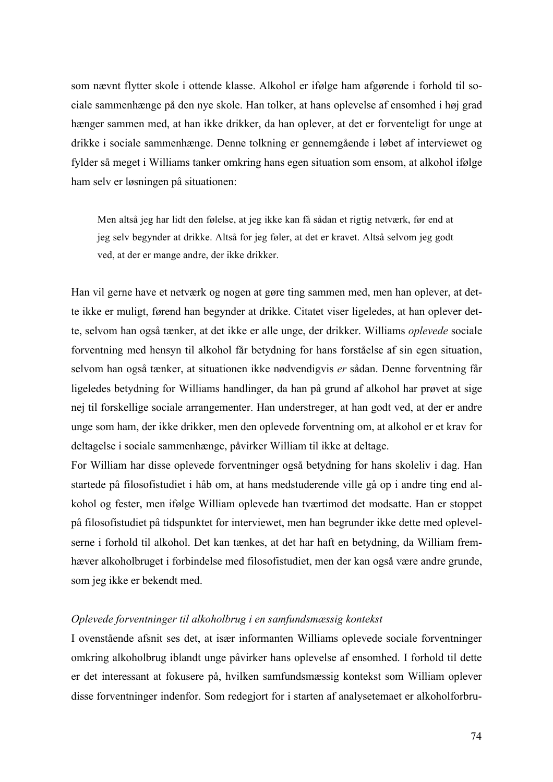som nævnt flytter skole i ottende klasse. Alkohol er ifølge ham afgørende i forhold til sociale sammenhænge på den nye skole. Han tolker, at hans oplevelse af ensomhed i høj grad hænger sammen med, at han ikke drikker, da han oplever, at det er forventeligt for unge at drikke i sociale sammenhænge. Denne tolkning er gennemgående i løbet af interviewet og fylder så meget i Williams tanker omkring hans egen situation som ensom, at alkohol ifølge ham selv er løsningen på situationen:

Men altså jeg har lidt den følelse, at jeg ikke kan få sådan et rigtig netværk, før end at jeg selv begynder at drikke. Altså for jeg føler, at det er kravet. Altså selvom jeg godt ved, at der er mange andre, der ikke drikker.

Han vil gerne have et netværk og nogen at gøre ting sammen med, men han oplever, at dette ikke er muligt, førend han begynder at drikke. Citatet viser ligeledes, at han oplever dette, selvom han også tænker, at det ikke er alle unge, der drikker. Williams *oplevede* sociale forventning med hensyn til alkohol får betydning for hans forståelse af sin egen situation, selvom han også tænker, at situationen ikke nødvendigvis *er* sådan. Denne forventning får ligeledes betydning for Williams handlinger, da han på grund af alkohol har prøvet at sige nej til forskellige sociale arrangementer. Han understreger, at han godt ved, at der er andre unge som ham, der ikke drikker, men den oplevede forventning om, at alkohol er et krav for deltagelse i sociale sammenhænge, påvirker William til ikke at deltage.

For William har disse oplevede forventninger også betydning for hans skoleliv i dag. Han startede på filosofistudiet i håb om, at hans medstuderende ville gå op i andre ting end alkohol og fester, men ifølge William oplevede han tværtimod det modsatte. Han er stoppet på filosofistudiet på tidspunktet for interviewet, men han begrunder ikke dette med oplevelserne i forhold til alkohol. Det kan tænkes, at det har haft en betydning, da William fremhæver alkoholbruget i forbindelse med filosofistudiet, men der kan også være andre grunde, som jeg ikke er bekendt med.

#### *Oplevede forventninger til alkoholbrug i en samfundsmæssig kontekst*

I ovenstående afsnit ses det, at især informanten Williams oplevede sociale forventninger omkring alkoholbrug iblandt unge påvirker hans oplevelse af ensomhed. I forhold til dette er det interessant at fokusere på, hvilken samfundsmæssig kontekst som William oplever disse forventninger indenfor. Som redegjort for i starten af analysetemaet er alkoholforbru-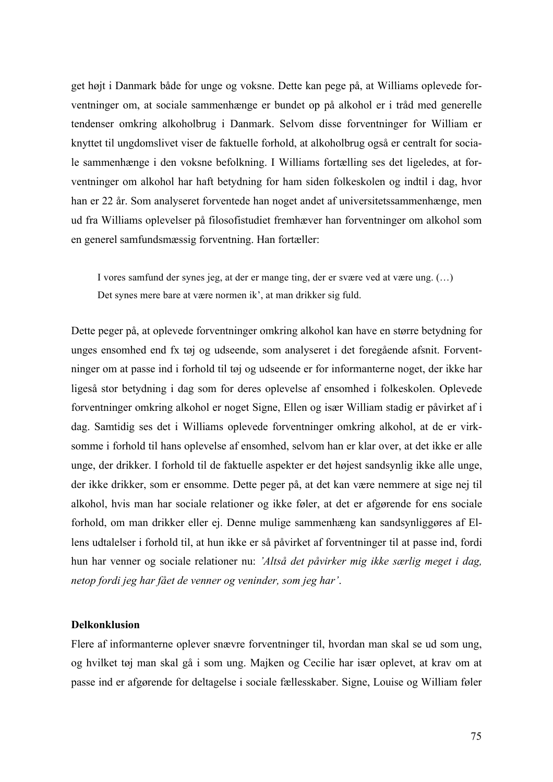get højt i Danmark både for unge og voksne. Dette kan pege på, at Williams oplevede forventninger om, at sociale sammenhænge er bundet op på alkohol er i tråd med generelle tendenser omkring alkoholbrug i Danmark. Selvom disse forventninger for William er knyttet til ungdomslivet viser de faktuelle forhold, at alkoholbrug også er centralt for sociale sammenhænge i den voksne befolkning. I Williams fortælling ses det ligeledes, at forventninger om alkohol har haft betydning for ham siden folkeskolen og indtil i dag, hvor han er 22 år. Som analyseret forventede han noget andet af universitetssammenhænge, men ud fra Williams oplevelser på filosofistudiet fremhæver han forventninger om alkohol som en generel samfundsmæssig forventning. Han fortæller:

I vores samfund der synes jeg, at der er mange ting, der er svære ved at være ung. (…) Det synes mere bare at være normen ik', at man drikker sig fuld.

Dette peger på, at oplevede forventninger omkring alkohol kan have en større betydning for unges ensomhed end fx tøj og udseende, som analyseret i det foregående afsnit. Forventninger om at passe ind i forhold til tøj og udseende er for informanterne noget, der ikke har ligeså stor betydning i dag som for deres oplevelse af ensomhed i folkeskolen. Oplevede forventninger omkring alkohol er noget Signe, Ellen og især William stadig er påvirket af i dag. Samtidig ses det i Williams oplevede forventninger omkring alkohol, at de er virksomme i forhold til hans oplevelse af ensomhed, selvom han er klar over, at det ikke er alle unge, der drikker. I forhold til de faktuelle aspekter er det højest sandsynlig ikke alle unge, der ikke drikker, som er ensomme. Dette peger på, at det kan være nemmere at sige nej til alkohol, hvis man har sociale relationer og ikke føler, at det er afgørende for ens sociale forhold, om man drikker eller ej. Denne mulige sammenhæng kan sandsynliggøres af Ellens udtalelser i forhold til, at hun ikke er så påvirket af forventninger til at passe ind, fordi hun har venner og sociale relationer nu: *'Altså det påvirker mig ikke særlig meget i dag, netop fordi jeg har fået de venner og veninder, som jeg har'*.

## **Delkonklusion**

Flere af informanterne oplever snævre forventninger til, hvordan man skal se ud som ung, og hvilket tøj man skal gå i som ung. Majken og Cecilie har især oplevet, at krav om at passe ind er afgørende for deltagelse i sociale fællesskaber. Signe, Louise og William føler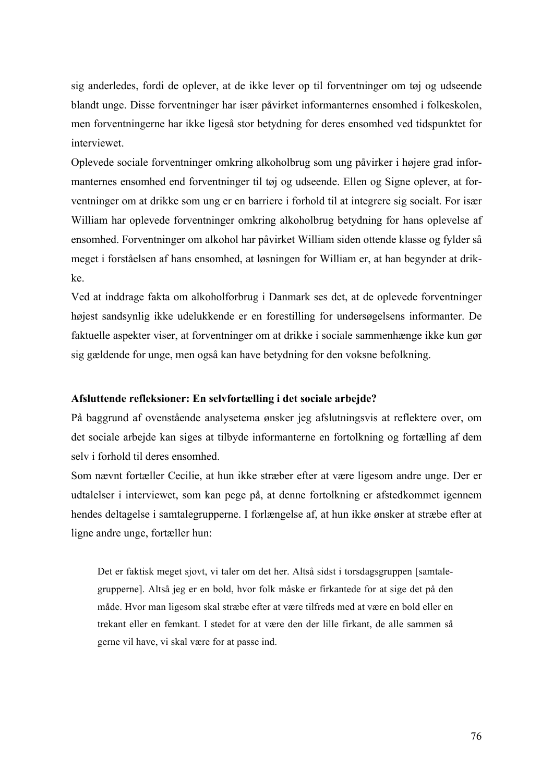sig anderledes, fordi de oplever, at de ikke lever op til forventninger om tøj og udseende blandt unge. Disse forventninger har især påvirket informanternes ensomhed i folkeskolen, men forventningerne har ikke ligeså stor betydning for deres ensomhed ved tidspunktet for interviewet.

Oplevede sociale forventninger omkring alkoholbrug som ung påvirker i højere grad informanternes ensomhed end forventninger til tøj og udseende. Ellen og Signe oplever, at forventninger om at drikke som ung er en barriere i forhold til at integrere sig socialt. For især William har oplevede forventninger omkring alkoholbrug betydning for hans oplevelse af ensomhed. Forventninger om alkohol har påvirket William siden ottende klasse og fylder så meget i forståelsen af hans ensomhed, at løsningen for William er, at han begynder at drikke.

Ved at inddrage fakta om alkoholforbrug i Danmark ses det, at de oplevede forventninger højest sandsynlig ikke udelukkende er en forestilling for undersøgelsens informanter. De faktuelle aspekter viser, at forventninger om at drikke i sociale sammenhænge ikke kun gør sig gældende for unge, men også kan have betydning for den voksne befolkning.

#### **Afsluttende refleksioner: En selvfortælling i det sociale arbejde?**

På baggrund af ovenstående analysetema ønsker jeg afslutningsvis at reflektere over, om det sociale arbejde kan siges at tilbyde informanterne en fortolkning og fortælling af dem selv i forhold til deres ensomhed.

Som nævnt fortæller Cecilie, at hun ikke stræber efter at være ligesom andre unge. Der er udtalelser i interviewet, som kan pege på, at denne fortolkning er afstedkommet igennem hendes deltagelse i samtalegrupperne. I forlængelse af, at hun ikke ønsker at stræbe efter at ligne andre unge, fortæller hun:

Det er faktisk meget sjovt, vi taler om det her. Altså sidst i torsdagsgruppen [samtalegrupperne]. Altså jeg er en bold, hvor folk måske er firkantede for at sige det på den måde. Hvor man ligesom skal stræbe efter at være tilfreds med at være en bold eller en trekant eller en femkant. I stedet for at være den der lille firkant, de alle sammen så gerne vil have, vi skal være for at passe ind.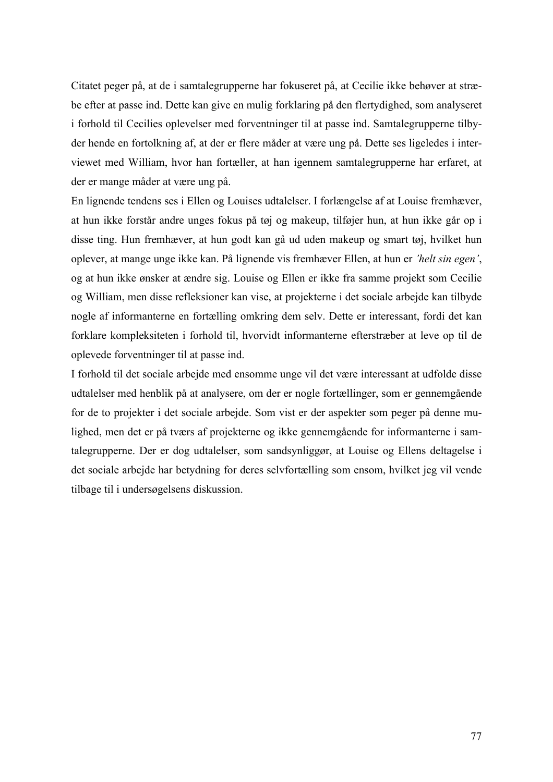Citatet peger på, at de i samtalegrupperne har fokuseret på, at Cecilie ikke behøver at stræbe efter at passe ind. Dette kan give en mulig forklaring på den flertydighed, som analyseret i forhold til Cecilies oplevelser med forventninger til at passe ind. Samtalegrupperne tilbyder hende en fortolkning af, at der er flere måder at være ung på. Dette ses ligeledes i interviewet med William, hvor han fortæller, at han igennem samtalegrupperne har erfaret, at der er mange måder at være ung på.

En lignende tendens ses i Ellen og Louises udtalelser. I forlængelse af at Louise fremhæver, at hun ikke forstår andre unges fokus på tøj og makeup, tilføjer hun, at hun ikke går op i disse ting. Hun fremhæver, at hun godt kan gå ud uden makeup og smart tøj, hvilket hun oplever, at mange unge ikke kan. På lignende vis fremhæver Ellen, at hun er *'helt sin egen'*, og at hun ikke ønsker at ændre sig. Louise og Ellen er ikke fra samme projekt som Cecilie og William, men disse refleksioner kan vise, at projekterne i det sociale arbejde kan tilbyde nogle af informanterne en fortælling omkring dem selv. Dette er interessant, fordi det kan forklare kompleksiteten i forhold til, hvorvidt informanterne efterstræber at leve op til de oplevede forventninger til at passe ind.

I forhold til det sociale arbejde med ensomme unge vil det være interessant at udfolde disse udtalelser med henblik på at analysere, om der er nogle fortællinger, som er gennemgående for de to projekter i det sociale arbejde. Som vist er der aspekter som peger på denne mulighed, men det er på tværs af projekterne og ikke gennemgående for informanterne i samtalegrupperne. Der er dog udtalelser, som sandsynliggør, at Louise og Ellens deltagelse i det sociale arbejde har betydning for deres selvfortælling som ensom, hvilket jeg vil vende tilbage til i undersøgelsens diskussion.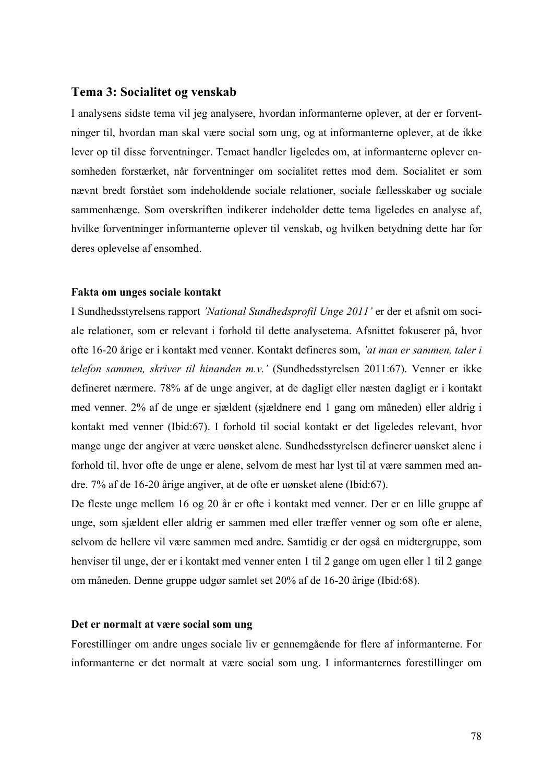## **Tema 3: Socialitet og venskab**

I analysens sidste tema vil jeg analysere, hvordan informanterne oplever, at der er forventninger til, hvordan man skal være social som ung, og at informanterne oplever, at de ikke lever op til disse forventninger. Temaet handler ligeledes om, at informanterne oplever ensomheden forstærket, når forventninger om socialitet rettes mod dem. Socialitet er som nævnt bredt forstået som indeholdende sociale relationer, sociale fællesskaber og sociale sammenhænge. Som overskriften indikerer indeholder dette tema ligeledes en analyse af, hvilke forventninger informanterne oplever til venskab, og hvilken betydning dette har for deres oplevelse af ensomhed.

#### **Fakta om unges sociale kontakt**

I Sundhedsstyrelsens rapport *'National Sundhedsprofil Unge 2011'* er der et afsnit om sociale relationer, som er relevant i forhold til dette analysetema. Afsnittet fokuserer på, hvor ofte 16-20 årige er i kontakt med venner. Kontakt defineres som, *'at man er sammen, taler i telefon sammen, skriver til hinanden m.v.'* (Sundhedsstyrelsen 2011:67). Venner er ikke defineret nærmere. 78% af de unge angiver, at de dagligt eller næsten dagligt er i kontakt med venner. 2% af de unge er sjældent (sjældnere end 1 gang om måneden) eller aldrig i kontakt med venner (Ibid:67). I forhold til social kontakt er det ligeledes relevant, hvor mange unge der angiver at være uønsket alene. Sundhedsstyrelsen definerer uønsket alene i forhold til, hvor ofte de unge er alene, selvom de mest har lyst til at være sammen med andre. 7% af de 16-20 årige angiver, at de ofte er uønsket alene (Ibid:67).

De fleste unge mellem 16 og 20 år er ofte i kontakt med venner. Der er en lille gruppe af unge, som sjældent eller aldrig er sammen med eller træffer venner og som ofte er alene, selvom de hellere vil være sammen med andre. Samtidig er der også en midtergruppe, som henviser til unge, der er i kontakt med venner enten 1 til 2 gange om ugen eller 1 til 2 gange om måneden. Denne gruppe udgør samlet set 20% af de 16-20 årige (Ibid:68).

## **Det er normalt at være social som ung**

Forestillinger om andre unges sociale liv er gennemgående for flere af informanterne. For informanterne er det normalt at være social som ung. I informanternes forestillinger om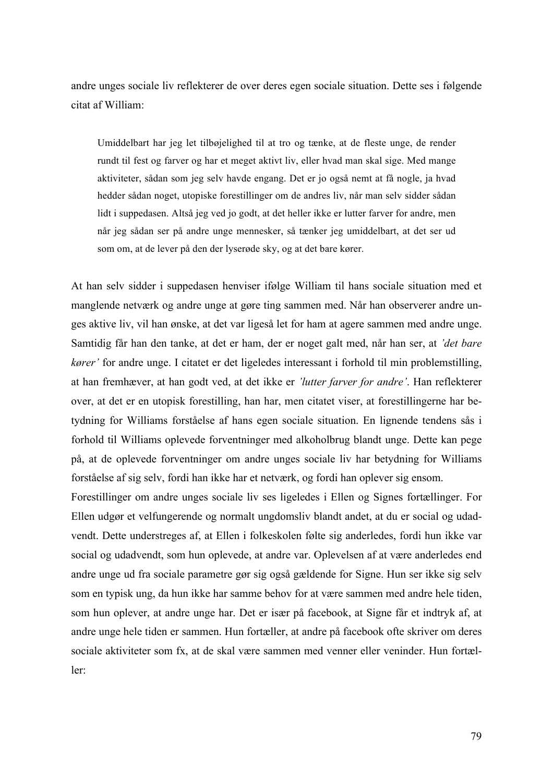andre unges sociale liv reflekterer de over deres egen sociale situation. Dette ses i følgende citat af William:

Umiddelbart har jeg let tilbøjelighed til at tro og tænke, at de fleste unge, de render rundt til fest og farver og har et meget aktivt liv, eller hvad man skal sige. Med mange aktiviteter, sådan som jeg selv havde engang. Det er jo også nemt at få nogle, ja hvad hedder sådan noget, utopiske forestillinger om de andres liv, når man selv sidder sådan lidt i suppedasen. Altså jeg ved jo godt, at det heller ikke er lutter farver for andre, men når jeg sådan ser på andre unge mennesker, så tænker jeg umiddelbart, at det ser ud som om, at de lever på den der lyserøde sky, og at det bare kører.

At han selv sidder i suppedasen henviser ifølge William til hans sociale situation med et manglende netværk og andre unge at gøre ting sammen med. Når han observerer andre unges aktive liv, vil han ønske, at det var ligeså let for ham at agere sammen med andre unge. Samtidig får han den tanke, at det er ham, der er noget galt med, når han ser, at *'det bare kører'* for andre unge. I citatet er det ligeledes interessant i forhold til min problemstilling, at han fremhæver, at han godt ved, at det ikke er *'lutter farver for andre'*. Han reflekterer over, at det er en utopisk forestilling, han har, men citatet viser, at forestillingerne har betydning for Williams forståelse af hans egen sociale situation. En lignende tendens sås i forhold til Williams oplevede forventninger med alkoholbrug blandt unge. Dette kan pege på, at de oplevede forventninger om andre unges sociale liv har betydning for Williams forståelse af sig selv, fordi han ikke har et netværk, og fordi han oplever sig ensom.

Forestillinger om andre unges sociale liv ses ligeledes i Ellen og Signes fortællinger. For Ellen udgør et velfungerende og normalt ungdomsliv blandt andet, at du er social og udadvendt. Dette understreges af, at Ellen i folkeskolen følte sig anderledes, fordi hun ikke var social og udadvendt, som hun oplevede, at andre var. Oplevelsen af at være anderledes end andre unge ud fra sociale parametre gør sig også gældende for Signe. Hun ser ikke sig selv som en typisk ung, da hun ikke har samme behov for at være sammen med andre hele tiden, som hun oplever, at andre unge har. Det er især på facebook, at Signe får et indtryk af, at andre unge hele tiden er sammen. Hun fortæller, at andre på facebook ofte skriver om deres sociale aktiviteter som fx, at de skal være sammen med venner eller veninder. Hun fortæller: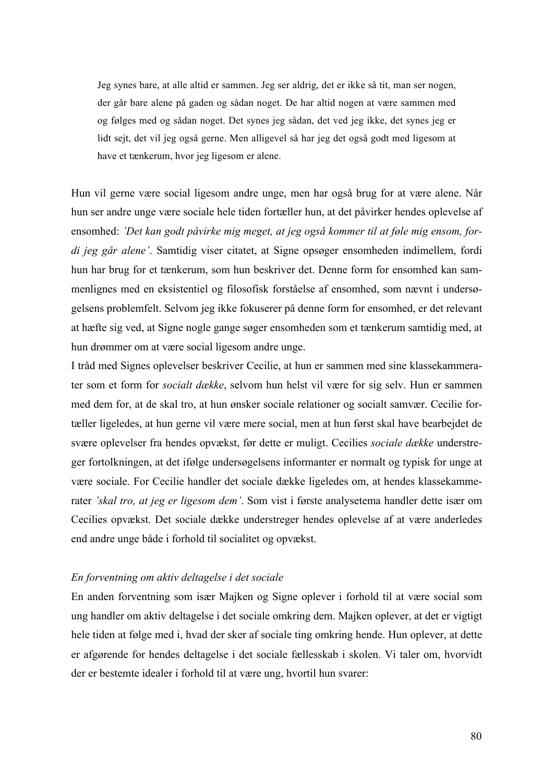Jeg synes bare, at alle altid er sammen. Jeg ser aldrig, det er ikke så tit, man ser nogen, der går bare alene på gaden og sådan noget. De har altid nogen at være sammen med og følges med og sådan noget. Det synes jeg sådan, det ved jeg ikke, det synes jeg er lidt sejt, det vil jeg også gerne. Men alligevel så har jeg det også godt med ligesom at have et tænkerum, hvor jeg ligesom er alene.

Hun vil gerne være social ligesom andre unge, men har også brug for at være alene. Når hun ser andre unge være sociale hele tiden fortæller hun, at det påvirker hendes oplevelse af ensomhed: *'Det kan godt påvirke mig meget, at jeg også kommer til at føle mig ensom, fordi jeg går alene'*. Samtidig viser citatet, at Signe opsøger ensomheden indimellem, fordi hun har brug for et tænkerum, som hun beskriver det. Denne form for ensomhed kan sammenlignes med en eksistentiel og filosofisk forståelse af ensomhed, som nævnt i undersøgelsens problemfelt. Selvom jeg ikke fokuserer på denne form for ensomhed, er det relevant at hæfte sig ved, at Signe nogle gange søger ensomheden som et tænkerum samtidig med, at hun drømmer om at være social ligesom andre unge.

I tråd med Signes oplevelser beskriver Cecilie, at hun er sammen med sine klassekammerater som et form for *socialt dække*, selvom hun helst vil være for sig selv. Hun er sammen med dem for, at de skal tro, at hun ønsker sociale relationer og socialt samvær. Cecilie fortæller ligeledes, at hun gerne vil være mere social, men at hun først skal have bearbejdet de svære oplevelser fra hendes opvækst, før dette er muligt. Cecilies *sociale dække* understreger fortolkningen, at det ifølge undersøgelsens informanter er normalt og typisk for unge at være sociale. For Cecilie handler det sociale dække ligeledes om, at hendes klassekammerater *'skal tro, at jeg er ligesom dem'*. Som vist i første analysetema handler dette især om Cecilies opvækst. Det sociale dække understreger hendes oplevelse af at være anderledes end andre unge både i forhold til socialitet og opvækst.

## *En forventning om aktiv deltagelse i det sociale*

En anden forventning som især Majken og Signe oplever i forhold til at være social som ung handler om aktiv deltagelse i det sociale omkring dem. Majken oplever, at det er vigtigt hele tiden at følge med i, hvad der sker af sociale ting omkring hende. Hun oplever, at dette er afgørende for hendes deltagelse i det sociale fællesskab i skolen. Vi taler om, hvorvidt der er bestemte idealer i forhold til at være ung, hvortil hun svarer: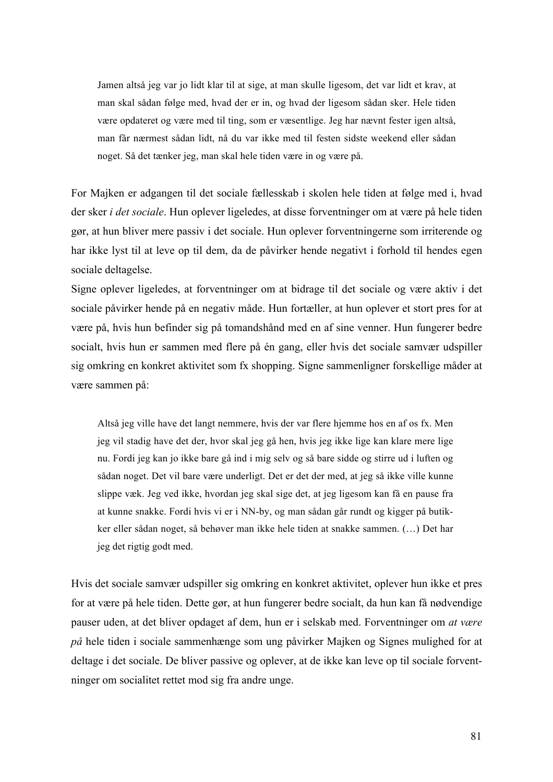Jamen altså jeg var jo lidt klar til at sige, at man skulle ligesom, det var lidt et krav, at man skal sådan følge med, hvad der er in, og hvad der ligesom sådan sker. Hele tiden være opdateret og være med til ting, som er væsentlige. Jeg har nævnt fester igen altså, man får nærmest sådan lidt, nå du var ikke med til festen sidste weekend eller sådan noget. Så det tænker jeg, man skal hele tiden være in og være på.

For Majken er adgangen til det sociale fællesskab i skolen hele tiden at følge med i, hvad der sker *i det sociale*. Hun oplever ligeledes, at disse forventninger om at være på hele tiden gør, at hun bliver mere passiv i det sociale. Hun oplever forventningerne som irriterende og har ikke lyst til at leve op til dem, da de påvirker hende negativt i forhold til hendes egen sociale deltagelse.

Signe oplever ligeledes, at forventninger om at bidrage til det sociale og være aktiv i det sociale påvirker hende på en negativ måde. Hun fortæller, at hun oplever et stort pres for at være på, hvis hun befinder sig på tomandshånd med en af sine venner. Hun fungerer bedre socialt, hvis hun er sammen med flere på én gang, eller hvis det sociale samvær udspiller sig omkring en konkret aktivitet som fx shopping. Signe sammenligner forskellige måder at være sammen på:

Altså jeg ville have det langt nemmere, hvis der var flere hjemme hos en af os fx. Men jeg vil stadig have det der, hvor skal jeg gå hen, hvis jeg ikke lige kan klare mere lige nu. Fordi jeg kan jo ikke bare gå ind i mig selv og så bare sidde og stirre ud i luften og sådan noget. Det vil bare være underligt. Det er det der med, at jeg så ikke ville kunne slippe væk. Jeg ved ikke, hvordan jeg skal sige det, at jeg ligesom kan få en pause fra at kunne snakke. Fordi hvis vi er i NN-by, og man sådan går rundt og kigger på butikker eller sådan noget, så behøver man ikke hele tiden at snakke sammen. (…) Det har jeg det rigtig godt med.

Hvis det sociale samvær udspiller sig omkring en konkret aktivitet, oplever hun ikke et pres for at være på hele tiden. Dette gør, at hun fungerer bedre socialt, da hun kan få nødvendige pauser uden, at det bliver opdaget af dem, hun er i selskab med. Forventninger om *at være på* hele tiden i sociale sammenhænge som ung påvirker Majken og Signes mulighed for at deltage i det sociale. De bliver passive og oplever, at de ikke kan leve op til sociale forventninger om socialitet rettet mod sig fra andre unge.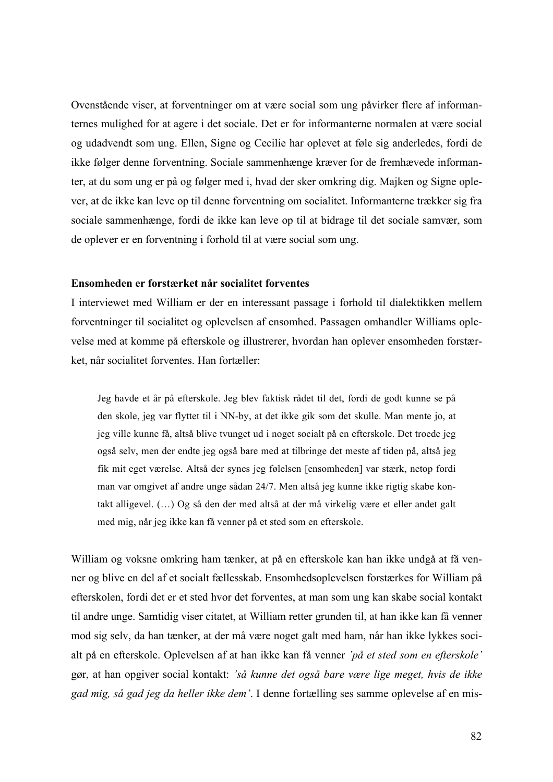Ovenstående viser, at forventninger om at være social som ung påvirker flere af informanternes mulighed for at agere i det sociale. Det er for informanterne normalen at være social og udadvendt som ung. Ellen, Signe og Cecilie har oplevet at føle sig anderledes, fordi de ikke følger denne forventning. Sociale sammenhænge kræver for de fremhævede informanter, at du som ung er på og følger med i, hvad der sker omkring dig. Majken og Signe oplever, at de ikke kan leve op til denne forventning om socialitet. Informanterne trækker sig fra sociale sammenhænge, fordi de ikke kan leve op til at bidrage til det sociale samvær, som de oplever er en forventning i forhold til at være social som ung.

## **Ensomheden er forstærket når socialitet forventes**

I interviewet med William er der en interessant passage i forhold til dialektikken mellem forventninger til socialitet og oplevelsen af ensomhed. Passagen omhandler Williams oplevelse med at komme på efterskole og illustrerer, hvordan han oplever ensomheden forstærket, når socialitet forventes. Han fortæller:

Jeg havde et år på efterskole. Jeg blev faktisk rådet til det, fordi de godt kunne se på den skole, jeg var flyttet til i NN-by, at det ikke gik som det skulle. Man mente jo, at jeg ville kunne få, altså blive tvunget ud i noget socialt på en efterskole. Det troede jeg også selv, men der endte jeg også bare med at tilbringe det meste af tiden på, altså jeg fik mit eget værelse. Altså der synes jeg følelsen [ensomheden] var stærk, netop fordi man var omgivet af andre unge sådan 24/7. Men altså jeg kunne ikke rigtig skabe kontakt alligevel. (…) Og så den der med altså at der må virkelig være et eller andet galt med mig, når jeg ikke kan få venner på et sted som en efterskole.

William og voksne omkring ham tænker, at på en efterskole kan han ikke undgå at få venner og blive en del af et socialt fællesskab. Ensomhedsoplevelsen forstærkes for William på efterskolen, fordi det er et sted hvor det forventes, at man som ung kan skabe social kontakt til andre unge. Samtidig viser citatet, at William retter grunden til, at han ikke kan få venner mod sig selv, da han tænker, at der må være noget galt med ham, når han ikke lykkes socialt på en efterskole. Oplevelsen af at han ikke kan få venner *'på et sted som en efterskole'* gør, at han opgiver social kontakt: *'så kunne det også bare være lige meget, hvis de ikke gad mig, så gad jeg da heller ikke dem'*. I denne fortælling ses samme oplevelse af en mis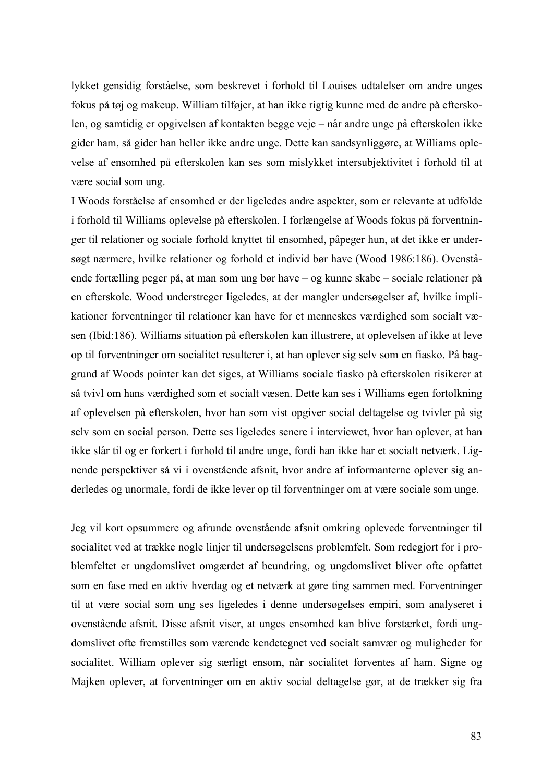lykket gensidig forståelse, som beskrevet i forhold til Louises udtalelser om andre unges fokus på tøj og makeup. William tilføjer, at han ikke rigtig kunne med de andre på efterskolen, og samtidig er opgivelsen af kontakten begge veje – når andre unge på efterskolen ikke gider ham, så gider han heller ikke andre unge. Dette kan sandsynliggøre, at Williams oplevelse af ensomhed på efterskolen kan ses som mislykket intersubjektivitet i forhold til at være social som ung.

I Woods forståelse af ensomhed er der ligeledes andre aspekter, som er relevante at udfolde i forhold til Williams oplevelse på efterskolen. I forlængelse af Woods fokus på forventninger til relationer og sociale forhold knyttet til ensomhed, påpeger hun, at det ikke er undersøgt nærmere, hvilke relationer og forhold et individ bør have (Wood 1986:186). Ovenstående fortælling peger på, at man som ung bør have – og kunne skabe – sociale relationer på en efterskole. Wood understreger ligeledes, at der mangler undersøgelser af, hvilke implikationer forventninger til relationer kan have for et menneskes værdighed som socialt væsen (Ibid:186). Williams situation på efterskolen kan illustrere, at oplevelsen af ikke at leve op til forventninger om socialitet resulterer i, at han oplever sig selv som en fiasko. På baggrund af Woods pointer kan det siges, at Williams sociale fiasko på efterskolen risikerer at så tvivl om hans værdighed som et socialt væsen. Dette kan ses i Williams egen fortolkning af oplevelsen på efterskolen, hvor han som vist opgiver social deltagelse og tvivler på sig selv som en social person. Dette ses ligeledes senere i interviewet, hvor han oplever, at han ikke slår til og er forkert i forhold til andre unge, fordi han ikke har et socialt netværk. Lignende perspektiver så vi i ovenstående afsnit, hvor andre af informanterne oplever sig anderledes og unormale, fordi de ikke lever op til forventninger om at være sociale som unge.

Jeg vil kort opsummere og afrunde ovenstående afsnit omkring oplevede forventninger til socialitet ved at trække nogle linjer til undersøgelsens problemfelt. Som redegjort for i problemfeltet er ungdomslivet omgærdet af beundring, og ungdomslivet bliver ofte opfattet som en fase med en aktiv hverdag og et netværk at gøre ting sammen med. Forventninger til at være social som ung ses ligeledes i denne undersøgelses empiri, som analyseret i ovenstående afsnit. Disse afsnit viser, at unges ensomhed kan blive forstærket, fordi ungdomslivet ofte fremstilles som værende kendetegnet ved socialt samvær og muligheder for socialitet. William oplever sig særligt ensom, når socialitet forventes af ham. Signe og Majken oplever, at forventninger om en aktiv social deltagelse gør, at de trækker sig fra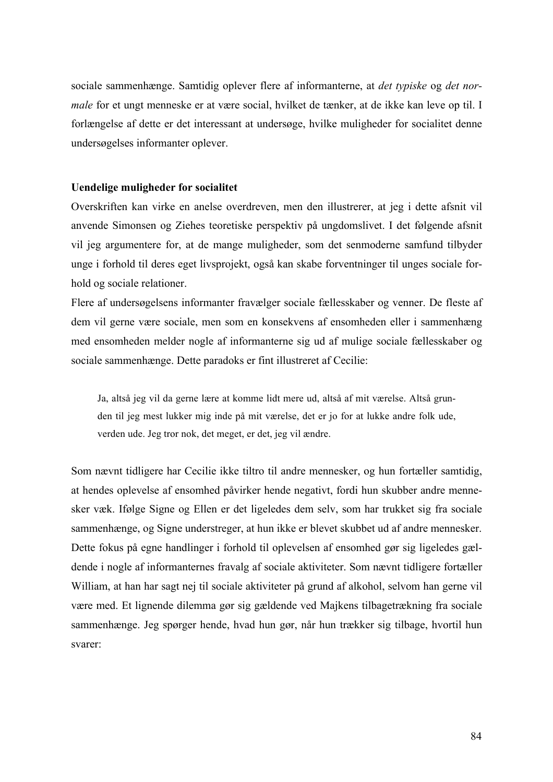sociale sammenhænge. Samtidig oplever flere af informanterne, at *det typiske* og *det normale* for et ungt menneske er at være social, hvilket de tænker, at de ikke kan leve op til. I forlængelse af dette er det interessant at undersøge, hvilke muligheder for socialitet denne undersøgelses informanter oplever.

#### **Uendelige muligheder for socialitet**

Overskriften kan virke en anelse overdreven, men den illustrerer, at jeg i dette afsnit vil anvende Simonsen og Ziehes teoretiske perspektiv på ungdomslivet. I det følgende afsnit vil jeg argumentere for, at de mange muligheder, som det senmoderne samfund tilbyder unge i forhold til deres eget livsprojekt, også kan skabe forventninger til unges sociale forhold og sociale relationer.

Flere af undersøgelsens informanter fravælger sociale fællesskaber og venner. De fleste af dem vil gerne være sociale, men som en konsekvens af ensomheden eller i sammenhæng med ensomheden melder nogle af informanterne sig ud af mulige sociale fællesskaber og sociale sammenhænge. Dette paradoks er fint illustreret af Cecilie:

Ja, altså jeg vil da gerne lære at komme lidt mere ud, altså af mit værelse. Altså grunden til jeg mest lukker mig inde på mit værelse, det er jo for at lukke andre folk ude, verden ude. Jeg tror nok, det meget, er det, jeg vil ændre.

Som nævnt tidligere har Cecilie ikke tiltro til andre mennesker, og hun fortæller samtidig, at hendes oplevelse af ensomhed påvirker hende negativt, fordi hun skubber andre mennesker væk. Ifølge Signe og Ellen er det ligeledes dem selv, som har trukket sig fra sociale sammenhænge, og Signe understreger, at hun ikke er blevet skubbet ud af andre mennesker. Dette fokus på egne handlinger i forhold til oplevelsen af ensomhed gør sig ligeledes gældende i nogle af informanternes fravalg af sociale aktiviteter. Som nævnt tidligere fortæller William, at han har sagt nej til sociale aktiviteter på grund af alkohol, selvom han gerne vil være med. Et lignende dilemma gør sig gældende ved Majkens tilbagetrækning fra sociale sammenhænge. Jeg spørger hende, hvad hun gør, når hun trækker sig tilbage, hvortil hun svarer: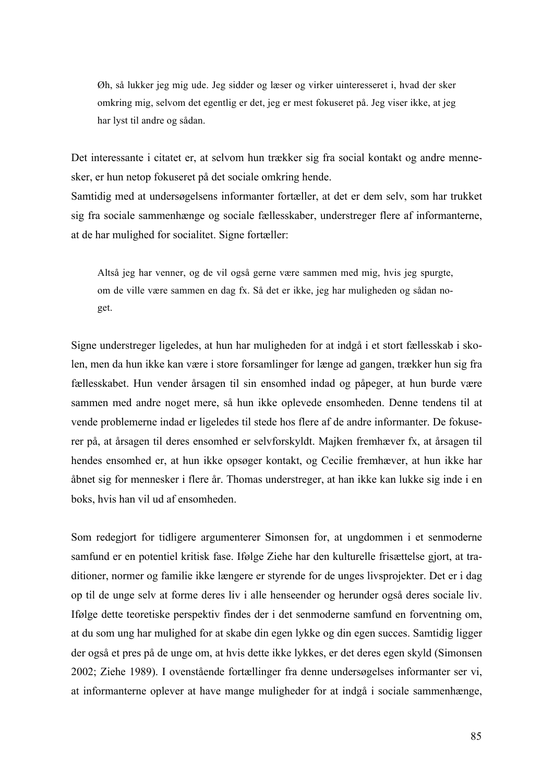Øh, så lukker jeg mig ude. Jeg sidder og læser og virker uinteresseret i, hvad der sker omkring mig, selvom det egentlig er det, jeg er mest fokuseret på. Jeg viser ikke, at jeg har lyst til andre og sådan.

Det interessante i citatet er, at selvom hun trækker sig fra social kontakt og andre mennesker, er hun netop fokuseret på det sociale omkring hende.

Samtidig med at undersøgelsens informanter fortæller, at det er dem selv, som har trukket sig fra sociale sammenhænge og sociale fællesskaber, understreger flere af informanterne, at de har mulighed for socialitet. Signe fortæller:

Altså jeg har venner, og de vil også gerne være sammen med mig, hvis jeg spurgte, om de ville være sammen en dag fx. Så det er ikke, jeg har muligheden og sådan noget.

Signe understreger ligeledes, at hun har muligheden for at indgå i et stort fællesskab i skolen, men da hun ikke kan være i store forsamlinger for længe ad gangen, trækker hun sig fra fællesskabet. Hun vender årsagen til sin ensomhed indad og påpeger, at hun burde være sammen med andre noget mere, så hun ikke oplevede ensomheden. Denne tendens til at vende problemerne indad er ligeledes til stede hos flere af de andre informanter. De fokuserer på, at årsagen til deres ensomhed er selvforskyldt. Majken fremhæver fx, at årsagen til hendes ensomhed er, at hun ikke opsøger kontakt, og Cecilie fremhæver, at hun ikke har åbnet sig for mennesker i flere år. Thomas understreger, at han ikke kan lukke sig inde i en boks, hvis han vil ud af ensomheden.

Som redegjort for tidligere argumenterer Simonsen for, at ungdommen i et senmoderne samfund er en potentiel kritisk fase. Ifølge Ziehe har den kulturelle frisættelse gjort, at traditioner, normer og familie ikke længere er styrende for de unges livsprojekter. Det er i dag op til de unge selv at forme deres liv i alle henseender og herunder også deres sociale liv. Ifølge dette teoretiske perspektiv findes der i det senmoderne samfund en forventning om, at du som ung har mulighed for at skabe din egen lykke og din egen succes. Samtidig ligger der også et pres på de unge om, at hvis dette ikke lykkes, er det deres egen skyld (Simonsen 2002; Ziehe 1989). I ovenstående fortællinger fra denne undersøgelses informanter ser vi, at informanterne oplever at have mange muligheder for at indgå i sociale sammenhænge,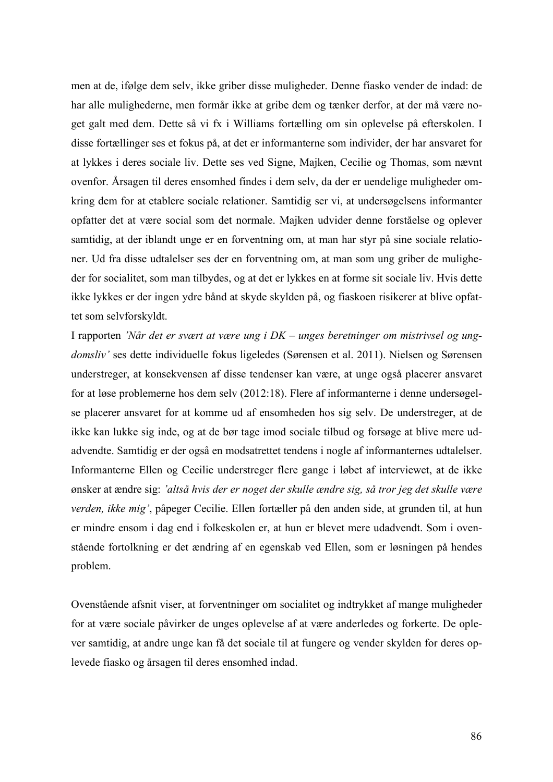men at de, ifølge dem selv, ikke griber disse muligheder. Denne fiasko vender de indad: de har alle mulighederne, men formår ikke at gribe dem og tænker derfor, at der må være noget galt med dem. Dette så vi fx i Williams fortælling om sin oplevelse på efterskolen. I disse fortællinger ses et fokus på, at det er informanterne som individer, der har ansvaret for at lykkes i deres sociale liv. Dette ses ved Signe, Majken, Cecilie og Thomas, som nævnt ovenfor. Årsagen til deres ensomhed findes i dem selv, da der er uendelige muligheder omkring dem for at etablere sociale relationer. Samtidig ser vi, at undersøgelsens informanter opfatter det at være social som det normale. Majken udvider denne forståelse og oplever samtidig, at der iblandt unge er en forventning om, at man har styr på sine sociale relationer. Ud fra disse udtalelser ses der en forventning om, at man som ung griber de muligheder for socialitet, som man tilbydes, og at det er lykkes en at forme sit sociale liv. Hvis dette ikke lykkes er der ingen ydre bånd at skyde skylden på, og fiaskoen risikerer at blive opfattet som selvforskyldt.

I rapporten *'Når det er svært at være ung i DK – unges beretninger om mistrivsel og ungdomsliv'* ses dette individuelle fokus ligeledes (Sørensen et al. 2011). Nielsen og Sørensen understreger, at konsekvensen af disse tendenser kan være, at unge også placerer ansvaret for at løse problemerne hos dem selv (2012:18). Flere af informanterne i denne undersøgelse placerer ansvaret for at komme ud af ensomheden hos sig selv. De understreger, at de ikke kan lukke sig inde, og at de bør tage imod sociale tilbud og forsøge at blive mere udadvendte. Samtidig er der også en modsatrettet tendens i nogle af informanternes udtalelser. Informanterne Ellen og Cecilie understreger flere gange i løbet af interviewet, at de ikke ønsker at ændre sig: *'altså hvis der er noget der skulle ændre sig, så tror jeg det skulle være verden, ikke mig'*, påpeger Cecilie. Ellen fortæller på den anden side, at grunden til, at hun er mindre ensom i dag end i folkeskolen er, at hun er blevet mere udadvendt. Som i ovenstående fortolkning er det ændring af en egenskab ved Ellen, som er løsningen på hendes problem.

Ovenstående afsnit viser, at forventninger om socialitet og indtrykket af mange muligheder for at være sociale påvirker de unges oplevelse af at være anderledes og forkerte. De oplever samtidig, at andre unge kan få det sociale til at fungere og vender skylden for deres oplevede fiasko og årsagen til deres ensomhed indad.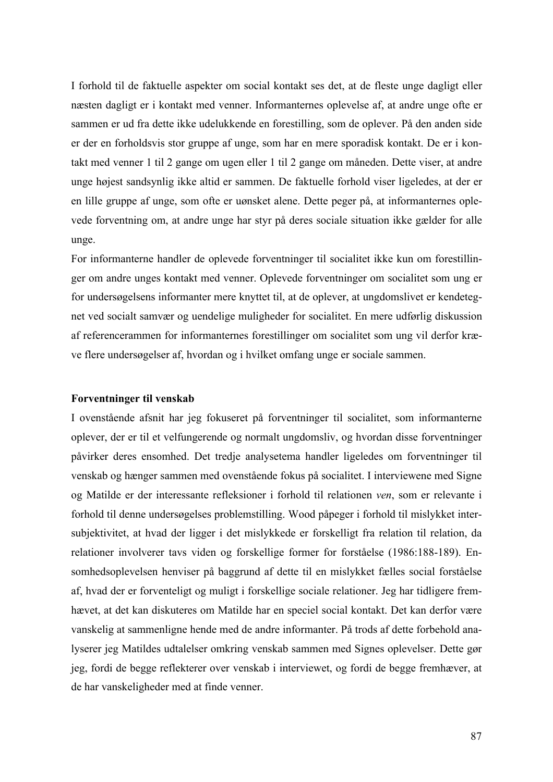I forhold til de faktuelle aspekter om social kontakt ses det, at de fleste unge dagligt eller næsten dagligt er i kontakt med venner. Informanternes oplevelse af, at andre unge ofte er sammen er ud fra dette ikke udelukkende en forestilling, som de oplever. På den anden side er der en forholdsvis stor gruppe af unge, som har en mere sporadisk kontakt. De er i kontakt med venner 1 til 2 gange om ugen eller 1 til 2 gange om måneden. Dette viser, at andre unge højest sandsynlig ikke altid er sammen. De faktuelle forhold viser ligeledes, at der er en lille gruppe af unge, som ofte er uønsket alene. Dette peger på, at informanternes oplevede forventning om, at andre unge har styr på deres sociale situation ikke gælder for alle unge.

For informanterne handler de oplevede forventninger til socialitet ikke kun om forestillinger om andre unges kontakt med venner. Oplevede forventninger om socialitet som ung er for undersøgelsens informanter mere knyttet til, at de oplever, at ungdomslivet er kendetegnet ved socialt samvær og uendelige muligheder for socialitet. En mere udførlig diskussion af referencerammen for informanternes forestillinger om socialitet som ung vil derfor kræve flere undersøgelser af, hvordan og i hvilket omfang unge er sociale sammen.

#### **Forventninger til venskab**

I ovenstående afsnit har jeg fokuseret på forventninger til socialitet, som informanterne oplever, der er til et velfungerende og normalt ungdomsliv, og hvordan disse forventninger påvirker deres ensomhed. Det tredje analysetema handler ligeledes om forventninger til venskab og hænger sammen med ovenstående fokus på socialitet. I interviewene med Signe og Matilde er der interessante refleksioner i forhold til relationen *ven*, som er relevante i forhold til denne undersøgelses problemstilling. Wood påpeger i forhold til mislykket intersubjektivitet, at hvad der ligger i det mislykkede er forskelligt fra relation til relation, da relationer involverer tavs viden og forskellige former for forståelse (1986:188-189). Ensomhedsoplevelsen henviser på baggrund af dette til en mislykket fælles social forståelse af, hvad der er forventeligt og muligt i forskellige sociale relationer. Jeg har tidligere fremhævet, at det kan diskuteres om Matilde har en speciel social kontakt. Det kan derfor være vanskelig at sammenligne hende med de andre informanter. På trods af dette forbehold analyserer jeg Matildes udtalelser omkring venskab sammen med Signes oplevelser. Dette gør jeg, fordi de begge reflekterer over venskab i interviewet, og fordi de begge fremhæver, at de har vanskeligheder med at finde venner.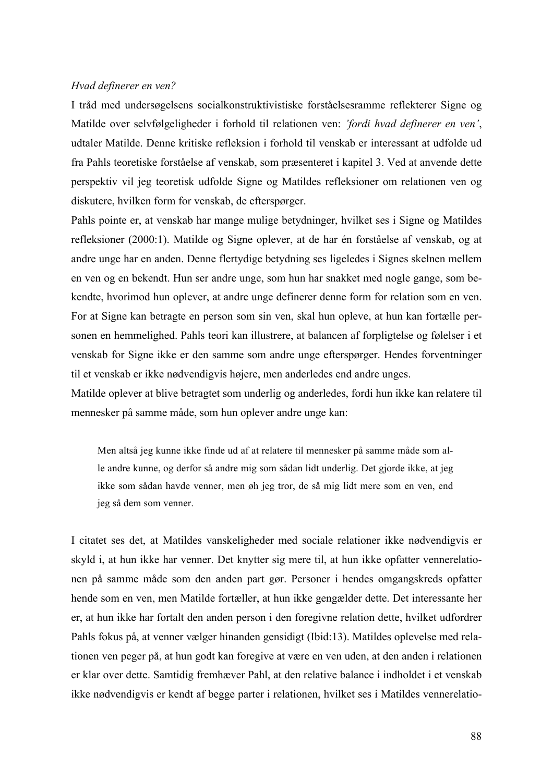#### *Hvad definerer en ven?*

I tråd med undersøgelsens socialkonstruktivistiske forståelsesramme reflekterer Signe og Matilde over selvfølgeligheder i forhold til relationen ven: *'fordi hvad definerer en ven'*, udtaler Matilde. Denne kritiske refleksion i forhold til venskab er interessant at udfolde ud fra Pahls teoretiske forståelse af venskab, som præsenteret i kapitel 3. Ved at anvende dette perspektiv vil jeg teoretisk udfolde Signe og Matildes refleksioner om relationen ven og diskutere, hvilken form for venskab, de efterspørger.

Pahls pointe er, at venskab har mange mulige betydninger, hvilket ses i Signe og Matildes refleksioner (2000:1). Matilde og Signe oplever, at de har én forståelse af venskab, og at andre unge har en anden. Denne flertydige betydning ses ligeledes i Signes skelnen mellem en ven og en bekendt. Hun ser andre unge, som hun har snakket med nogle gange, som bekendte, hvorimod hun oplever, at andre unge definerer denne form for relation som en ven. For at Signe kan betragte en person som sin ven, skal hun opleve, at hun kan fortælle personen en hemmelighed. Pahls teori kan illustrere, at balancen af forpligtelse og følelser i et venskab for Signe ikke er den samme som andre unge efterspørger. Hendes forventninger til et venskab er ikke nødvendigvis højere, men anderledes end andre unges.

Matilde oplever at blive betragtet som underlig og anderledes, fordi hun ikke kan relatere til mennesker på samme måde, som hun oplever andre unge kan:

Men altså jeg kunne ikke finde ud af at relatere til mennesker på samme måde som alle andre kunne, og derfor så andre mig som sådan lidt underlig. Det gjorde ikke, at jeg ikke som sådan havde venner, men øh jeg tror, de så mig lidt mere som en ven, end jeg så dem som venner.

I citatet ses det, at Matildes vanskeligheder med sociale relationer ikke nødvendigvis er skyld i, at hun ikke har venner. Det knytter sig mere til, at hun ikke opfatter vennerelationen på samme måde som den anden part gør. Personer i hendes omgangskreds opfatter hende som en ven, men Matilde fortæller, at hun ikke gengælder dette. Det interessante her er, at hun ikke har fortalt den anden person i den foregivne relation dette, hvilket udfordrer Pahls fokus på, at venner vælger hinanden gensidigt (Ibid:13). Matildes oplevelse med relationen ven peger på, at hun godt kan foregive at være en ven uden, at den anden i relationen er klar over dette. Samtidig fremhæver Pahl, at den relative balance i indholdet i et venskab ikke nødvendigvis er kendt af begge parter i relationen, hvilket ses i Matildes vennerelatio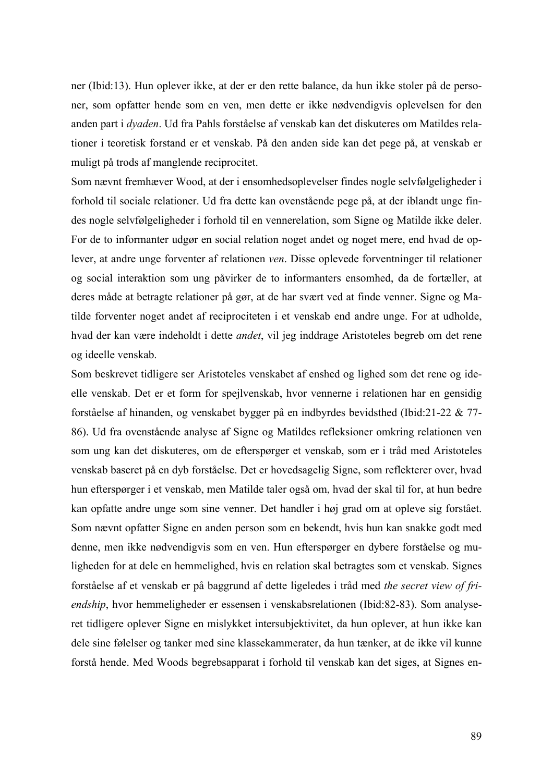ner (Ibid:13). Hun oplever ikke, at der er den rette balance, da hun ikke stoler på de personer, som opfatter hende som en ven, men dette er ikke nødvendigvis oplevelsen for den anden part i *dyaden*. Ud fra Pahls forståelse af venskab kan det diskuteres om Matildes relationer i teoretisk forstand er et venskab. På den anden side kan det pege på, at venskab er muligt på trods af manglende reciprocitet.

Som nævnt fremhæver Wood, at der i ensomhedsoplevelser findes nogle selvfølgeligheder i forhold til sociale relationer. Ud fra dette kan ovenstående pege på, at der iblandt unge findes nogle selvfølgeligheder i forhold til en vennerelation, som Signe og Matilde ikke deler. For de to informanter udgør en social relation noget andet og noget mere, end hvad de oplever, at andre unge forventer af relationen *ven*. Disse oplevede forventninger til relationer og social interaktion som ung påvirker de to informanters ensomhed, da de fortæller, at deres måde at betragte relationer på gør, at de har svært ved at finde venner. Signe og Matilde forventer noget andet af reciprociteten i et venskab end andre unge. For at udholde, hvad der kan være indeholdt i dette *andet*, vil jeg inddrage Aristoteles begreb om det rene og ideelle venskab.

Som beskrevet tidligere ser Aristoteles venskabet af enshed og lighed som det rene og ideelle venskab. Det er et form for spejlvenskab, hvor vennerne i relationen har en gensidig forståelse af hinanden, og venskabet bygger på en indbyrdes bevidsthed (Ibid:21-22 & 77- 86). Ud fra ovenstående analyse af Signe og Matildes refleksioner omkring relationen ven som ung kan det diskuteres, om de efterspørger et venskab, som er i tråd med Aristoteles venskab baseret på en dyb forståelse. Det er hovedsagelig Signe, som reflekterer over, hvad hun efterspørger i et venskab, men Matilde taler også om, hvad der skal til for, at hun bedre kan opfatte andre unge som sine venner. Det handler i høj grad om at opleve sig forstået. Som nævnt opfatter Signe en anden person som en bekendt, hvis hun kan snakke godt med denne, men ikke nødvendigvis som en ven. Hun efterspørger en dybere forståelse og muligheden for at dele en hemmelighed, hvis en relation skal betragtes som et venskab. Signes forståelse af et venskab er på baggrund af dette ligeledes i tråd med *the secret view of friendship*, hvor hemmeligheder er essensen i venskabsrelationen (Ibid:82-83). Som analyseret tidligere oplever Signe en mislykket intersubjektivitet, da hun oplever, at hun ikke kan dele sine følelser og tanker med sine klassekammerater, da hun tænker, at de ikke vil kunne forstå hende. Med Woods begrebsapparat i forhold til venskab kan det siges, at Signes en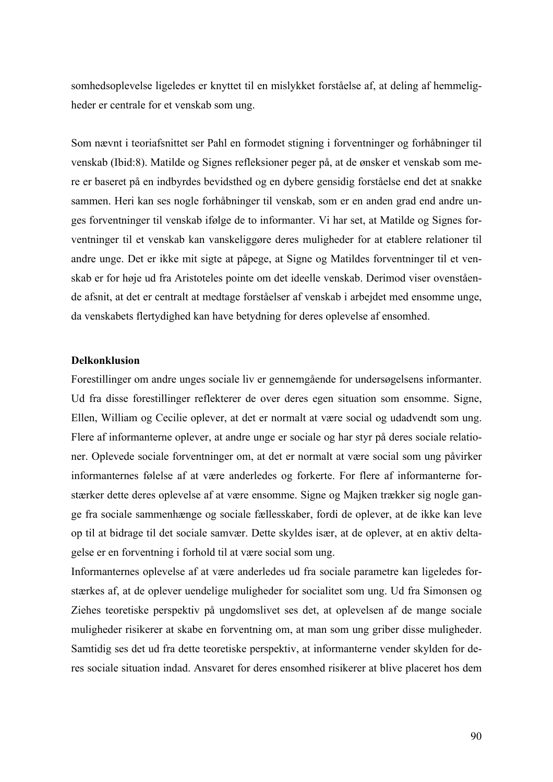somhedsoplevelse ligeledes er knyttet til en mislykket forståelse af, at deling af hemmeligheder er centrale for et venskab som ung.

Som nævnt i teoriafsnittet ser Pahl en formodet stigning i forventninger og forhåbninger til venskab (Ibid:8). Matilde og Signes refleksioner peger på, at de ønsker et venskab som mere er baseret på en indbyrdes bevidsthed og en dybere gensidig forståelse end det at snakke sammen. Heri kan ses nogle forhåbninger til venskab, som er en anden grad end andre unges forventninger til venskab ifølge de to informanter. Vi har set, at Matilde og Signes forventninger til et venskab kan vanskeliggøre deres muligheder for at etablere relationer til andre unge. Det er ikke mit sigte at påpege, at Signe og Matildes forventninger til et venskab er for høje ud fra Aristoteles pointe om det ideelle venskab. Derimod viser ovenstående afsnit, at det er centralt at medtage forståelser af venskab i arbejdet med ensomme unge, da venskabets flertydighed kan have betydning for deres oplevelse af ensomhed.

# **Delkonklusion**

Forestillinger om andre unges sociale liv er gennemgående for undersøgelsens informanter. Ud fra disse forestillinger reflekterer de over deres egen situation som ensomme. Signe, Ellen, William og Cecilie oplever, at det er normalt at være social og udadvendt som ung. Flere af informanterne oplever, at andre unge er sociale og har styr på deres sociale relationer. Oplevede sociale forventninger om, at det er normalt at være social som ung påvirker informanternes følelse af at være anderledes og forkerte. For flere af informanterne forstærker dette deres oplevelse af at være ensomme. Signe og Majken trækker sig nogle gange fra sociale sammenhænge og sociale fællesskaber, fordi de oplever, at de ikke kan leve op til at bidrage til det sociale samvær. Dette skyldes især, at de oplever, at en aktiv deltagelse er en forventning i forhold til at være social som ung.

Informanternes oplevelse af at være anderledes ud fra sociale parametre kan ligeledes forstærkes af, at de oplever uendelige muligheder for socialitet som ung. Ud fra Simonsen og Ziehes teoretiske perspektiv på ungdomslivet ses det, at oplevelsen af de mange sociale muligheder risikerer at skabe en forventning om, at man som ung griber disse muligheder. Samtidig ses det ud fra dette teoretiske perspektiv, at informanterne vender skylden for deres sociale situation indad. Ansvaret for deres ensomhed risikerer at blive placeret hos dem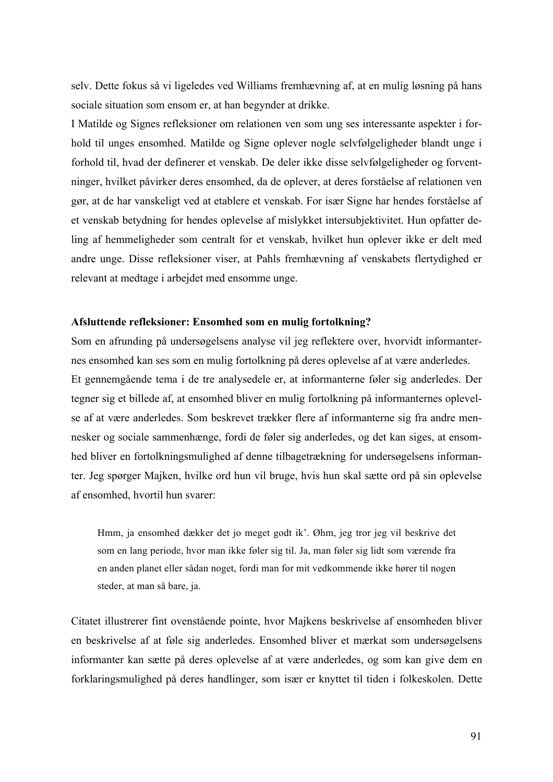selv. Dette fokus så vi ligeledes ved Williams fremhævning af, at en mulig løsning på hans sociale situation som ensom er, at han begynder at drikke.

I Matilde og Signes refleksioner om relationen ven som ung ses interessante aspekter i forhold til unges ensomhed. Matilde og Signe oplever nogle selvfølgeligheder blandt unge i forhold til, hvad der definerer et venskab. De deler ikke disse selvfølgeligheder og forventninger, hvilket påvirker deres ensomhed, da de oplever, at deres forståelse af relationen ven gør, at de har vanskeligt ved at etablere et venskab. For især Signe har hendes forståelse af et venskab betydning for hendes oplevelse af mislykket intersubjektivitet. Hun opfatter deling af hemmeligheder som centralt for et venskab, hvilket hun oplever ikke er delt med andre unge. Disse refleksioner viser, at Pahls fremhævning af venskabets flertydighed er relevant at medtage i arbejdet med ensomme unge.

#### **Afsluttende refleksioner: Ensomhed som en mulig fortolkning?**

Som en afrunding på undersøgelsens analyse vil jeg reflektere over, hvorvidt informanternes ensomhed kan ses som en mulig fortolkning på deres oplevelse af at være anderledes. Et gennemgående tema i de tre analysedele er, at informanterne føler sig anderledes. Der tegner sig et billede af, at ensomhed bliver en mulig fortolkning på informanternes oplevelse af at være anderledes. Som beskrevet trækker flere af informanterne sig fra andre mennesker og sociale sammenhænge, fordi de føler sig anderledes, og det kan siges, at ensomhed bliver en fortolkningsmulighed af denne tilbagetrækning for undersøgelsens informanter. Jeg spørger Majken, hvilke ord hun vil bruge, hvis hun skal sætte ord på sin oplevelse af ensomhed, hvortil hun svarer:

Hmm, ja ensomhed dækker det jo meget godt ik'. Øhm, jeg tror jeg vil beskrive det som en lang periode, hvor man ikke føler sig til. Ja, man føler sig lidt som værende fra en anden planet eller sådan noget, fordi man for mit vedkommende ikke hører til nogen steder, at man så bare, ja.

Citatet illustrerer fint ovenstående pointe, hvor Majkens beskrivelse af ensomheden bliver en beskrivelse af at føle sig anderledes. Ensomhed bliver et mærkat som undersøgelsens informanter kan sætte på deres oplevelse af at være anderledes, og som kan give dem en forklaringsmulighed på deres handlinger, som især er knyttet til tiden i folkeskolen. Dette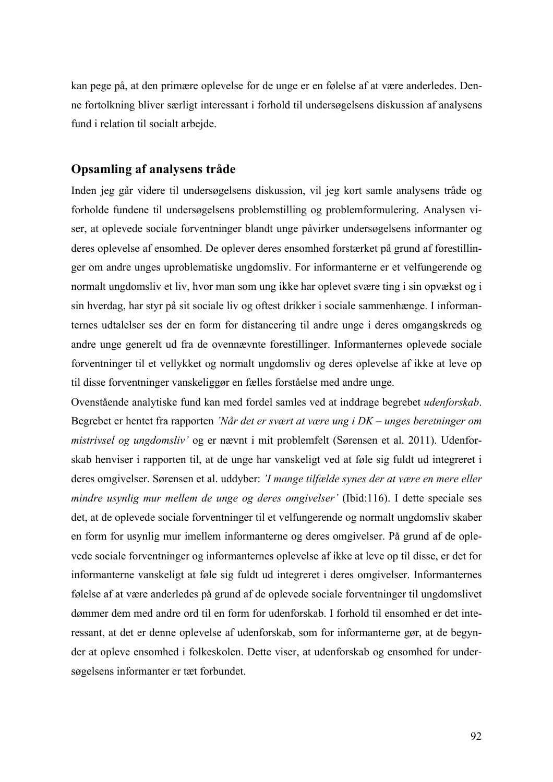kan pege på, at den primære oplevelse for de unge er en følelse af at være anderledes. Denne fortolkning bliver særligt interessant i forhold til undersøgelsens diskussion af analysens fund i relation til socialt arbejde.

# **Opsamling af analysens tråde**

Inden jeg går videre til undersøgelsens diskussion, vil jeg kort samle analysens tråde og forholde fundene til undersøgelsens problemstilling og problemformulering. Analysen viser, at oplevede sociale forventninger blandt unge påvirker undersøgelsens informanter og deres oplevelse af ensomhed. De oplever deres ensomhed forstærket på grund af forestillinger om andre unges uproblematiske ungdomsliv. For informanterne er et velfungerende og normalt ungdomsliv et liv, hvor man som ung ikke har oplevet svære ting i sin opvækst og i sin hverdag, har styr på sit sociale liv og oftest drikker i sociale sammenhænge. I informanternes udtalelser ses der en form for distancering til andre unge i deres omgangskreds og andre unge generelt ud fra de ovennævnte forestillinger. Informanternes oplevede sociale forventninger til et vellykket og normalt ungdomsliv og deres oplevelse af ikke at leve op til disse forventninger vanskeliggør en fælles forståelse med andre unge.

Ovenstående analytiske fund kan med fordel samles ved at inddrage begrebet *udenforskab*. Begrebet er hentet fra rapporten *'Når det er svært at være ung i DK – unges beretninger om mistrivsel og ungdomsliv'* og er nævnt i mit problemfelt (Sørensen et al. 2011). Udenforskab henviser i rapporten til, at de unge har vanskeligt ved at føle sig fuldt ud integreret i deres omgivelser. Sørensen et al. uddyber: *'I mange tilfælde synes der at være en mere eller mindre usynlig mur mellem de unge og deres omgivelser'* (Ibid:116). I dette speciale ses det, at de oplevede sociale forventninger til et velfungerende og normalt ungdomsliv skaber en form for usynlig mur imellem informanterne og deres omgivelser. På grund af de oplevede sociale forventninger og informanternes oplevelse af ikke at leve op til disse, er det for informanterne vanskeligt at føle sig fuldt ud integreret i deres omgivelser. Informanternes følelse af at være anderledes på grund af de oplevede sociale forventninger til ungdomslivet dømmer dem med andre ord til en form for udenforskab. I forhold til ensomhed er det interessant, at det er denne oplevelse af udenforskab, som for informanterne gør, at de begynder at opleve ensomhed i folkeskolen. Dette viser, at udenforskab og ensomhed for undersøgelsens informanter er tæt forbundet.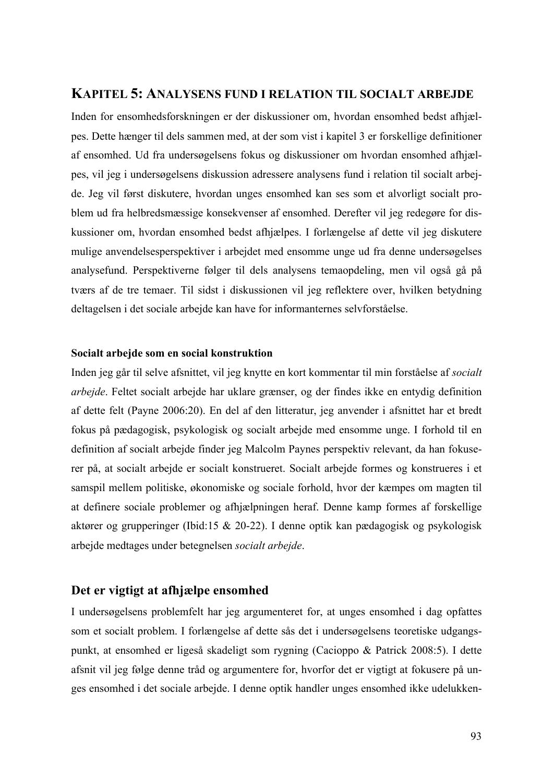# **KAPITEL 5: ANALYSENS FUND I RELATION TIL SOCIALT ARBEJDE**

Inden for ensomhedsforskningen er der diskussioner om, hvordan ensomhed bedst afhjælpes. Dette hænger til dels sammen med, at der som vist i kapitel 3 er forskellige definitioner af ensomhed. Ud fra undersøgelsens fokus og diskussioner om hvordan ensomhed afhjælpes, vil jeg i undersøgelsens diskussion adressere analysens fund i relation til socialt arbejde. Jeg vil først diskutere, hvordan unges ensomhed kan ses som et alvorligt socialt problem ud fra helbredsmæssige konsekvenser af ensomhed. Derefter vil jeg redegøre for diskussioner om, hvordan ensomhed bedst afhjælpes. I forlængelse af dette vil jeg diskutere mulige anvendelsesperspektiver i arbejdet med ensomme unge ud fra denne undersøgelses analysefund. Perspektiverne følger til dels analysens temaopdeling, men vil også gå på tværs af de tre temaer. Til sidst i diskussionen vil jeg reflektere over, hvilken betydning deltagelsen i det sociale arbejde kan have for informanternes selvforståelse.

#### **Socialt arbejde som en social konstruktion**

Inden jeg går til selve afsnittet, vil jeg knytte en kort kommentar til min forståelse af *socialt arbejde*. Feltet socialt arbejde har uklare grænser, og der findes ikke en entydig definition af dette felt (Payne 2006:20). En del af den litteratur, jeg anvender i afsnittet har et bredt fokus på pædagogisk, psykologisk og socialt arbejde med ensomme unge. I forhold til en definition af socialt arbejde finder jeg Malcolm Paynes perspektiv relevant, da han fokuserer på, at socialt arbejde er socialt konstrueret. Socialt arbejde formes og konstrueres i et samspil mellem politiske, økonomiske og sociale forhold, hvor der kæmpes om magten til at definere sociale problemer og afhjælpningen heraf. Denne kamp formes af forskellige aktører og grupperinger (Ibid:15 & 20-22). I denne optik kan pædagogisk og psykologisk arbejde medtages under betegnelsen *socialt arbejde*.

# **Det er vigtigt at afhjælpe ensomhed**

I undersøgelsens problemfelt har jeg argumenteret for, at unges ensomhed i dag opfattes som et socialt problem. I forlængelse af dette sås det i undersøgelsens teoretiske udgangspunkt, at ensomhed er ligeså skadeligt som rygning (Cacioppo & Patrick 2008:5). I dette afsnit vil jeg følge denne tråd og argumentere for, hvorfor det er vigtigt at fokusere på unges ensomhed i det sociale arbejde. I denne optik handler unges ensomhed ikke udelukken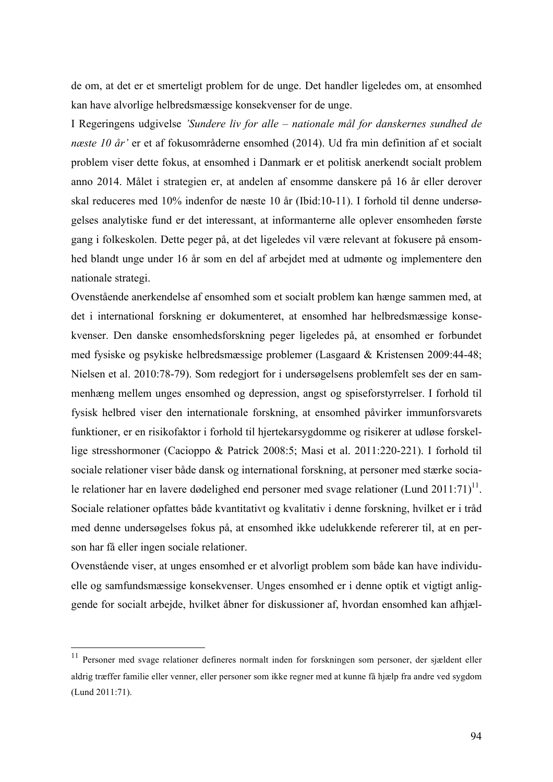de om, at det er et smerteligt problem for de unge. Det handler ligeledes om, at ensomhed kan have alvorlige helbredsmæssige konsekvenser for de unge.

I Regeringens udgivelse *'Sundere liv for alle – nationale mål for danskernes sundhed de næste 10 år'* er et af fokusområderne ensomhed (2014). Ud fra min definition af et socialt problem viser dette fokus, at ensomhed i Danmark er et politisk anerkendt socialt problem anno 2014. Målet i strategien er, at andelen af ensomme danskere på 16 år eller derover skal reduceres med 10% indenfor de næste 10 år (Ibid:10-11). I forhold til denne undersøgelses analytiske fund er det interessant, at informanterne alle oplever ensomheden første gang i folkeskolen. Dette peger på, at det ligeledes vil være relevant at fokusere på ensomhed blandt unge under 16 år som en del af arbejdet med at udmønte og implementere den nationale strategi.

Ovenstående anerkendelse af ensomhed som et socialt problem kan hænge sammen med, at det i international forskning er dokumenteret, at ensomhed har helbredsmæssige konsekvenser. Den danske ensomhedsforskning peger ligeledes på, at ensomhed er forbundet med fysiske og psykiske helbredsmæssige problemer (Lasgaard & Kristensen 2009:44-48; Nielsen et al. 2010:78-79). Som redegjort for i undersøgelsens problemfelt ses der en sammenhæng mellem unges ensomhed og depression, angst og spiseforstyrrelser. I forhold til fysisk helbred viser den internationale forskning, at ensomhed påvirker immunforsvarets funktioner, er en risikofaktor i forhold til hjertekarsygdomme og risikerer at udløse forskellige stresshormoner (Cacioppo & Patrick 2008:5; Masi et al. 2011:220-221). I forhold til sociale relationer viser både dansk og international forskning, at personer med stærke sociale relationer har en lavere dødelighed end personer med svage relationer (Lund 2011:71)<sup>11</sup>. Sociale relationer opfattes både kvantitativt og kvalitativ i denne forskning, hvilket er i tråd med denne undersøgelses fokus på, at ensomhed ikke udelukkende refererer til, at en person har få eller ingen sociale relationer.

Ovenstående viser, at unges ensomhed er et alvorligt problem som både kan have individuelle og samfundsmæssige konsekvenser. Unges ensomhed er i denne optik et vigtigt anliggende for socialt arbejde, hvilket åbner for diskussioner af, hvordan ensomhed kan afhjæl-

 <sup>11</sup> Personer med svage relationer defineres normalt inden for forskningen som personer, der sjældent eller aldrig træffer familie eller venner, eller personer som ikke regner med at kunne få hjælp fra andre ved sygdom (Lund 2011:71).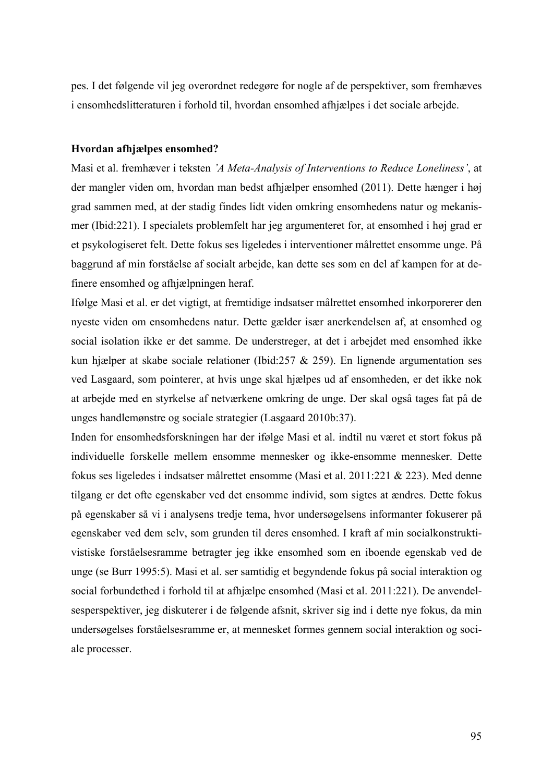pes. I det følgende vil jeg overordnet redegøre for nogle af de perspektiver, som fremhæves i ensomhedslitteraturen i forhold til, hvordan ensomhed afhjælpes i det sociale arbejde.

#### **Hvordan afhjælpes ensomhed?**

Masi et al. fremhæver i teksten *'A Meta-Analysis of Interventions to Reduce Loneliness'*, at der mangler viden om, hvordan man bedst afhjælper ensomhed (2011). Dette hænger i høj grad sammen med, at der stadig findes lidt viden omkring ensomhedens natur og mekanismer (Ibid:221). I specialets problemfelt har jeg argumenteret for, at ensomhed i høj grad er et psykologiseret felt. Dette fokus ses ligeledes i interventioner målrettet ensomme unge. På baggrund af min forståelse af socialt arbejde, kan dette ses som en del af kampen for at definere ensomhed og afhjælpningen heraf.

Ifølge Masi et al. er det vigtigt, at fremtidige indsatser målrettet ensomhed inkorporerer den nyeste viden om ensomhedens natur. Dette gælder især anerkendelsen af, at ensomhed og social isolation ikke er det samme. De understreger, at det i arbejdet med ensomhed ikke kun hjælper at skabe sociale relationer (Ibid:257 & 259). En lignende argumentation ses ved Lasgaard, som pointerer, at hvis unge skal hjælpes ud af ensomheden, er det ikke nok at arbejde med en styrkelse af netværkene omkring de unge. Der skal også tages fat på de unges handlemønstre og sociale strategier (Lasgaard 2010b:37).

Inden for ensomhedsforskningen har der ifølge Masi et al. indtil nu været et stort fokus på individuelle forskelle mellem ensomme mennesker og ikke-ensomme mennesker. Dette fokus ses ligeledes i indsatser målrettet ensomme (Masi et al. 2011:221 & 223). Med denne tilgang er det ofte egenskaber ved det ensomme individ, som sigtes at ændres. Dette fokus på egenskaber så vi i analysens tredje tema, hvor undersøgelsens informanter fokuserer på egenskaber ved dem selv, som grunden til deres ensomhed. I kraft af min socialkonstruktivistiske forståelsesramme betragter jeg ikke ensomhed som en iboende egenskab ved de unge (se Burr 1995:5). Masi et al. ser samtidig et begyndende fokus på social interaktion og social forbundethed i forhold til at afhjælpe ensomhed (Masi et al. 2011:221). De anvendelsesperspektiver, jeg diskuterer i de følgende afsnit, skriver sig ind i dette nye fokus, da min undersøgelses forståelsesramme er, at mennesket formes gennem social interaktion og sociale processer.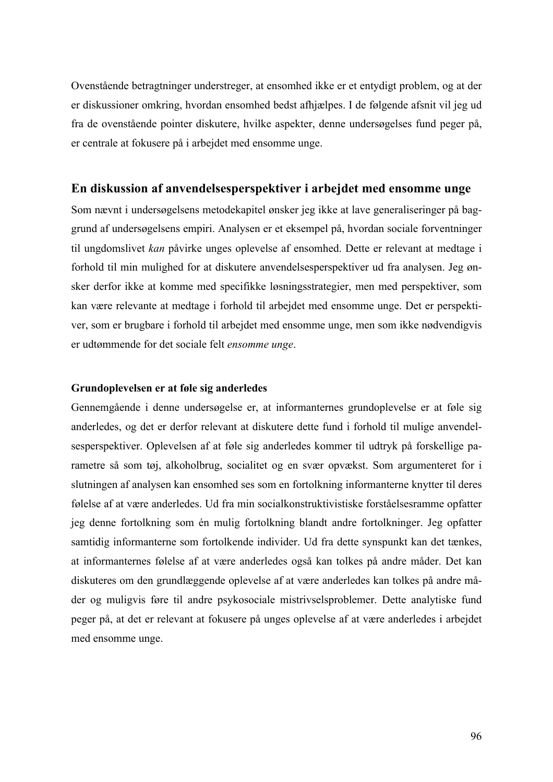Ovenstående betragtninger understreger, at ensomhed ikke er et entydigt problem, og at der er diskussioner omkring, hvordan ensomhed bedst afhjælpes. I de følgende afsnit vil jeg ud fra de ovenstående pointer diskutere, hvilke aspekter, denne undersøgelses fund peger på, er centrale at fokusere på i arbejdet med ensomme unge.

# **En diskussion af anvendelsesperspektiver i arbejdet med ensomme unge**

Som nævnt i undersøgelsens metodekapitel ønsker jeg ikke at lave generaliseringer på baggrund af undersøgelsens empiri. Analysen er et eksempel på, hvordan sociale forventninger til ungdomslivet *kan* påvirke unges oplevelse af ensomhed. Dette er relevant at medtage i forhold til min mulighed for at diskutere anvendelsesperspektiver ud fra analysen. Jeg ønsker derfor ikke at komme med specifikke løsningsstrategier, men med perspektiver, som kan være relevante at medtage i forhold til arbejdet med ensomme unge. Det er perspektiver, som er brugbare i forhold til arbejdet med ensomme unge, men som ikke nødvendigvis er udtømmende for det sociale felt *ensomme unge*.

#### **Grundoplevelsen er at føle sig anderledes**

Gennemgående i denne undersøgelse er, at informanternes grundoplevelse er at føle sig anderledes, og det er derfor relevant at diskutere dette fund i forhold til mulige anvendelsesperspektiver. Oplevelsen af at føle sig anderledes kommer til udtryk på forskellige parametre så som tøj, alkoholbrug, socialitet og en svær opvækst. Som argumenteret for i slutningen af analysen kan ensomhed ses som en fortolkning informanterne knytter til deres følelse af at være anderledes. Ud fra min socialkonstruktivistiske forståelsesramme opfatter jeg denne fortolkning som én mulig fortolkning blandt andre fortolkninger. Jeg opfatter samtidig informanterne som fortolkende individer. Ud fra dette synspunkt kan det tænkes, at informanternes følelse af at være anderledes også kan tolkes på andre måder. Det kan diskuteres om den grundlæggende oplevelse af at være anderledes kan tolkes på andre måder og muligvis føre til andre psykosociale mistrivselsproblemer. Dette analytiske fund peger på, at det er relevant at fokusere på unges oplevelse af at være anderledes i arbejdet med ensomme unge.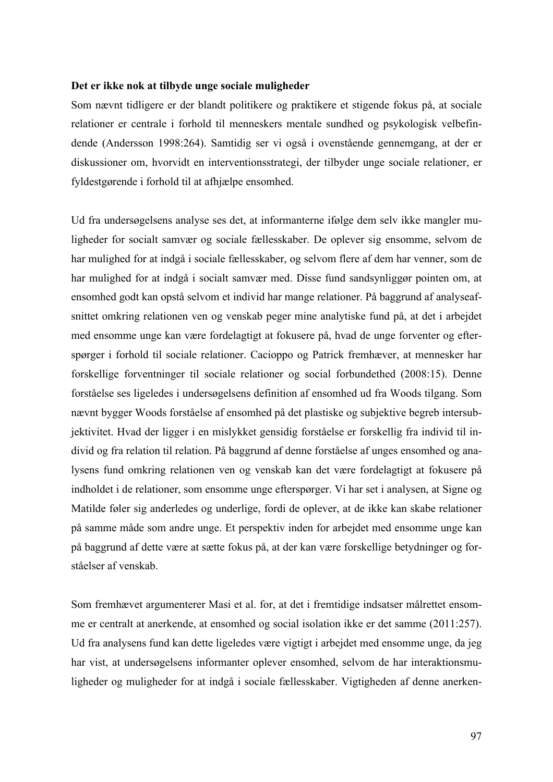#### **Det er ikke nok at tilbyde unge sociale muligheder**

Som nævnt tidligere er der blandt politikere og praktikere et stigende fokus på, at sociale relationer er centrale i forhold til menneskers mentale sundhed og psykologisk velbefindende (Andersson 1998:264). Samtidig ser vi også i ovenstående gennemgang, at der er diskussioner om, hvorvidt en interventionsstrategi, der tilbyder unge sociale relationer, er fyldestgørende i forhold til at afhjælpe ensomhed.

Ud fra undersøgelsens analyse ses det, at informanterne ifølge dem selv ikke mangler muligheder for socialt samvær og sociale fællesskaber. De oplever sig ensomme, selvom de har mulighed for at indgå i sociale fællesskaber, og selvom flere af dem har venner, som de har mulighed for at indgå i socialt samvær med. Disse fund sandsynliggør pointen om, at ensomhed godt kan opstå selvom et individ har mange relationer. På baggrund af analyseafsnittet omkring relationen ven og venskab peger mine analytiske fund på, at det i arbejdet med ensomme unge kan være fordelagtigt at fokusere på, hvad de unge forventer og efterspørger i forhold til sociale relationer. Cacioppo og Patrick fremhæver, at mennesker har forskellige forventninger til sociale relationer og social forbundethed (2008:15). Denne forståelse ses ligeledes i undersøgelsens definition af ensomhed ud fra Woods tilgang. Som nævnt bygger Woods forståelse af ensomhed på det plastiske og subjektive begreb intersubjektivitet. Hvad der ligger i en mislykket gensidig forståelse er forskellig fra individ til individ og fra relation til relation. På baggrund af denne forståelse af unges ensomhed og analysens fund omkring relationen ven og venskab kan det være fordelagtigt at fokusere på indholdet i de relationer, som ensomme unge efterspørger. Vi har set i analysen, at Signe og Matilde føler sig anderledes og underlige, fordi de oplever, at de ikke kan skabe relationer på samme måde som andre unge. Et perspektiv inden for arbejdet med ensomme unge kan på baggrund af dette være at sætte fokus på, at der kan være forskellige betydninger og forståelser af venskab.

Som fremhævet argumenterer Masi et al. for, at det i fremtidige indsatser målrettet ensomme er centralt at anerkende, at ensomhed og social isolation ikke er det samme (2011:257). Ud fra analysens fund kan dette ligeledes være vigtigt i arbejdet med ensomme unge, da jeg har vist, at undersøgelsens informanter oplever ensomhed, selvom de har interaktionsmuligheder og muligheder for at indgå i sociale fællesskaber. Vigtigheden af denne anerken-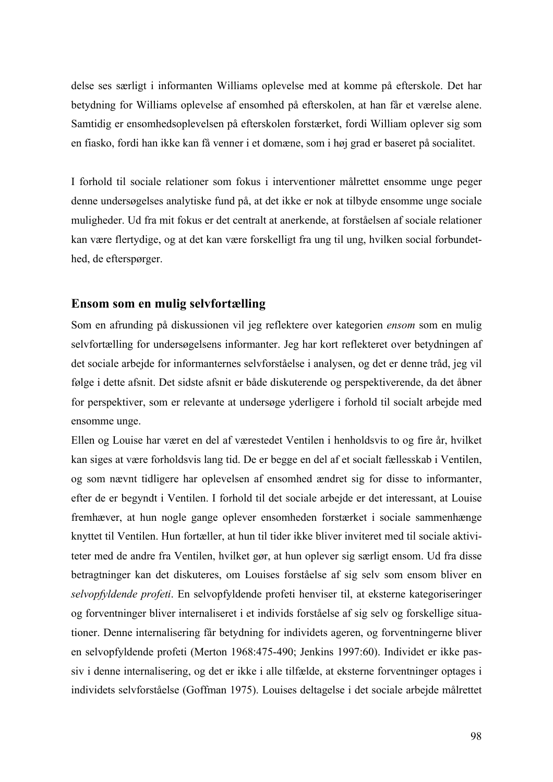delse ses særligt i informanten Williams oplevelse med at komme på efterskole. Det har betydning for Williams oplevelse af ensomhed på efterskolen, at han får et værelse alene. Samtidig er ensomhedsoplevelsen på efterskolen forstærket, fordi William oplever sig som en fiasko, fordi han ikke kan få venner i et domæne, som i høj grad er baseret på socialitet.

I forhold til sociale relationer som fokus i interventioner målrettet ensomme unge peger denne undersøgelses analytiske fund på, at det ikke er nok at tilbyde ensomme unge sociale muligheder. Ud fra mit fokus er det centralt at anerkende, at forståelsen af sociale relationer kan være flertydige, og at det kan være forskelligt fra ung til ung, hvilken social forbundethed, de efterspørger.

# **Ensom som en mulig selvfortælling**

Som en afrunding på diskussionen vil jeg reflektere over kategorien *ensom* som en mulig selvfortælling for undersøgelsens informanter. Jeg har kort reflekteret over betydningen af det sociale arbejde for informanternes selvforståelse i analysen, og det er denne tråd, jeg vil følge i dette afsnit. Det sidste afsnit er både diskuterende og perspektiverende, da det åbner for perspektiver, som er relevante at undersøge yderligere i forhold til socialt arbejde med ensomme unge.

Ellen og Louise har været en del af værestedet Ventilen i henholdsvis to og fire år, hvilket kan siges at være forholdsvis lang tid. De er begge en del af et socialt fællesskab i Ventilen, og som nævnt tidligere har oplevelsen af ensomhed ændret sig for disse to informanter, efter de er begyndt i Ventilen. I forhold til det sociale arbejde er det interessant, at Louise fremhæver, at hun nogle gange oplever ensomheden forstærket i sociale sammenhænge knyttet til Ventilen. Hun fortæller, at hun til tider ikke bliver inviteret med til sociale aktiviteter med de andre fra Ventilen, hvilket gør, at hun oplever sig særligt ensom. Ud fra disse betragtninger kan det diskuteres, om Louises forståelse af sig selv som ensom bliver en *selvopfyldende profeti*. En selvopfyldende profeti henviser til, at eksterne kategoriseringer og forventninger bliver internaliseret i et individs forståelse af sig selv og forskellige situationer. Denne internalisering får betydning for individets ageren, og forventningerne bliver en selvopfyldende profeti (Merton 1968:475-490; Jenkins 1997:60). Individet er ikke passiv i denne internalisering, og det er ikke i alle tilfælde, at eksterne forventninger optages i individets selvforståelse (Goffman 1975). Louises deltagelse i det sociale arbejde målrettet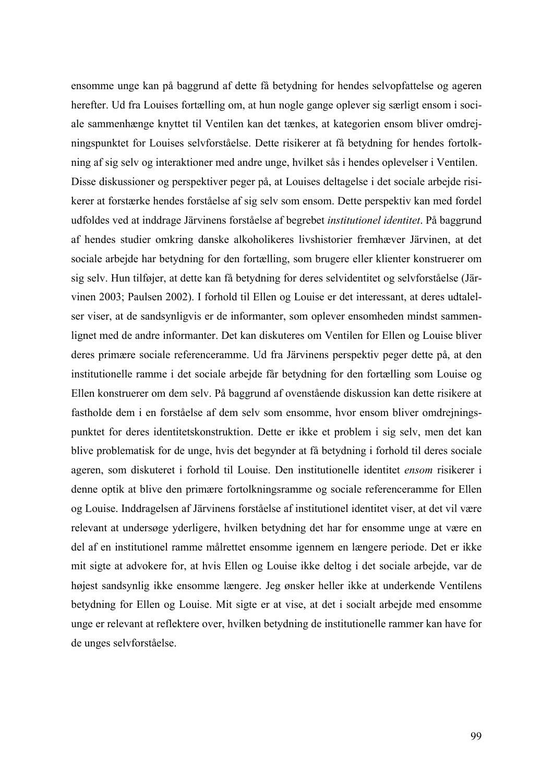ensomme unge kan på baggrund af dette få betydning for hendes selvopfattelse og ageren herefter. Ud fra Louises fortælling om, at hun nogle gange oplever sig særligt ensom i sociale sammenhænge knyttet til Ventilen kan det tænkes, at kategorien ensom bliver omdrejningspunktet for Louises selvforståelse. Dette risikerer at få betydning for hendes fortolkning af sig selv og interaktioner med andre unge, hvilket sås i hendes oplevelser i Ventilen. Disse diskussioner og perspektiver peger på, at Louises deltagelse i det sociale arbejde risikerer at forstærke hendes forståelse af sig selv som ensom. Dette perspektiv kan med fordel udfoldes ved at inddrage Järvinens forståelse af begrebet *institutionel identitet*. På baggrund af hendes studier omkring danske alkoholikeres livshistorier fremhæver Järvinen, at det sociale arbejde har betydning for den fortælling, som brugere eller klienter konstruerer om sig selv. Hun tilføjer, at dette kan få betydning for deres selvidentitet og selvforståelse (Järvinen 2003; Paulsen 2002). I forhold til Ellen og Louise er det interessant, at deres udtalelser viser, at de sandsynligvis er de informanter, som oplever ensomheden mindst sammenlignet med de andre informanter. Det kan diskuteres om Ventilen for Ellen og Louise bliver deres primære sociale referenceramme. Ud fra Järvinens perspektiv peger dette på, at den institutionelle ramme i det sociale arbejde får betydning for den fortælling som Louise og Ellen konstruerer om dem selv. På baggrund af ovenstående diskussion kan dette risikere at fastholde dem i en forståelse af dem selv som ensomme, hvor ensom bliver omdrejningspunktet for deres identitetskonstruktion. Dette er ikke et problem i sig selv, men det kan blive problematisk for de unge, hvis det begynder at få betydning i forhold til deres sociale ageren, som diskuteret i forhold til Louise. Den institutionelle identitet *ensom* risikerer i denne optik at blive den primære fortolkningsramme og sociale referenceramme for Ellen og Louise. Inddragelsen af Järvinens forståelse af institutionel identitet viser, at det vil være relevant at undersøge yderligere, hvilken betydning det har for ensomme unge at være en del af en institutionel ramme målrettet ensomme igennem en længere periode. Det er ikke mit sigte at advokere for, at hvis Ellen og Louise ikke deltog i det sociale arbejde, var de højest sandsynlig ikke ensomme længere. Jeg ønsker heller ikke at underkende Ventilens betydning for Ellen og Louise. Mit sigte er at vise, at det i socialt arbejde med ensomme unge er relevant at reflektere over, hvilken betydning de institutionelle rammer kan have for de unges selvforståelse.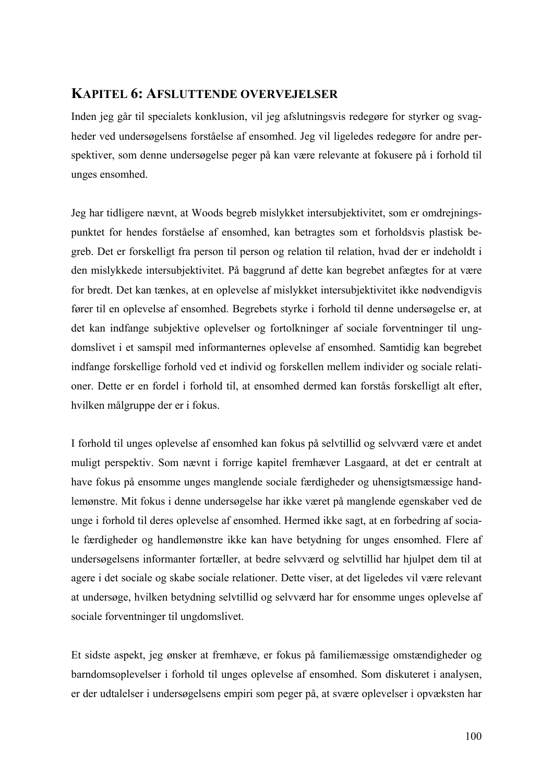# **KAPITEL 6: AFSLUTTENDE OVERVEJELSER**

Inden jeg går til specialets konklusion, vil jeg afslutningsvis redegøre for styrker og svagheder ved undersøgelsens forståelse af ensomhed. Jeg vil ligeledes redegøre for andre perspektiver, som denne undersøgelse peger på kan være relevante at fokusere på i forhold til unges ensomhed.

Jeg har tidligere nævnt, at Woods begreb mislykket intersubjektivitet, som er omdrejningspunktet for hendes forståelse af ensomhed, kan betragtes som et forholdsvis plastisk begreb. Det er forskelligt fra person til person og relation til relation, hvad der er indeholdt i den mislykkede intersubjektivitet. På baggrund af dette kan begrebet anfægtes for at være for bredt. Det kan tænkes, at en oplevelse af mislykket intersubjektivitet ikke nødvendigvis fører til en oplevelse af ensomhed. Begrebets styrke i forhold til denne undersøgelse er, at det kan indfange subjektive oplevelser og fortolkninger af sociale forventninger til ungdomslivet i et samspil med informanternes oplevelse af ensomhed. Samtidig kan begrebet indfange forskellige forhold ved et individ og forskellen mellem individer og sociale relationer. Dette er en fordel i forhold til, at ensomhed dermed kan forstås forskelligt alt efter, hvilken målgruppe der er i fokus.

I forhold til unges oplevelse af ensomhed kan fokus på selvtillid og selvværd være et andet muligt perspektiv. Som nævnt i forrige kapitel fremhæver Lasgaard, at det er centralt at have fokus på ensomme unges manglende sociale færdigheder og uhensigtsmæssige handlemønstre. Mit fokus i denne undersøgelse har ikke været på manglende egenskaber ved de unge i forhold til deres oplevelse af ensomhed. Hermed ikke sagt, at en forbedring af sociale færdigheder og handlemønstre ikke kan have betydning for unges ensomhed. Flere af undersøgelsens informanter fortæller, at bedre selvværd og selvtillid har hjulpet dem til at agere i det sociale og skabe sociale relationer. Dette viser, at det ligeledes vil være relevant at undersøge, hvilken betydning selvtillid og selvværd har for ensomme unges oplevelse af sociale forventninger til ungdomslivet.

Et sidste aspekt, jeg ønsker at fremhæve, er fokus på familiemæssige omstændigheder og barndomsoplevelser i forhold til unges oplevelse af ensomhed. Som diskuteret i analysen, er der udtalelser i undersøgelsens empiri som peger på, at svære oplevelser i opvæksten har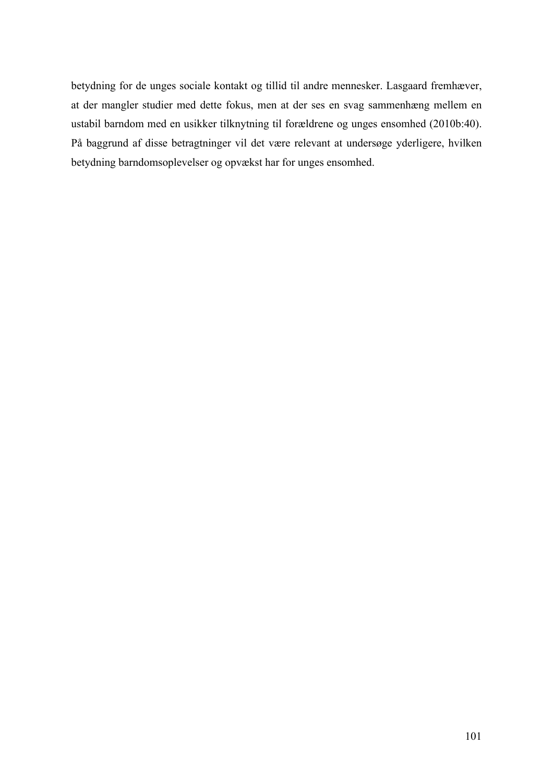betydning for de unges sociale kontakt og tillid til andre mennesker. Lasgaard fremhæver, at der mangler studier med dette fokus, men at der ses en svag sammenhæng mellem en ustabil barndom med en usikker tilknytning til forældrene og unges ensomhed (2010b:40). På baggrund af disse betragtninger vil det være relevant at undersøge yderligere, hvilken betydning barndomsoplevelser og opvækst har for unges ensomhed.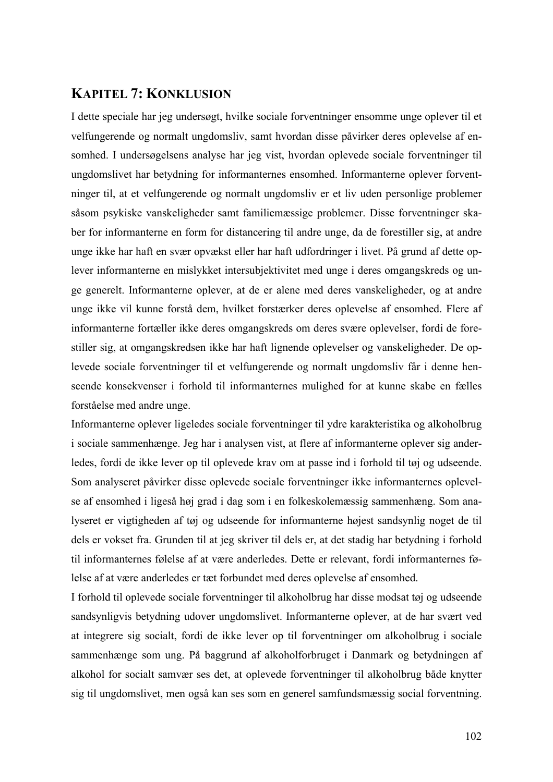# **KAPITEL 7: KONKLUSION**

I dette speciale har jeg undersøgt, hvilke sociale forventninger ensomme unge oplever til et velfungerende og normalt ungdomsliv, samt hvordan disse påvirker deres oplevelse af ensomhed. I undersøgelsens analyse har jeg vist, hvordan oplevede sociale forventninger til ungdomslivet har betydning for informanternes ensomhed. Informanterne oplever forventninger til, at et velfungerende og normalt ungdomsliv er et liv uden personlige problemer såsom psykiske vanskeligheder samt familiemæssige problemer. Disse forventninger skaber for informanterne en form for distancering til andre unge, da de forestiller sig, at andre unge ikke har haft en svær opvækst eller har haft udfordringer i livet. På grund af dette oplever informanterne en mislykket intersubjektivitet med unge i deres omgangskreds og unge generelt. Informanterne oplever, at de er alene med deres vanskeligheder, og at andre unge ikke vil kunne forstå dem, hvilket forstærker deres oplevelse af ensomhed. Flere af informanterne fortæller ikke deres omgangskreds om deres svære oplevelser, fordi de forestiller sig, at omgangskredsen ikke har haft lignende oplevelser og vanskeligheder. De oplevede sociale forventninger til et velfungerende og normalt ungdomsliv får i denne henseende konsekvenser i forhold til informanternes mulighed for at kunne skabe en fælles forståelse med andre unge.

Informanterne oplever ligeledes sociale forventninger til ydre karakteristika og alkoholbrug i sociale sammenhænge. Jeg har i analysen vist, at flere af informanterne oplever sig anderledes, fordi de ikke lever op til oplevede krav om at passe ind i forhold til tøj og udseende. Som analyseret påvirker disse oplevede sociale forventninger ikke informanternes oplevelse af ensomhed i ligeså høj grad i dag som i en folkeskolemæssig sammenhæng. Som analyseret er vigtigheden af tøj og udseende for informanterne højest sandsynlig noget de til dels er vokset fra. Grunden til at jeg skriver til dels er, at det stadig har betydning i forhold til informanternes følelse af at være anderledes. Dette er relevant, fordi informanternes følelse af at være anderledes er tæt forbundet med deres oplevelse af ensomhed.

I forhold til oplevede sociale forventninger til alkoholbrug har disse modsat tøj og udseende sandsynligvis betydning udover ungdomslivet. Informanterne oplever, at de har svært ved at integrere sig socialt, fordi de ikke lever op til forventninger om alkoholbrug i sociale sammenhænge som ung. På baggrund af alkoholforbruget i Danmark og betydningen af alkohol for socialt samvær ses det, at oplevede forventninger til alkoholbrug både knytter sig til ungdomslivet, men også kan ses som en generel samfundsmæssig social forventning.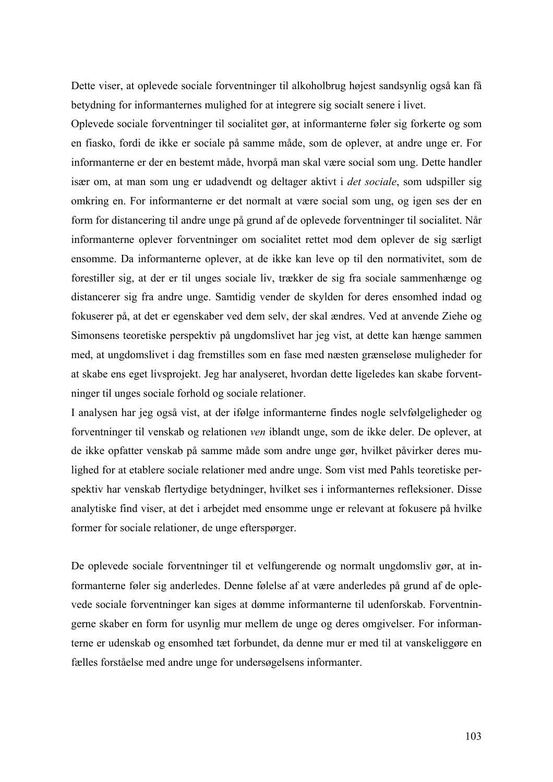Dette viser, at oplevede sociale forventninger til alkoholbrug højest sandsynlig også kan få betydning for informanternes mulighed for at integrere sig socialt senere i livet.

Oplevede sociale forventninger til socialitet gør, at informanterne føler sig forkerte og som en fiasko, fordi de ikke er sociale på samme måde, som de oplever, at andre unge er. For informanterne er der en bestemt måde, hvorpå man skal være social som ung. Dette handler især om, at man som ung er udadvendt og deltager aktivt i *det sociale*, som udspiller sig omkring en. For informanterne er det normalt at være social som ung, og igen ses der en form for distancering til andre unge på grund af de oplevede forventninger til socialitet. Når informanterne oplever forventninger om socialitet rettet mod dem oplever de sig særligt ensomme. Da informanterne oplever, at de ikke kan leve op til den normativitet, som de forestiller sig, at der er til unges sociale liv, trækker de sig fra sociale sammenhænge og distancerer sig fra andre unge. Samtidig vender de skylden for deres ensomhed indad og fokuserer på, at det er egenskaber ved dem selv, der skal ændres. Ved at anvende Ziehe og Simonsens teoretiske perspektiv på ungdomslivet har jeg vist, at dette kan hænge sammen med, at ungdomslivet i dag fremstilles som en fase med næsten grænseløse muligheder for at skabe ens eget livsprojekt. Jeg har analyseret, hvordan dette ligeledes kan skabe forventninger til unges sociale forhold og sociale relationer.

I analysen har jeg også vist, at der ifølge informanterne findes nogle selvfølgeligheder og forventninger til venskab og relationen *ven* iblandt unge, som de ikke deler. De oplever, at de ikke opfatter venskab på samme måde som andre unge gør, hvilket påvirker deres mulighed for at etablere sociale relationer med andre unge. Som vist med Pahls teoretiske perspektiv har venskab flertydige betydninger, hvilket ses i informanternes refleksioner. Disse analytiske find viser, at det i arbejdet med ensomme unge er relevant at fokusere på hvilke former for sociale relationer, de unge efterspørger.

De oplevede sociale forventninger til et velfungerende og normalt ungdomsliv gør, at informanterne føler sig anderledes. Denne følelse af at være anderledes på grund af de oplevede sociale forventninger kan siges at dømme informanterne til udenforskab. Forventningerne skaber en form for usynlig mur mellem de unge og deres omgivelser. For informanterne er udenskab og ensomhed tæt forbundet, da denne mur er med til at vanskeliggøre en fælles forståelse med andre unge for undersøgelsens informanter.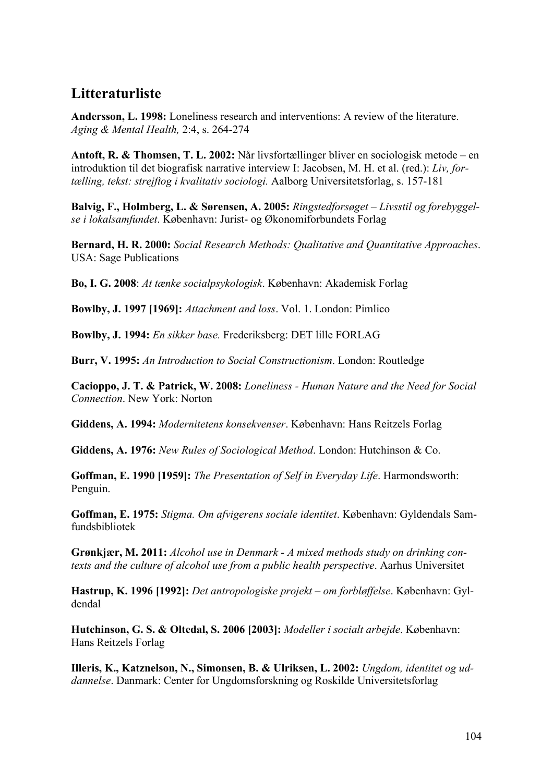# **Litteraturliste**

**Andersson, L. 1998:** Loneliness research and interventions: A review of the literature. *Aging & Mental Health,* 2:4, s. 264-274

**Antoft, R. & Thomsen, T. L. 2002:** Når livsfortællinger bliver en sociologisk metode – en introduktion til det biografisk narrative interview I: Jacobsen, M. H. et al. (red.): *Liv, fortælling, tekst: strejftog i kvalitativ sociologi.* Aalborg Universitetsforlag, s. 157-181

**Balvig, F., Holmberg, L. & Sørensen, A. 2005:** *Ringstedforsøget – Livsstil og forebyggelse i lokalsamfundet*. København: Jurist- og Økonomiforbundets Forlag

**Bernard, H. R. 2000:** *Social Research Methods: Qualitative and Quantitative Approaches*. USA: Sage Publications

**Bo, I. G. 2008**: *At tænke socialpsykologisk*. København: Akademisk Forlag

**Bowlby, J. 1997 [1969]:** *Attachment and loss*. Vol. 1. London: Pimlico

**Bowlby, J. 1994:** *En sikker base.* Frederiksberg: DET lille FORLAG

**Burr, V. 1995:** *An Introduction to Social Constructionism*. London: Routledge

**Cacioppo, J. T. & Patrick, W. 2008:** *Loneliness - Human Nature and the Need for Social Connection*. New York: Norton

**Giddens, A. 1994:** *Modernitetens konsekvenser*. København: Hans Reitzels Forlag

**Giddens, A. 1976:** *New Rules of Sociological Method*. London: Hutchinson & Co.

**Goffman, E. 1990 [1959]:** *The Presentation of Self in Everyday Life*. Harmondsworth: Penguin.

**Goffman, E. 1975:** *Stigma. Om afvigerens sociale identitet*. København: Gyldendals Samfundsbibliotek

**Grønkjær, M. 2011:** *Alcohol use in Denmark - A mixed methods study on drinking contexts and the culture of alcohol use from a public health perspective*. Aarhus Universitet

**Hastrup, K. 1996 [1992]:** *Det antropologiske projekt – om forbløffelse*. København: Gyldendal

**Hutchinson, G. S. & Oltedal, S. 2006 [2003]:** *Modeller i socialt arbejde*. København: Hans Reitzels Forlag

**Illeris, K., Katznelson, N., Simonsen, B. & Ulriksen, L. 2002:** *Ungdom, identitet og uddannelse*. Danmark: Center for Ungdomsforskning og Roskilde Universitetsforlag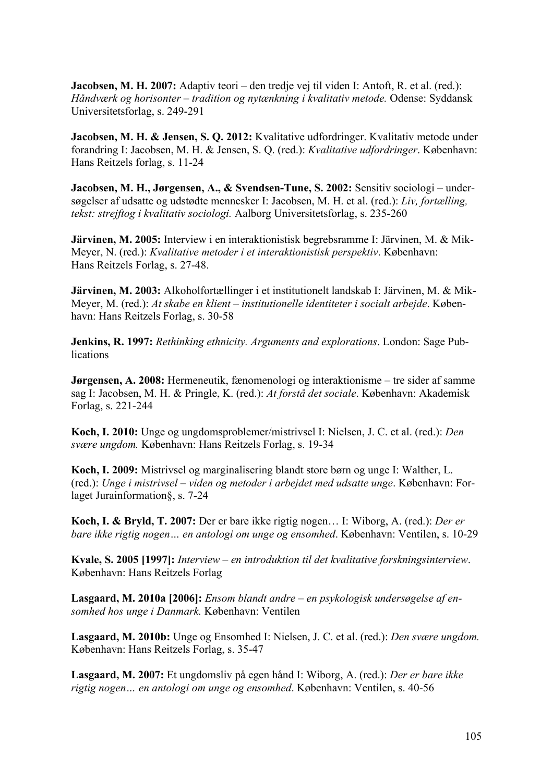**Jacobsen, M. H. 2007:** Adaptiv teori – den tredje vej til viden I: Antoft, R. et al. (red.): *Håndværk og horisonter – tradition og nytænkning i kvalitativ metode.* Odense: Syddansk Universitetsforlag, s. 249-291

**Jacobsen, M. H. & Jensen, S. Q. 2012:** Kvalitative udfordringer. Kvalitativ metode under forandring I: Jacobsen, M. H. & Jensen, S. Q. (red.): *Kvalitative udfordringer*. København: Hans Reitzels forlag, s. 11-24

**Jacobsen, M. H., Jørgensen, A., & Svendsen-Tune, S. 2002:** Sensitiv sociologi – undersøgelser af udsatte og udstødte mennesker I: Jacobsen, M. H. et al. (red.): *Liv, fortælling, tekst: strejftog i kvalitativ sociologi.* Aalborg Universitetsforlag, s. 235-260

**Järvinen, M. 2005:** Interview i en interaktionistisk begrebsramme I: Järvinen, M. & Mik-Meyer, N. (red.): *Kvalitative metoder i et interaktionistisk perspektiv*. København: Hans Reitzels Forlag, s. 27-48.

**Järvinen, M. 2003:** Alkoholfortællinger i et institutionelt landskab I: Järvinen, M. & Mik-Meyer, M. (red.): *At skabe en klient – institutionelle identiteter i socialt arbejde*. København: Hans Reitzels Forlag, s. 30-58

**Jenkins, R. 1997:** *Rethinking ethnicity. Arguments and explorations*. London: Sage Pub**lications** 

**Jørgensen, A. 2008:** Hermeneutik, fænomenologi og interaktionisme – tre sider af samme sag I: Jacobsen, M. H. & Pringle, K. (red.): *At forstå det sociale*. København: Akademisk Forlag, s. 221-244

**Koch, I. 2010:** Unge og ungdomsproblemer/mistrivsel I: Nielsen, J. C. et al. (red.): *Den svære ungdom.* København: Hans Reitzels Forlag, s. 19-34

**Koch, I. 2009:** Mistrivsel og marginalisering blandt store børn og unge I: Walther, L. (red.): *Unge i mistrivsel – viden og metoder i arbejdet med udsatte unge*. København: Forlaget Jurainformation§, s. 7-24

**Koch, I. & Bryld, T. 2007:** Der er bare ikke rigtig nogen… I: Wiborg, A. (red.): *Der er bare ikke rigtig nogen… en antologi om unge og ensomhed*. København: Ventilen, s. 10-29

**Kvale, S. 2005 [1997]:** *Interview – en introduktion til det kvalitative forskningsinterview*. København: Hans Reitzels Forlag

**Lasgaard, M. 2010a [2006]:** *Ensom blandt andre – en psykologisk undersøgelse af ensomhed hos unge i Danmark.* København: Ventilen

**Lasgaard, M. 2010b:** Unge og Ensomhed I: Nielsen, J. C. et al. (red.): *Den svære ungdom.* København: Hans Reitzels Forlag, s. 35-47

**Lasgaard, M. 2007:** Et ungdomsliv på egen hånd I: Wiborg, A. (red.): *Der er bare ikke rigtig nogen… en antologi om unge og ensomhed*. København: Ventilen, s. 40-56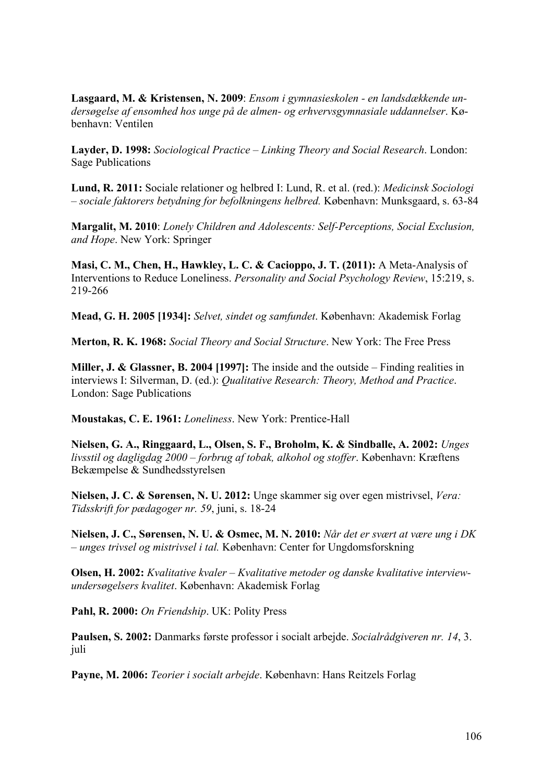**Lasgaard, M. & Kristensen, N. 2009**: *Ensom i gymnasieskolen - en landsdækkende undersøgelse af ensomhed hos unge på de almen- og erhvervsgymnasiale uddannelser*. København: Ventilen

**Layder, D. 1998:** *Sociological Practice – Linking Theory and Social Research*. London: Sage Publications

**Lund, R. 2011:** Sociale relationer og helbred I: Lund, R. et al. (red.): *Medicinsk Sociologi – sociale faktorers betydning for befolkningens helbred.* København: Munksgaard, s. 63-84

**Margalit, M. 2010**: *Lonely Children and Adolescents: Self-Perceptions, Social Exclusion, and Hope*. New York: Springer

**Masi, C. M., Chen, H., Hawkley, L. C. & Cacioppo, J. T. (2011):** A Meta-Analysis of Interventions to Reduce Loneliness. *Personality and Social Psychology Review*, 15:219, s. 219-266

**Mead, G. H. 2005 [1934]:** *Selvet, sindet og samfundet*. København: Akademisk Forlag

**Merton, R. K. 1968:** *Social Theory and Social Structure*. New York: The Free Press

**Miller, J. & Glassner, B. 2004 [1997]:** The inside and the outside – Finding realities in interviews I: Silverman, D. (ed.): *Qualitative Research: Theory, Method and Practice*. London: Sage Publications

**Moustakas, C. E. 1961:** *Loneliness*. New York: Prentice-Hall

**Nielsen, G. A., Ringgaard, L., Olsen, S. F., Broholm, K. & Sindballe, A. 2002:** *Unges livsstil og dagligdag 2000 – forbrug af tobak, alkohol og stoffer*. København: Kræftens Bekæmpelse & Sundhedsstyrelsen

**Nielsen, J. C. & Sørensen, N. U. 2012:** Unge skammer sig over egen mistrivsel, *Vera: Tidsskrift for pædagoger nr. 59*, juni, s. 18-24

**Nielsen, J. C., Sørensen, N. U. & Osmec, M. N. 2010:** *Når det er svært at være ung i DK – unges trivsel og mistrivsel i tal.* København: Center for Ungdomsforskning

**Olsen, H. 2002:** *Kvalitative kvaler – Kvalitative metoder og danske kvalitative interviewundersøgelsers kvalitet*. København: Akademisk Forlag

**Pahl, R. 2000:** *On Friendship*. UK: Polity Press

**Paulsen, S. 2002:** Danmarks første professor i socialt arbejde. *Socialrådgiveren nr. 14*, 3. juli

**Payne, M. 2006:** *Teorier i socialt arbejde*. København: Hans Reitzels Forlag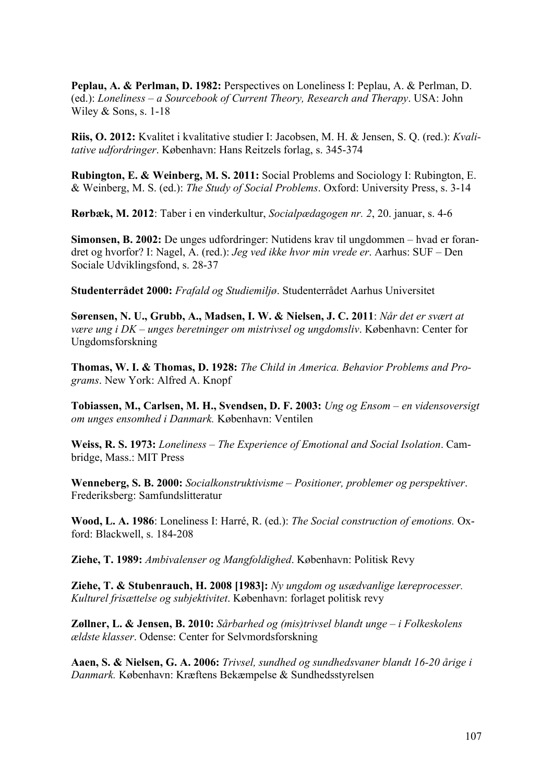**Peplau, A. & Perlman, D. 1982:** Perspectives on Loneliness I: Peplau, A. & Perlman, D. (ed.): *Loneliness – a Sourcebook of Current Theory, Research and Therapy*. USA: John Wiley & Sons, s. 1-18

**Riis, O. 2012:** Kvalitet i kvalitative studier I: Jacobsen, M. H. & Jensen, S. Q. (red.): *Kvalitative udfordringer*. København: Hans Reitzels forlag, s. 345-374

**Rubington, E. & Weinberg, M. S. 2011:** Social Problems and Sociology I: Rubington, E. & Weinberg, M. S. (ed.): *The Study of Social Problems*. Oxford: University Press, s. 3-14

**Rørbæk, M. 2012**: Taber i en vinderkultur, *Socialpædagogen nr. 2*, 20. januar, s. 4-6

**Simonsen, B. 2002:** De unges udfordringer: Nutidens krav til ungdommen – hvad er forandret og hvorfor? I: Nagel, A. (red.): *Jeg ved ikke hvor min vrede er*. Aarhus: SUF – Den Sociale Udviklingsfond, s. 28-37

**Studenterrådet 2000:** *Frafald og Studiemiljø*. Studenterrådet Aarhus Universitet

**Sørensen, N. U., Grubb, A., Madsen, I. W. & Nielsen, J. C. 2011**: *Når det er svært at være ung i DK – unges beretninger om mistrivsel og ungdomsliv*. København: Center for Ungdomsforskning

**Thomas, W. I. & Thomas, D. 1928:** *The Child in America. Behavior Problems and Programs*. New York: Alfred A. Knopf

**Tobiassen, M., Carlsen, M. H., Svendsen, D. F. 2003:** *Ung og Ensom – en vidensoversigt om unges ensomhed i Danmark.* København: Ventilen

**Weiss, R. S. 1973:** *Loneliness – The Experience of Emotional and Social Isolation*. Cambridge, Mass.: MIT Press

**Wenneberg, S. B. 2000:** *Socialkonstruktivisme – Positioner, problemer og perspektiver*. Frederiksberg: Samfundslitteratur

**Wood, L. A. 1986**: Loneliness I: Harré, R. (ed.): *The Social construction of emotions.* Oxford: Blackwell, s. 184-208

**Ziehe, T. 1989:** *Ambivalenser og Mangfoldighed*. København: Politisk Revy

**Ziehe, T. & Stubenrauch, H. 2008 [1983]:** *Ny ungdom og usædvanlige læreprocesser. Kulturel frisættelse og subjektivitet*. København: forlaget politisk revy

**Zøllner, L. & Jensen, B. 2010:** *Sårbarhed og (mis)trivsel blandt unge – i Folkeskolens ældste klasser*. Odense: Center for Selvmordsforskning

**Aaen, S. & Nielsen, G. A. 2006:** *Trivsel, sundhed og sundhedsvaner blandt 16-20 årige i Danmark.* København: Kræftens Bekæmpelse & Sundhedsstyrelsen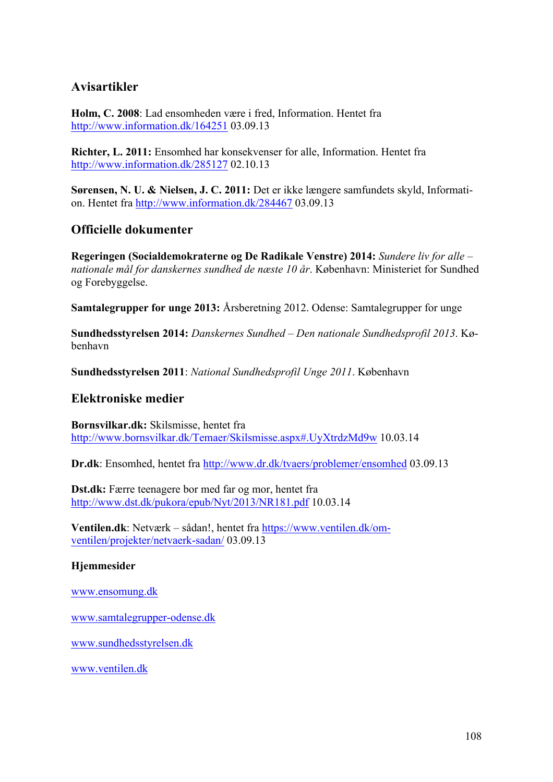# **Avisartikler**

**Holm, C. 2008**: Lad ensomheden være i fred, Information. Hentet fra http://www.information.dk/164251 03.09.13

**Richter, L. 2011:** Ensomhed har konsekvenser for alle, Information. Hentet fra http://www.information.dk/285127 02.10.13

**Sørensen, N. U. & Nielsen, J. C. 2011:** Det er ikke længere samfundets skyld, Information. Hentet fra http://www.information.dk/284467 03.09.13

# **Officielle dokumenter**

**Regeringen (Socialdemokraterne og De Radikale Venstre) 2014:** *Sundere liv for alle – nationale mål for danskernes sundhed de næste 10 år*. København: Ministeriet for Sundhed og Forebyggelse.

**Samtalegrupper for unge 2013:** Årsberetning 2012. Odense: Samtalegrupper for unge

**Sundhedsstyrelsen 2014:** *Danskernes Sundhed – Den nationale Sundhedsprofil 2013*. København

**Sundhedsstyrelsen 2011**: *National Sundhedsprofil Unge 2011*. København

# **Elektroniske medier**

**Bornsvilkar.dk:** Skilsmisse, hentet fra http://www.bornsvilkar.dk/Temaer/Skilsmisse.aspx#.UyXtrdzMd9w 10.03.14

**Dr.dk**: Ensomhed, hentet fra http://www.dr.dk/tvaers/problemer/ensomhed 03.09.13

**Dst.dk:** Færre teenagere bor med far og mor, hentet fra http://www.dst.dk/pukora/epub/Nyt/2013/NR181.pdf 10.03.14

**Ventilen.dk**: Netværk – sådan!, hentet fra https://www.ventilen.dk/omventilen/projekter/netvaerk-sadan/ 03.09.13

## **Hjemmesider**

www.ensomung.dk

www.samtalegrupper-odense.dk

www.sundhedsstyrelsen.dk

www.ventilen.dk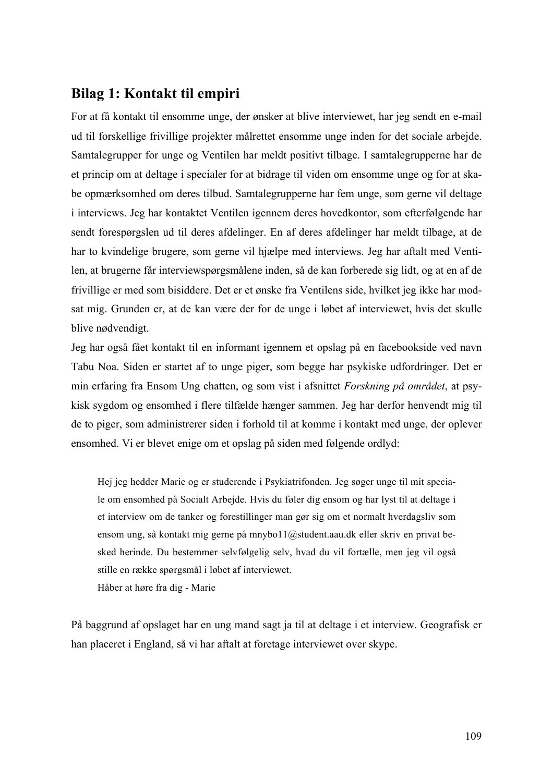# **Bilag 1: Kontakt til empiri**

For at få kontakt til ensomme unge, der ønsker at blive interviewet, har jeg sendt en e-mail ud til forskellige frivillige projekter målrettet ensomme unge inden for det sociale arbejde. Samtalegrupper for unge og Ventilen har meldt positivt tilbage. I samtalegrupperne har de et princip om at deltage i specialer for at bidrage til viden om ensomme unge og for at skabe opmærksomhed om deres tilbud. Samtalegrupperne har fem unge, som gerne vil deltage i interviews. Jeg har kontaktet Ventilen igennem deres hovedkontor, som efterfølgende har sendt forespørgslen ud til deres afdelinger. En af deres afdelinger har meldt tilbage, at de har to kvindelige brugere, som gerne vil hjælpe med interviews. Jeg har aftalt med Ventilen, at brugerne får interviewspørgsmålene inden, så de kan forberede sig lidt, og at en af de frivillige er med som bisiddere. Det er et ønske fra Ventilens side, hvilket jeg ikke har modsat mig. Grunden er, at de kan være der for de unge i løbet af interviewet, hvis det skulle blive nødvendigt.

Jeg har også fået kontakt til en informant igennem et opslag på en facebookside ved navn Tabu Noa. Siden er startet af to unge piger, som begge har psykiske udfordringer. Det er min erfaring fra Ensom Ung chatten, og som vist i afsnittet *Forskning på området*, at psykisk sygdom og ensomhed i flere tilfælde hænger sammen. Jeg har derfor henvendt mig til de to piger, som administrerer siden i forhold til at komme i kontakt med unge, der oplever ensomhed. Vi er blevet enige om et opslag på siden med følgende ordlyd:

Hej jeg hedder Marie og er studerende i Psykiatrifonden. Jeg søger unge til mit speciale om ensomhed på Socialt Arbejde. Hvis du føler dig ensom og har lyst til at deltage i et interview om de tanker og forestillinger man gør sig om et normalt hverdagsliv som ensom ung, så kontakt mig gerne på mnybo11@student.aau.dk eller skriv en privat besked herinde. Du bestemmer selvfølgelig selv, hvad du vil fortælle, men jeg vil også stille en række spørgsmål i løbet af interviewet. Håber at høre fra dig - Marie

På baggrund af opslaget har en ung mand sagt ja til at deltage i et interview. Geografisk er han placeret i England, så vi har aftalt at foretage interviewet over skype.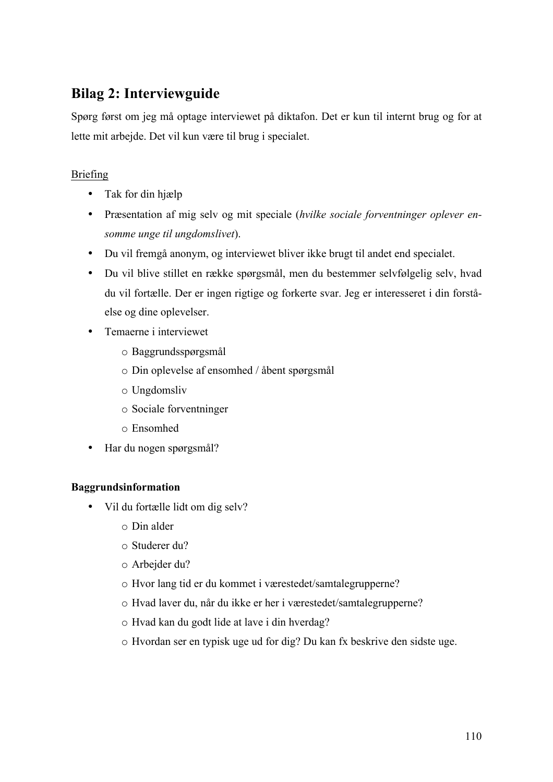# **Bilag 2: Interviewguide**

Spørg først om jeg må optage interviewet på diktafon. Det er kun til internt brug og for at lette mit arbejde. Det vil kun være til brug i specialet.

## Briefing

- Tak for din hjælp
- Præsentation af mig selv og mit speciale (*hvilke sociale forventninger oplever ensomme unge til ungdomslivet*).
- Du vil fremgå anonym, og interviewet bliver ikke brugt til andet end specialet.
- Du vil blive stillet en række spørgsmål, men du bestemmer selvfølgelig selv, hvad du vil fortælle. Der er ingen rigtige og forkerte svar. Jeg er interesseret i din forståelse og dine oplevelser.
- Temaerne i interviewet
	- o Baggrundsspørgsmål
	- o Din oplevelse af ensomhed / åbent spørgsmål
	- o Ungdomsliv
	- o Sociale forventninger
	- o Ensomhed
- Har du nogen spørgsmål?

### **Baggrundsinformation**

- Vil du fortælle lidt om dig selv?
	- o Din alder
	- o Studerer du?
	- o Arbejder du?
	- o Hvor lang tid er du kommet i værestedet/samtalegrupperne?
	- o Hvad laver du, når du ikke er her i værestedet/samtalegrupperne?
	- o Hvad kan du godt lide at lave i din hverdag?
	- o Hvordan ser en typisk uge ud for dig? Du kan fx beskrive den sidste uge.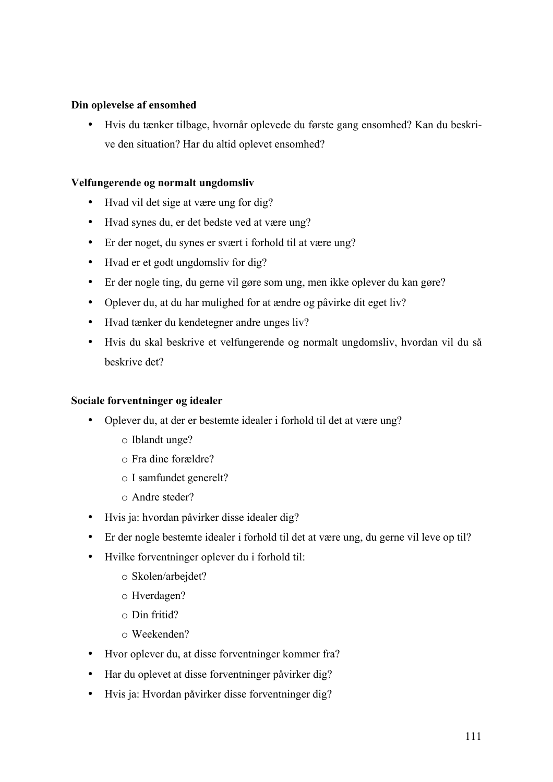#### **Din oplevelse af ensomhed**

• Hvis du tænker tilbage, hvornår oplevede du første gang ensomhed? Kan du beskrive den situation? Har du altid oplevet ensomhed?

#### **Velfungerende og normalt ungdomsliv**

- Hvad vil det sige at være ung for dig?
- Hvad synes du, er det bedste ved at være ung?
- Er der noget, du synes er svært i forhold til at være ung?
- Hvad er et godt ungdomsliv for dig?
- Er der nogle ting, du gerne vil gøre som ung, men ikke oplever du kan gøre?
- Oplever du, at du har mulighed for at ændre og påvirke dit eget liv?
- Hvad tænker du kendetegner andre unges liv?
- Hvis du skal beskrive et velfungerende og normalt ungdomsliv, hvordan vil du så beskrive det?

#### **Sociale forventninger og idealer**

- Oplever du, at der er bestemte idealer i forhold til det at være ung?
	- o Iblandt unge?
	- o Fra dine forældre?
	- o I samfundet generelt?
	- o Andre steder?
- Hvis ja: hvordan påvirker disse idealer dig?
- Er der nogle bestemte idealer i forhold til det at være ung, du gerne vil leve op til?
- Hvilke forventninger oplever du i forhold til:
	- o Skolen/arbejdet?
	- o Hverdagen?
	- o Din fritid?
	- o Weekenden?
- Hvor oplever du, at disse forventninger kommer fra?
- Har du oplevet at disse forventninger påvirker dig?
- Hvis ja: Hvordan påvirker disse forventninger dig?